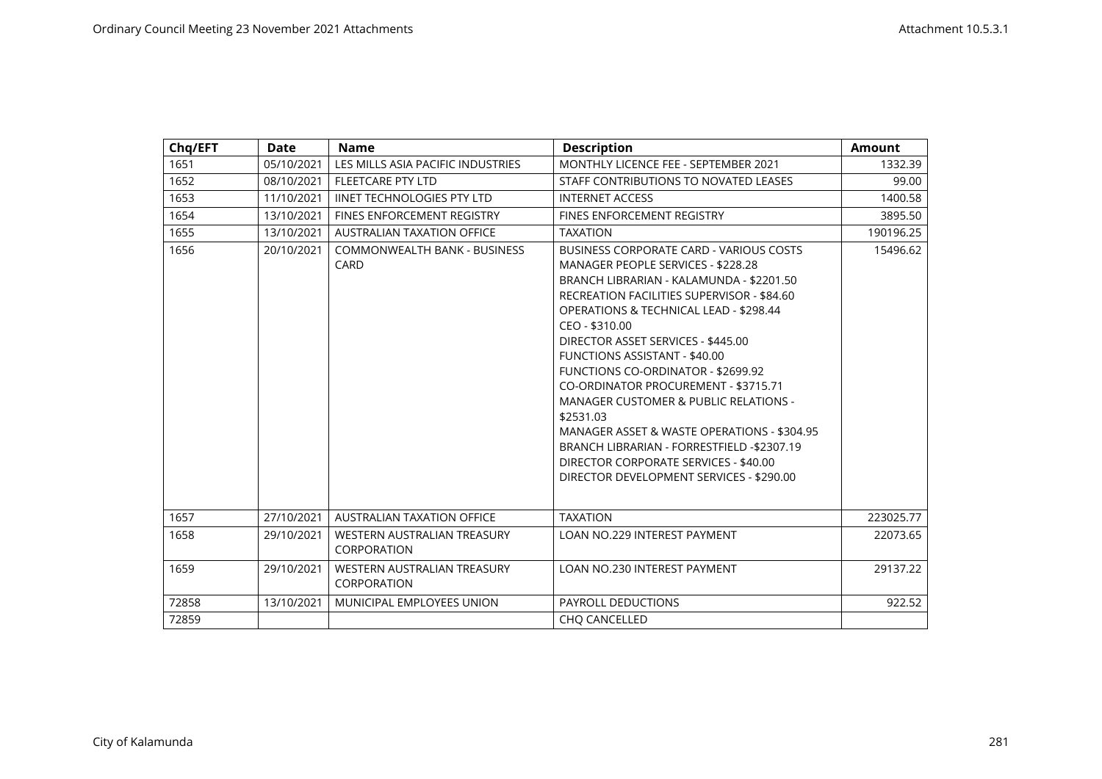| Chq/EFT | Date       | <b>Name</b>                                        | <b>Description</b>                                                                                                                                                                                                                                                                                                                                                                                                                                                                                                                                                                                                                                                          | <b>Amount</b> |
|---------|------------|----------------------------------------------------|-----------------------------------------------------------------------------------------------------------------------------------------------------------------------------------------------------------------------------------------------------------------------------------------------------------------------------------------------------------------------------------------------------------------------------------------------------------------------------------------------------------------------------------------------------------------------------------------------------------------------------------------------------------------------------|---------------|
| 1651    | 05/10/2021 | LES MILLS ASIA PACIFIC INDUSTRIES                  | MONTHLY LICENCE FEE - SEPTEMBER 2021                                                                                                                                                                                                                                                                                                                                                                                                                                                                                                                                                                                                                                        | 1332.39       |
| 1652    | 08/10/2021 | <b>FLEETCARE PTY LTD</b>                           | STAFF CONTRIBUTIONS TO NOVATED LEASES                                                                                                                                                                                                                                                                                                                                                                                                                                                                                                                                                                                                                                       | 99.00         |
| 1653    | 11/10/2021 | <b>IINET TECHNOLOGIES PTY LTD</b>                  | <b>INTERNET ACCESS</b>                                                                                                                                                                                                                                                                                                                                                                                                                                                                                                                                                                                                                                                      | 1400.58       |
| 1654    | 13/10/2021 | FINES ENFORCEMENT REGISTRY                         | <b>FINES ENFORCEMENT REGISTRY</b>                                                                                                                                                                                                                                                                                                                                                                                                                                                                                                                                                                                                                                           | 3895.50       |
| 1655    | 13/10/2021 | <b>AUSTRALIAN TAXATION OFFICE</b>                  | <b>TAXATION</b>                                                                                                                                                                                                                                                                                                                                                                                                                                                                                                                                                                                                                                                             | 190196.25     |
| 1656    | 20/10/2021 | <b>COMMONWEALTH BANK - BUSINESS</b><br><b>CARD</b> | <b>BUSINESS CORPORATE CARD - VARIOUS COSTS</b><br>MANAGER PEOPLE SERVICES - \$228.28<br>BRANCH LIBRARIAN - KALAMUNDA - \$2201.50<br>RECREATION FACILITIES SUPERVISOR - \$84.60<br><b>OPERATIONS &amp; TECHNICAL LEAD - \$298.44</b><br>CEO - \$310.00<br>DIRECTOR ASSET SERVICES - \$445.00<br><b>FUNCTIONS ASSISTANT - \$40.00</b><br><b>FUNCTIONS CO-ORDINATOR - \$2699.92</b><br>CO-ORDINATOR PROCUREMENT - \$3715.71<br><b>MANAGER CUSTOMER &amp; PUBLIC RELATIONS -</b><br>\$2531.03<br>MANAGER ASSET & WASTE OPERATIONS - \$304.95<br>BRANCH LIBRARIAN - FORRESTFIELD -\$2307.19<br>DIRECTOR CORPORATE SERVICES - \$40.00<br>DIRECTOR DEVELOPMENT SERVICES - \$290.00 | 15496.62      |
| 1657    | 27/10/2021 | <b>AUSTRALIAN TAXATION OFFICE</b>                  | <b>TAXATION</b>                                                                                                                                                                                                                                                                                                                                                                                                                                                                                                                                                                                                                                                             | 223025.77     |
| 1658    | 29/10/2021 | WESTERN AUSTRALIAN TREASURY<br>CORPORATION         | <b>LOAN NO.229 INTEREST PAYMENT</b>                                                                                                                                                                                                                                                                                                                                                                                                                                                                                                                                                                                                                                         | 22073.65      |
| 1659    | 29/10/2021 | WESTERN AUSTRALIAN TREASURY<br>CORPORATION         | LOAN NO.230 INTEREST PAYMENT                                                                                                                                                                                                                                                                                                                                                                                                                                                                                                                                                                                                                                                | 29137.22      |
| 72858   | 13/10/2021 | MUNICIPAL EMPLOYEES UNION                          | PAYROLL DEDUCTIONS                                                                                                                                                                                                                                                                                                                                                                                                                                                                                                                                                                                                                                                          | 922.52        |
| 72859   |            |                                                    | <b>CHO CANCELLED</b>                                                                                                                                                                                                                                                                                                                                                                                                                                                                                                                                                                                                                                                        |               |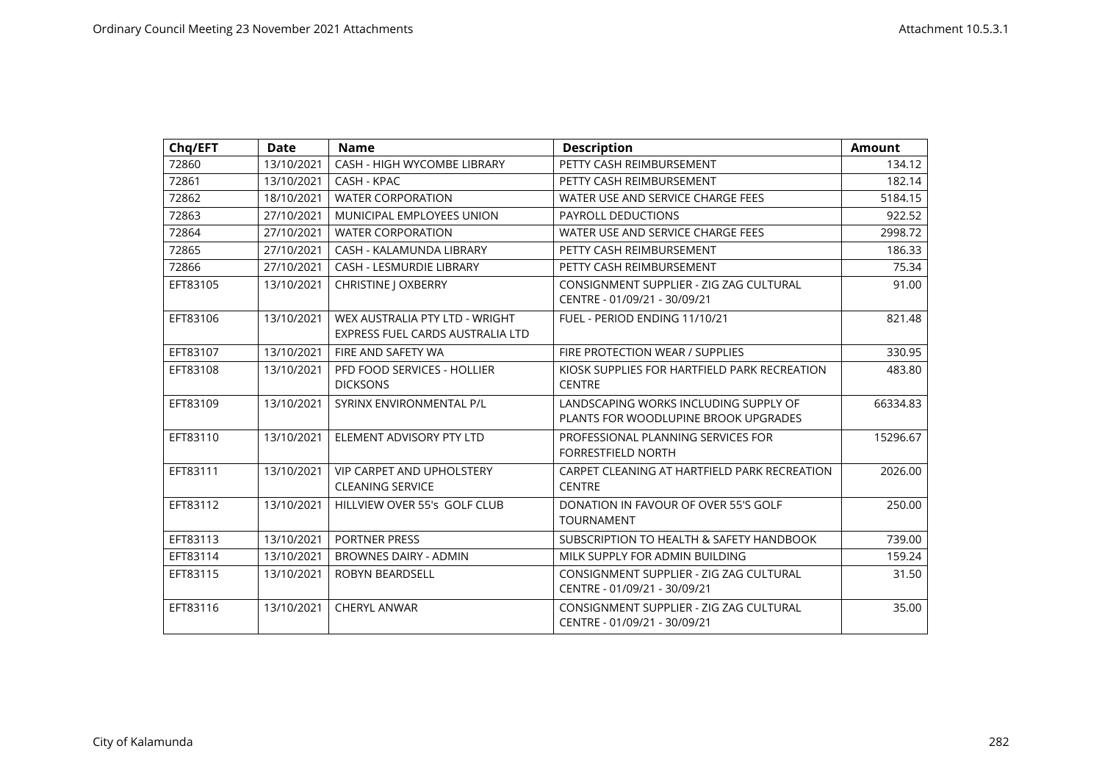| Chq/EFT  | <b>Date</b> | <b>Name</b>                                                        | <b>Description</b>                                                            | <b>Amount</b> |
|----------|-------------|--------------------------------------------------------------------|-------------------------------------------------------------------------------|---------------|
| 72860    | 13/10/2021  | <b>CASH - HIGH WYCOMBE LIBRARY</b>                                 | PETTY CASH REIMBURSEMENT                                                      | 134.12        |
| 72861    | 13/10/2021  | CASH - KPAC                                                        | PETTY CASH REIMBURSEMENT                                                      | 182.14        |
| 72862    | 18/10/2021  | <b>WATER CORPORATION</b>                                           | WATER USE AND SERVICE CHARGE FEES                                             | 5184.15       |
| 72863    | 27/10/2021  | MUNICIPAL EMPLOYEES UNION                                          | PAYROLL DEDUCTIONS                                                            | 922.52        |
| 72864    | 27/10/2021  | <b>WATER CORPORATION</b>                                           | WATER USE AND SERVICE CHARGE FEES                                             | 2998.72       |
| 72865    | 27/10/2021  | CASH - KALAMUNDA LIBRARY                                           | PETTY CASH REIMBURSEMENT                                                      | 186.33        |
| 72866    | 27/10/2021  | <b>CASH - LESMURDIE LIBRARY</b>                                    | PETTY CASH REIMBURSEMENT                                                      | 75.34         |
| EFT83105 | 13/10/2021  | <b>CHRISTINE J OXBERRY</b>                                         | CONSIGNMENT SUPPLIER - ZIG ZAG CULTURAL<br>CENTRE - 01/09/21 - 30/09/21       | 91.00         |
| EFT83106 | 13/10/2021  | WEX AUSTRALIA PTY LTD - WRIGHT<br>EXPRESS FUEL CARDS AUSTRALIA LTD | FUEL - PERIOD ENDING 11/10/21                                                 | 821.48        |
| EFT83107 | 13/10/2021  | FIRE AND SAFETY WA                                                 | FIRE PROTECTION WEAR / SUPPLIES                                               | 330.95        |
| EFT83108 | 13/10/2021  | PFD FOOD SERVICES - HOLLIER<br><b>DICKSONS</b>                     | KIOSK SUPPLIES FOR HARTFIELD PARK RECREATION<br><b>CENTRE</b>                 | 483.80        |
| EFT83109 | 13/10/2021  | SYRINX ENVIRONMENTAL P/L                                           | LANDSCAPING WORKS INCLUDING SUPPLY OF<br>PLANTS FOR WOODLUPINE BROOK UPGRADES | 66334.83      |
| EFT83110 | 13/10/2021  | ELEMENT ADVISORY PTY LTD                                           | PROFESSIONAL PLANNING SERVICES FOR<br>FORRESTFIELD NORTH                      | 15296.67      |
| EFT83111 | 13/10/2021  | VIP CARPET AND UPHOLSTERY<br><b>CLEANING SERVICE</b>               | CARPET CLEANING AT HARTFIELD PARK RECREATION<br><b>CENTRE</b>                 | 2026.00       |
| EFT83112 | 13/10/2021  | HILLVIEW OVER 55's GOLF CLUB                                       | DONATION IN FAVOUR OF OVER 55'S GOLF<br><b>TOURNAMENT</b>                     | 250.00        |
| EFT83113 | 13/10/2021  | PORTNER PRESS                                                      | SUBSCRIPTION TO HEALTH & SAFETY HANDBOOK                                      | 739.00        |
| EFT83114 | 13/10/2021  | <b>BROWNES DAIRY - ADMIN</b>                                       | MILK SUPPLY FOR ADMIN BUILDING                                                | 159.24        |
| EFT83115 | 13/10/2021  | ROBYN BEARDSELL                                                    | CONSIGNMENT SUPPLIER - ZIG ZAG CULTURAL<br>CENTRE - 01/09/21 - 30/09/21       | 31.50         |
| EFT83116 | 13/10/2021  | CHERYL ANWAR                                                       | CONSIGNMENT SUPPLIER - ZIG ZAG CULTURAL<br>CENTRE - 01/09/21 - 30/09/21       | 35.00         |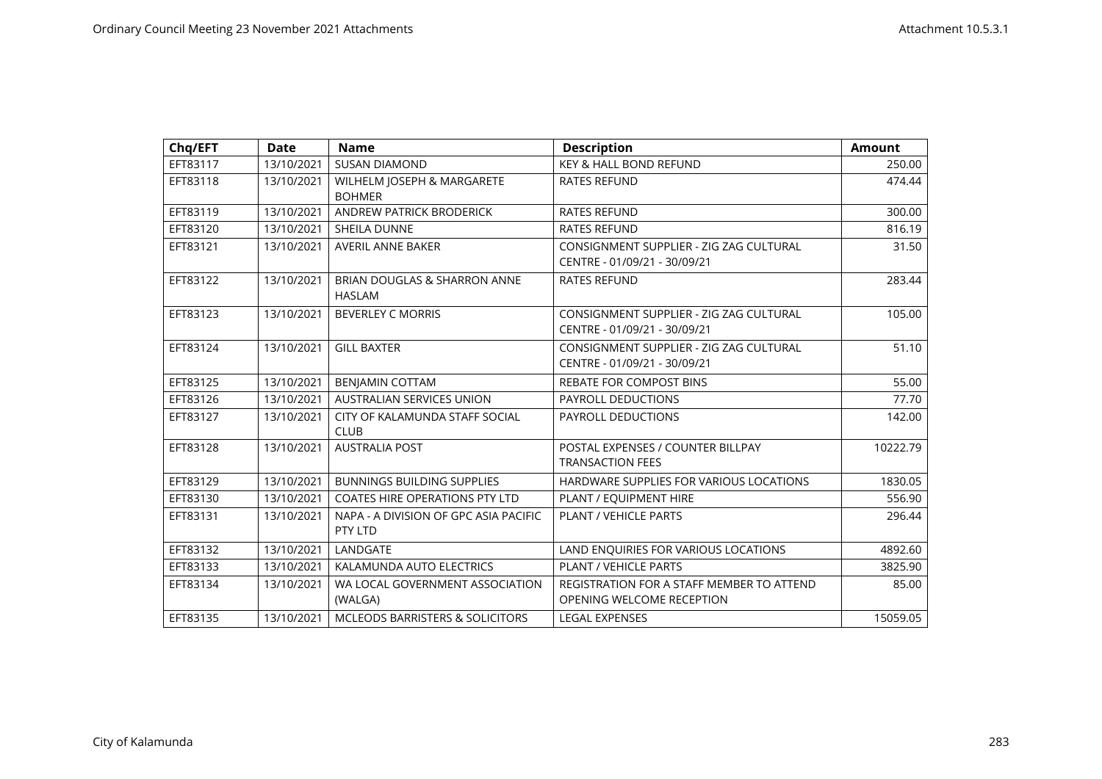| Chq/EFT  | <b>Date</b> | <b>Name</b>                                      | <b>Description</b>                                                      | <b>Amount</b> |
|----------|-------------|--------------------------------------------------|-------------------------------------------------------------------------|---------------|
| EFT83117 | 13/10/2021  | <b>SUSAN DIAMOND</b>                             | KEY & HALL BOND REFUND                                                  | 250.00        |
| EFT83118 | 13/10/2021  | WILHELM JOSEPH & MARGARETE<br><b>BOHMER</b>      | <b>RATES REFUND</b>                                                     | 474.44        |
| EFT83119 | 13/10/2021  | <b>ANDREW PATRICK BRODERICK</b>                  | <b>RATES REFUND</b>                                                     | 300.00        |
| EFT83120 | 13/10/2021  | SHEILA DUNNE                                     | RATES REFUND                                                            | 816.19        |
| EFT83121 | 13/10/2021  | <b>AVERIL ANNE BAKER</b>                         | CONSIGNMENT SUPPLIER - ZIG ZAG CULTURAL<br>CENTRE - 01/09/21 - 30/09/21 | 31.50         |
| EFT83122 | 13/10/2021  | BRIAN DOUGLAS & SHARRON ANNE<br><b>HASLAM</b>    | <b>RATES REFUND</b>                                                     | 283.44        |
| EFT83123 | 13/10/2021  | <b>BEVERLEY C MORRIS</b>                         | CONSIGNMENT SUPPLIER - ZIG ZAG CULTURAL<br>CENTRE - 01/09/21 - 30/09/21 | 105.00        |
| EFT83124 | 13/10/2021  | <b>GILL BAXTER</b>                               | CONSIGNMENT SUPPLIER - ZIG ZAG CULTURAL<br>CENTRE - 01/09/21 - 30/09/21 | 51.10         |
| EFT83125 | 13/10/2021  | BENJAMIN COTTAM                                  | <b>REBATE FOR COMPOST BINS</b>                                          | 55.00         |
| EFT83126 | 13/10/2021  | <b>AUSTRALIAN SERVICES UNION</b>                 | PAYROLL DEDUCTIONS                                                      | 77.70         |
| EFT83127 | 13/10/2021  | CITY OF KALAMUNDA STAFF SOCIAL<br><b>CLUB</b>    | PAYROLL DEDUCTIONS                                                      | 142.00        |
| EFT83128 | 13/10/2021  | <b>AUSTRALIA POST</b>                            | POSTAL EXPENSES / COUNTER BILLPAY<br><b>TRANSACTION FEES</b>            | 10222.79      |
| EFT83129 | 13/10/2021  | <b>BUNNINGS BUILDING SUPPLIES</b>                | HARDWARE SUPPLIES FOR VARIOUS LOCATIONS                                 | 1830.05       |
| EFT83130 | 13/10/2021  | <b>COATES HIRE OPERATIONS PTY LTD</b>            | PLANT / EQUIPMENT HIRE                                                  | 556.90        |
| EFT83131 | 13/10/2021  | NAPA - A DIVISION OF GPC ASIA PACIFIC<br>PTY LTD | PLANT / VEHICLE PARTS                                                   | 296.44        |
| EFT83132 | 13/10/2021  | LANDGATE                                         | LAND ENQUIRIES FOR VARIOUS LOCATIONS                                    | 4892.60       |
| EFT83133 | 13/10/2021  | KALAMUNDA AUTO ELECTRICS                         | PLANT / VEHICLE PARTS                                                   | 3825.90       |
| EFT83134 | 13/10/2021  | WA LOCAL GOVERNMENT ASSOCIATION<br>(WALGA)       | REGISTRATION FOR A STAFF MEMBER TO ATTEND<br>OPENING WELCOME RECEPTION  | 85.00         |
| EFT83135 | 13/10/2021  | <b>MCLEODS BARRISTERS &amp; SOLICITORS</b>       | <b>LEGAL EXPENSES</b>                                                   | 15059.05      |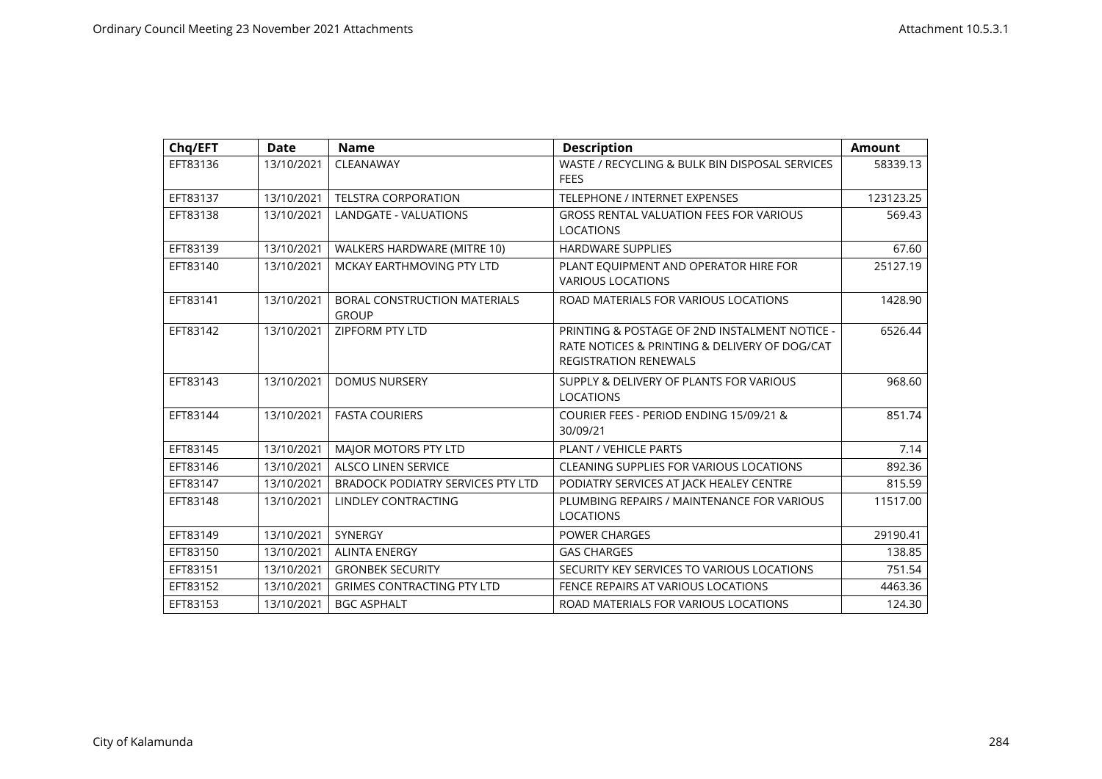| Chq/EFT  | <b>Date</b> | <b>Name</b>                                  | <b>Description</b>                                                                                                             | <b>Amount</b> |
|----------|-------------|----------------------------------------------|--------------------------------------------------------------------------------------------------------------------------------|---------------|
| EFT83136 | 13/10/2021  | CLEANAWAY                                    | WASTE / RECYCLING & BULK BIN DISPOSAL SERVICES<br><b>FEES</b>                                                                  | 58339.13      |
| EFT83137 | 13/10/2021  | <b>TELSTRA CORPORATION</b>                   | TELEPHONE / INTERNET EXPENSES                                                                                                  | 123123.25     |
| EFT83138 | 13/10/2021  | LANDGATE - VALUATIONS                        | <b>GROSS RENTAL VALUATION FEES FOR VARIOUS</b><br><b>LOCATIONS</b>                                                             | 569.43        |
| EFT83139 | 13/10/2021  | WALKERS HARDWARE (MITRE 10)                  | <b>HARDWARE SUPPLIES</b>                                                                                                       | 67.60         |
| EFT83140 | 13/10/2021  | MCKAY EARTHMOVING PTY LTD                    | PLANT EQUIPMENT AND OPERATOR HIRE FOR<br><b>VARIOUS LOCATIONS</b>                                                              | 25127.19      |
| EFT83141 | 13/10/2021  | BORAL CONSTRUCTION MATERIALS<br><b>GROUP</b> | ROAD MATERIALS FOR VARIOUS LOCATIONS                                                                                           | 1428.90       |
| EFT83142 | 13/10/2021  | <b>ZIPFORM PTY LTD</b>                       | PRINTING & POSTAGE OF 2ND INSTALMENT NOTICE -<br>RATE NOTICES & PRINTING & DELIVERY OF DOG/CAT<br><b>REGISTRATION RENEWALS</b> | 6526.44       |
| EFT83143 | 13/10/2021  | <b>DOMUS NURSERY</b>                         | SUPPLY & DELIVERY OF PLANTS FOR VARIOUS<br><b>LOCATIONS</b>                                                                    | 968.60        |
| EFT83144 | 13/10/2021  | <b>FASTA COURIERS</b>                        | COURIER FEES - PERIOD ENDING 15/09/21 &<br>30/09/21                                                                            | 851.74        |
| EFT83145 | 13/10/2021  | MAJOR MOTORS PTY LTD                         | PLANT / VEHICLE PARTS                                                                                                          | 7.14          |
| EFT83146 | 13/10/2021  | <b>ALSCO LINEN SERVICE</b>                   | <b>CLEANING SUPPLIES FOR VARIOUS LOCATIONS</b>                                                                                 | 892.36        |
| EFT83147 | 13/10/2021  | <b>BRADOCK PODIATRY SERVICES PTY LTD</b>     | PODIATRY SERVICES AT JACK HEALEY CENTRE                                                                                        | 815.59        |
| EFT83148 | 13/10/2021  | <b>LINDLEY CONTRACTING</b>                   | PLUMBING REPAIRS / MAINTENANCE FOR VARIOUS<br>LOCATIONS                                                                        | 11517.00      |
| EFT83149 | 13/10/2021  | <b>SYNERGY</b>                               | <b>POWER CHARGES</b>                                                                                                           | 29190.41      |
| EFT83150 | 13/10/2021  | <b>ALINTA ENERGY</b>                         | <b>GAS CHARGES</b>                                                                                                             | 138.85        |
| EFT83151 | 13/10/2021  | <b>GRONBEK SECURITY</b>                      | SECURITY KEY SERVICES TO VARIOUS LOCATIONS                                                                                     | 751.54        |
| EFT83152 | 13/10/2021  | <b>GRIMES CONTRACTING PTY LTD</b>            | FENCE REPAIRS AT VARIOUS LOCATIONS                                                                                             | 4463.36       |
| EFT83153 | 13/10/2021  | <b>BGC ASPHALT</b>                           | ROAD MATERIALS FOR VARIOUS LOCATIONS                                                                                           | 124.30        |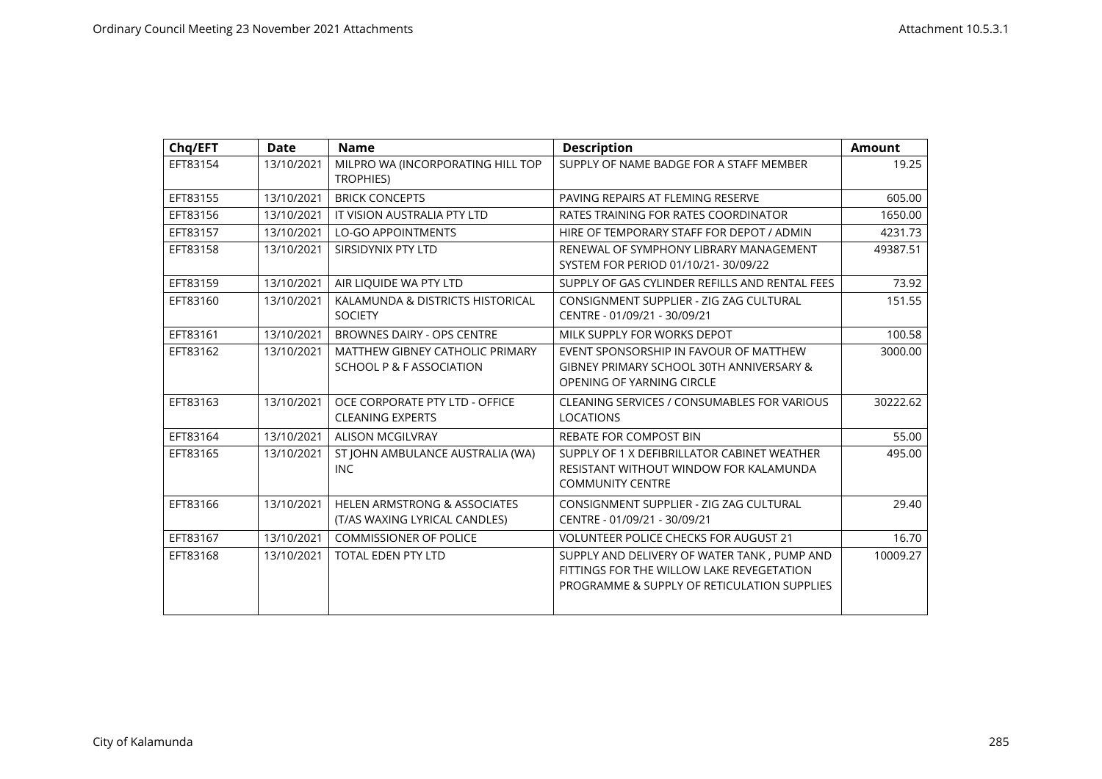| Chq/EFT  | <b>Date</b> | <b>Name</b>                                                              | <b>Description</b>                                                                                                                      | <b>Amount</b> |
|----------|-------------|--------------------------------------------------------------------------|-----------------------------------------------------------------------------------------------------------------------------------------|---------------|
| EFT83154 | 13/10/2021  | MILPRO WA (INCORPORATING HILL TOP<br><b>TROPHIES)</b>                    | SUPPLY OF NAME BADGE FOR A STAFF MEMBER                                                                                                 | 19.25         |
| EFT83155 | 13/10/2021  | <b>BRICK CONCEPTS</b>                                                    | PAVING REPAIRS AT FLEMING RESERVE                                                                                                       | 605.00        |
| EFT83156 | 13/10/2021  | IT VISION AUSTRALIA PTY LTD                                              | RATES TRAINING FOR RATES COORDINATOR                                                                                                    | 1650.00       |
| EFT83157 | 13/10/2021  | <b>LO-GO APPOINTMENTS</b>                                                | HIRE OF TEMPORARY STAFF FOR DEPOT / ADMIN                                                                                               | 4231.73       |
| EFT83158 | 13/10/2021  | SIRSIDYNIX PTY LTD                                                       | RENEWAL OF SYMPHONY LIBRARY MANAGEMENT<br>SYSTEM FOR PERIOD 01/10/21-30/09/22                                                           | 49387.51      |
| EFT83159 | 13/10/2021  | AIR LIQUIDE WA PTY LTD                                                   | SUPPLY OF GAS CYLINDER REFILLS AND RENTAL FEES                                                                                          | 73.92         |
| EFT83160 | 13/10/2021  | KALAMUNDA & DISTRICTS HISTORICAL<br><b>SOCIETY</b>                       | CONSIGNMENT SUPPLIER - ZIG ZAG CULTURAL<br>CENTRE - 01/09/21 - 30/09/21                                                                 | 151.55        |
| EFT83161 | 13/10/2021  | <b>BROWNES DAIRY - OPS CENTRE</b>                                        | MILK SUPPLY FOR WORKS DEPOT                                                                                                             | 100.58        |
| EFT83162 | 13/10/2021  | MATTHEW GIBNEY CATHOLIC PRIMARY<br>SCHOOL P & F ASSOCIATION              | EVENT SPONSORSHIP IN FAVOUR OF MATTHEW<br>GIBNEY PRIMARY SCHOOL 30TH ANNIVERSARY &<br>OPENING OF YARNING CIRCLE                         | 3000.00       |
| EFT83163 | 13/10/2021  | OCE CORPORATE PTY LTD - OFFICE<br><b>CLEANING EXPERTS</b>                | <b>CLEANING SERVICES / CONSUMABLES FOR VARIOUS</b><br><b>LOCATIONS</b>                                                                  | 30222.62      |
| EFT83164 | 13/10/2021  | <b>ALISON MCGILVRAY</b>                                                  | <b>REBATE FOR COMPOST BIN</b>                                                                                                           | 55.00         |
| EFT83165 | 13/10/2021  | ST JOHN AMBULANCE AUSTRALIA (WA)<br><b>INC</b>                           | SUPPLY OF 1 X DEFIBRILLATOR CABINET WEATHER<br>RESISTANT WITHOUT WINDOW FOR KALAMUNDA<br><b>COMMUNITY CENTRE</b>                        | 495.00        |
| EFT83166 | 13/10/2021  | <b>HELEN ARMSTRONG &amp; ASSOCIATES</b><br>(T/AS WAXING LYRICAL CANDLES) | CONSIGNMENT SUPPLIER - ZIG ZAG CULTURAL<br>CENTRE - 01/09/21 - 30/09/21                                                                 | 29.40         |
| EFT83167 | 13/10/2021  | <b>COMMISSIONER OF POLICE</b>                                            | <b>VOLUNTEER POLICE CHECKS FOR AUGUST 21</b>                                                                                            | 16.70         |
| EFT83168 | 13/10/2021  | <b>TOTAL EDEN PTY LTD</b>                                                | SUPPLY AND DELIVERY OF WATER TANK, PUMP AND<br>FITTINGS FOR THE WILLOW LAKE REVEGETATION<br>PROGRAMME & SUPPLY OF RETICULATION SUPPLIES | 10009.27      |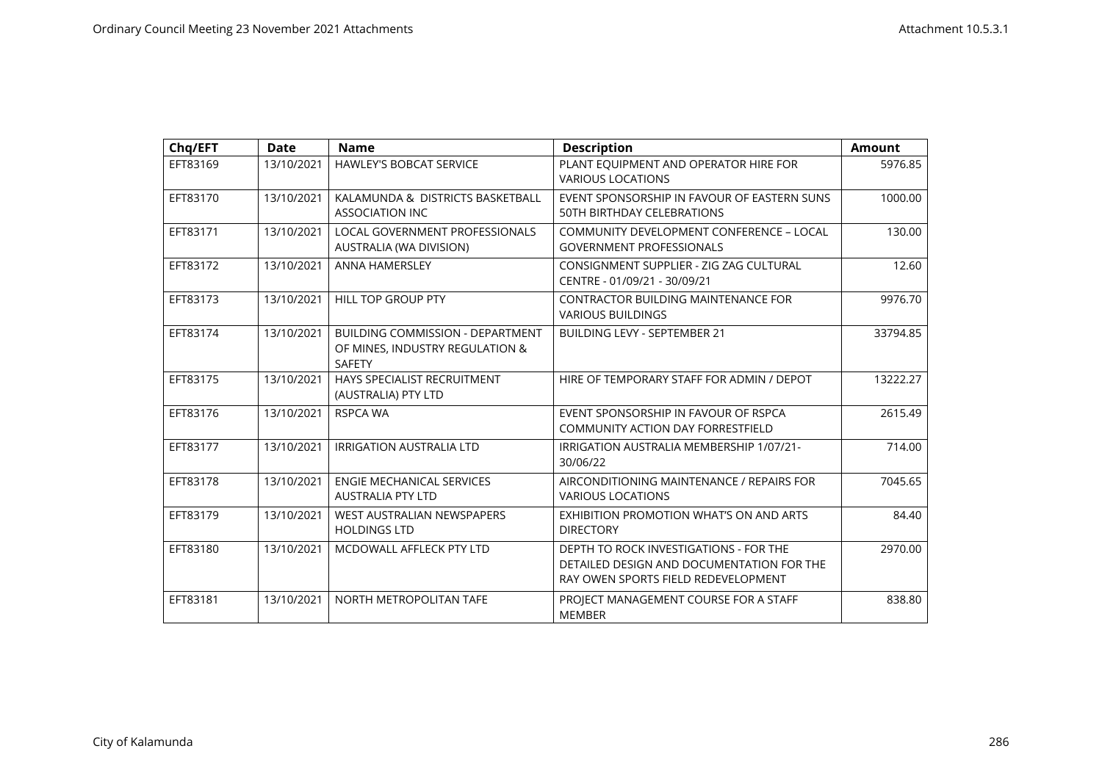| Chq/EFT  | <b>Date</b> | <b>Name</b>                                                                                 | <b>Description</b>                                                                                                         | <b>Amount</b> |
|----------|-------------|---------------------------------------------------------------------------------------------|----------------------------------------------------------------------------------------------------------------------------|---------------|
| EFT83169 | 13/10/2021  | HAWLEY'S BOBCAT SERVICE                                                                     | PLANT EQUIPMENT AND OPERATOR HIRE FOR<br><b>VARIOUS LOCATIONS</b>                                                          | 5976.85       |
| EFT83170 | 13/10/2021  | KALAMUNDA & DISTRICTS BASKETBALL<br><b>ASSOCIATION INC</b>                                  | EVENT SPONSORSHIP IN FAVOUR OF EASTERN SUNS<br>50TH BIRTHDAY CELEBRATIONS                                                  | 1000.00       |
| EFT83171 | 13/10/2021  | <b>LOCAL GOVERNMENT PROFESSIONALS</b><br>AUSTRALIA (WA DIVISION)                            | COMMUNITY DEVELOPMENT CONFERENCE - LOCAL<br><b>GOVERNMENT PROFESSIONALS</b>                                                | 130.00        |
| EFT83172 | 13/10/2021  | <b>ANNA HAMERSLEY</b>                                                                       | CONSIGNMENT SUPPLIER - ZIG ZAG CULTURAL<br>CENTRE - 01/09/21 - 30/09/21                                                    | 12.60         |
| EFT83173 | 13/10/2021  | <b>HILL TOP GROUP PTY</b>                                                                   | <b>CONTRACTOR BUILDING MAINTENANCE FOR</b><br><b>VARIOUS BUILDINGS</b>                                                     | 9976.70       |
| EFT83174 | 13/10/2021  | <b>BUILDING COMMISSION - DEPARTMENT</b><br>OF MINES, INDUSTRY REGULATION &<br><b>SAFETY</b> | <b>BUILDING LEVY - SEPTEMBER 21</b>                                                                                        | 33794.85      |
| EFT83175 | 13/10/2021  | HAYS SPECIALIST RECRUITMENT<br>(AUSTRALIA) PTY LTD                                          | HIRE OF TEMPORARY STAFF FOR ADMIN / DEPOT                                                                                  | 13222.27      |
| EFT83176 | 13/10/2021  | <b>RSPCA WA</b>                                                                             | EVENT SPONSORSHIP IN FAVOUR OF RSPCA<br><b>COMMUNITY ACTION DAY FORRESTFIELD</b>                                           | 2615.49       |
| EFT83177 | 13/10/2021  | <b>IRRIGATION AUSTRALIA LTD</b>                                                             | IRRIGATION AUSTRALIA MEMBERSHIP 1/07/21-<br>30/06/22                                                                       | 714.00        |
| EFT83178 | 13/10/2021  | <b>ENGIE MECHANICAL SERVICES</b><br><b>AUSTRALIA PTY LTD</b>                                | AIRCONDITIONING MAINTENANCE / REPAIRS FOR<br><b>VARIOUS LOCATIONS</b>                                                      | 7045.65       |
| EFT83179 | 13/10/2021  | <b>WEST AUSTRALIAN NEWSPAPERS</b><br><b>HOLDINGS LTD</b>                                    | EXHIBITION PROMOTION WHAT'S ON AND ARTS<br><b>DIRECTORY</b>                                                                | 84.40         |
| EFT83180 | 13/10/2021  | MCDOWALL AFFLECK PTY LTD                                                                    | DEPTH TO ROCK INVESTIGATIONS - FOR THE<br>DETAILED DESIGN AND DOCUMENTATION FOR THE<br>RAY OWEN SPORTS FIELD REDEVELOPMENT | 2970.00       |
| EFT83181 | 13/10/2021  | NORTH METROPOLITAN TAFE                                                                     | PROJECT MANAGEMENT COURSE FOR A STAFF<br><b>MEMBER</b>                                                                     | 838.80        |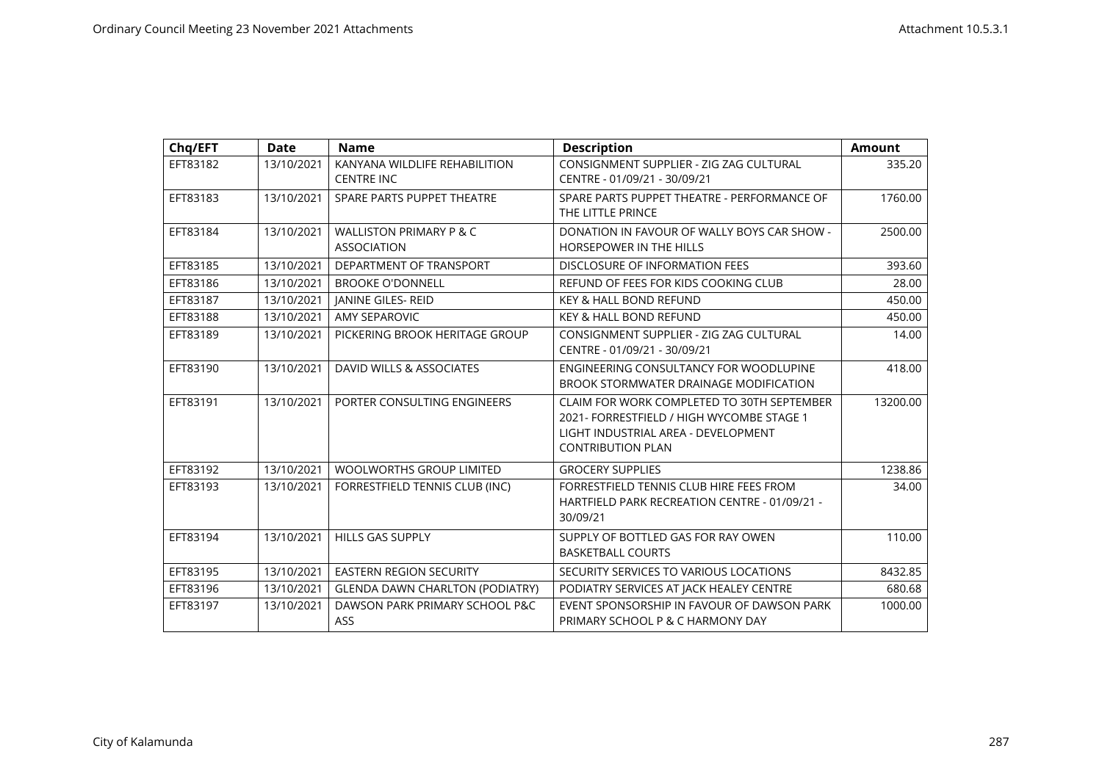| Chq/EFT  | <b>Date</b> | <b>Name</b>                                              | <b>Description</b>                                                                                                                                         | <b>Amount</b> |
|----------|-------------|----------------------------------------------------------|------------------------------------------------------------------------------------------------------------------------------------------------------------|---------------|
| EFT83182 | 13/10/2021  | KANYANA WILDLIFE REHABILITION<br><b>CENTRE INC</b>       | CONSIGNMENT SUPPLIER - ZIG ZAG CULTURAL<br>CENTRE - 01/09/21 - 30/09/21                                                                                    | 335.20        |
| EFT83183 | 13/10/2021  | SPARE PARTS PUPPET THEATRE                               | SPARE PARTS PUPPET THEATRE - PERFORMANCE OF<br>THE LITTLE PRINCE                                                                                           | 1760.00       |
| EFT83184 | 13/10/2021  | <b>WALLISTON PRIMARY P &amp; C</b><br><b>ASSOCIATION</b> | DONATION IN FAVOUR OF WALLY BOYS CAR SHOW -<br><b>HORSEPOWER IN THE HILLS</b>                                                                              | 2500.00       |
| EFT83185 | 13/10/2021  | DEPARTMENT OF TRANSPORT                                  | DISCLOSURE OF INFORMATION FEES                                                                                                                             | 393.60        |
| EFT83186 | 13/10/2021  | <b>BROOKE O'DONNELL</b>                                  | REFUND OF FEES FOR KIDS COOKING CLUB                                                                                                                       | 28.00         |
| EFT83187 | 13/10/2021  | JANINE GILES- REID                                       | <b>KEY &amp; HALL BOND REFUND</b>                                                                                                                          | 450.00        |
| EFT83188 | 13/10/2021  | <b>AMY SEPAROVIC</b>                                     | KEY & HALL BOND REFUND                                                                                                                                     | 450.00        |
| EFT83189 | 13/10/2021  | PICKERING BROOK HERITAGE GROUP                           | CONSIGNMENT SUPPLIER - ZIG ZAG CULTURAL<br>CENTRE - 01/09/21 - 30/09/21                                                                                    | 14.00         |
| EFT83190 | 13/10/2021  | DAVID WILLS & ASSOCIATES                                 | ENGINEERING CONSULTANCY FOR WOODLUPINE<br>BROOK STORMWATER DRAINAGE MODIFICATION                                                                           | 418.00        |
| EFT83191 | 13/10/2021  | PORTER CONSULTING ENGINEERS                              | CLAIM FOR WORK COMPLETED TO 30TH SEPTEMBER<br>2021- FORRESTFIELD / HIGH WYCOMBE STAGE 1<br>LIGHT INDUSTRIAL AREA - DEVELOPMENT<br><b>CONTRIBUTION PLAN</b> | 13200.00      |
| EFT83192 | 13/10/2021  | <b>WOOLWORTHS GROUP LIMITED</b>                          | <b>GROCERY SUPPLIES</b>                                                                                                                                    | 1238.86       |
| EFT83193 | 13/10/2021  | FORRESTFIELD TENNIS CLUB (INC)                           | FORRESTFIELD TENNIS CLUB HIRE FEES FROM<br>HARTFIELD PARK RECREATION CENTRE - 01/09/21 -<br>30/09/21                                                       | 34.00         |
| EFT83194 | 13/10/2021  | <b>HILLS GAS SUPPLY</b>                                  | SUPPLY OF BOTTLED GAS FOR RAY OWEN<br><b>BASKETBALL COURTS</b>                                                                                             | 110.00        |
| EFT83195 | 13/10/2021  | <b>EASTERN REGION SECURITY</b>                           | SECURITY SERVICES TO VARIOUS LOCATIONS                                                                                                                     | 8432.85       |
| EFT83196 | 13/10/2021  | <b>GLENDA DAWN CHARLTON (PODIATRY)</b>                   | PODIATRY SERVICES AT JACK HEALEY CENTRE                                                                                                                    | 680.68        |
| EFT83197 | 13/10/2021  | DAWSON PARK PRIMARY SCHOOL P&C<br>ASS                    | EVENT SPONSORSHIP IN FAVOUR OF DAWSON PARK<br>PRIMARY SCHOOL P & C HARMONY DAY                                                                             | 1000.00       |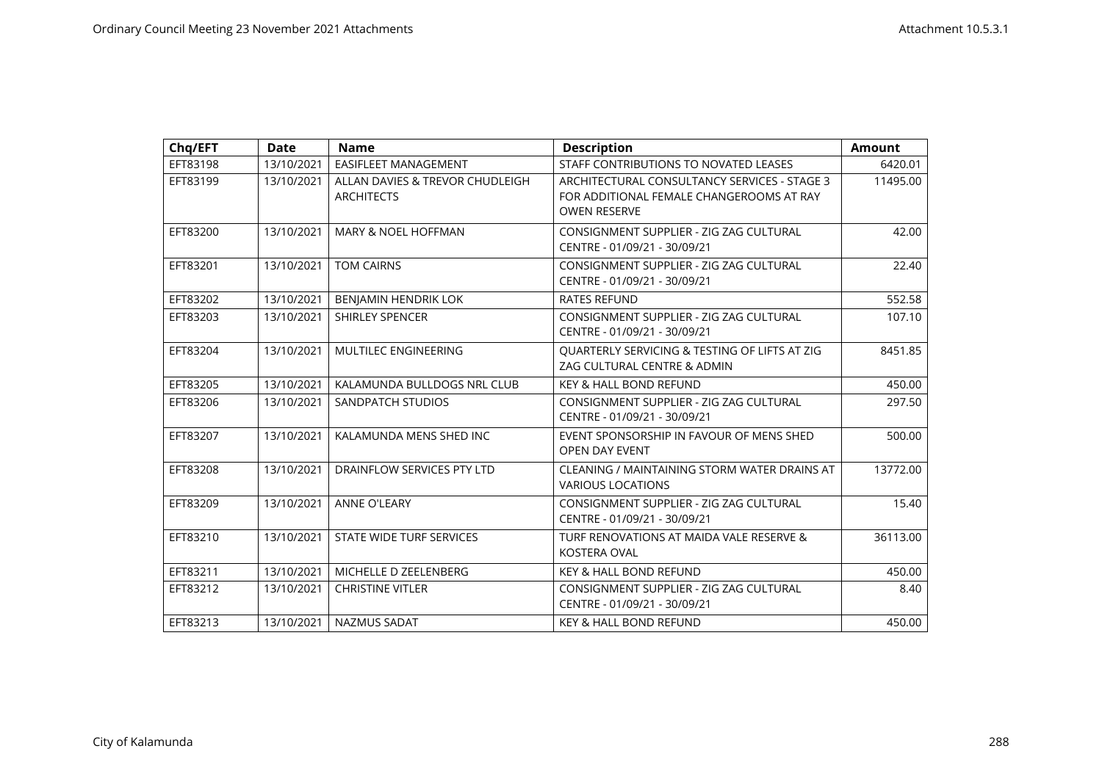| Chq/EFT  | <b>Date</b> | <b>Name</b>                                          | <b>Description</b>                                                                                              | <b>Amount</b> |
|----------|-------------|------------------------------------------------------|-----------------------------------------------------------------------------------------------------------------|---------------|
| EFT83198 | 13/10/2021  | EASIFLEET MANAGEMENT                                 | STAFF CONTRIBUTIONS TO NOVATED LEASES                                                                           | 6420.01       |
| EFT83199 | 13/10/2021  | ALLAN DAVIES & TREVOR CHUDLEIGH<br><b>ARCHITECTS</b> | ARCHITECTURAL CONSULTANCY SERVICES - STAGE 3<br>FOR ADDITIONAL FEMALE CHANGEROOMS AT RAY<br><b>OWEN RESERVE</b> | 11495.00      |
| EFT83200 | 13/10/2021  | <b>MARY &amp; NOEL HOFFMAN</b>                       | CONSIGNMENT SUPPLIER - ZIG ZAG CULTURAL<br>CENTRE - 01/09/21 - 30/09/21                                         | 42.00         |
| EFT83201 | 13/10/2021  | <b>TOM CAIRNS</b>                                    | CONSIGNMENT SUPPLIER - ZIG ZAG CULTURAL<br>CENTRE - 01/09/21 - 30/09/21                                         | 22.40         |
| EFT83202 | 13/10/2021  | BENJAMIN HENDRIK LOK                                 | <b>RATES REFUND</b>                                                                                             | 552.58        |
| EFT83203 | 13/10/2021  | <b>SHIRLEY SPENCER</b>                               | CONSIGNMENT SUPPLIER - ZIG ZAG CULTURAL<br>CENTRE - 01/09/21 - 30/09/21                                         | 107.10        |
| EFT83204 | 13/10/2021  | <b>MULTILEC ENGINEERING</b>                          | QUARTERLY SERVICING & TESTING OF LIFTS AT ZIG<br>ZAG CULTURAL CENTRE & ADMIN                                    | 8451.85       |
| EFT83205 | 13/10/2021  | KALAMUNDA BULLDOGS NRL CLUB                          | <b>KEY &amp; HALL BOND REFUND</b>                                                                               | 450.00        |
| EFT83206 | 13/10/2021  | SANDPATCH STUDIOS                                    | CONSIGNMENT SUPPLIER - ZIG ZAG CULTURAL<br>CENTRE - 01/09/21 - 30/09/21                                         | 297.50        |
| EFT83207 | 13/10/2021  | KALAMUNDA MENS SHED INC                              | EVENT SPONSORSHIP IN FAVOUR OF MENS SHED<br><b>OPEN DAY EVENT</b>                                               | 500.00        |
| EFT83208 | 13/10/2021  | DRAINFLOW SERVICES PTY LTD                           | CLEANING / MAINTAINING STORM WATER DRAINS AT<br><b>VARIOUS LOCATIONS</b>                                        | 13772.00      |
| EFT83209 | 13/10/2021  | <b>ANNE O'LEARY</b>                                  | CONSIGNMENT SUPPLIER - ZIG ZAG CULTURAL<br>CENTRE - 01/09/21 - 30/09/21                                         | 15.40         |
| EFT83210 | 13/10/2021  | STATE WIDE TURF SERVICES                             | TURF RENOVATIONS AT MAIDA VALE RESERVE &<br><b>KOSTERA OVAL</b>                                                 | 36113.00      |
| EFT83211 | 13/10/2021  | MICHELLE D ZEELENBERG                                | <b>KEY &amp; HALL BOND REFUND</b>                                                                               | 450.00        |
| EFT83212 | 13/10/2021  | <b>CHRISTINE VITLER</b>                              | CONSIGNMENT SUPPLIER - ZIG ZAG CULTURAL<br>CENTRE - 01/09/21 - 30/09/21                                         | 8.40          |
| EFT83213 | 13/10/2021  | <b>NAZMUS SADAT</b>                                  | <b>KEY &amp; HALL BOND REFUND</b>                                                                               | 450.00        |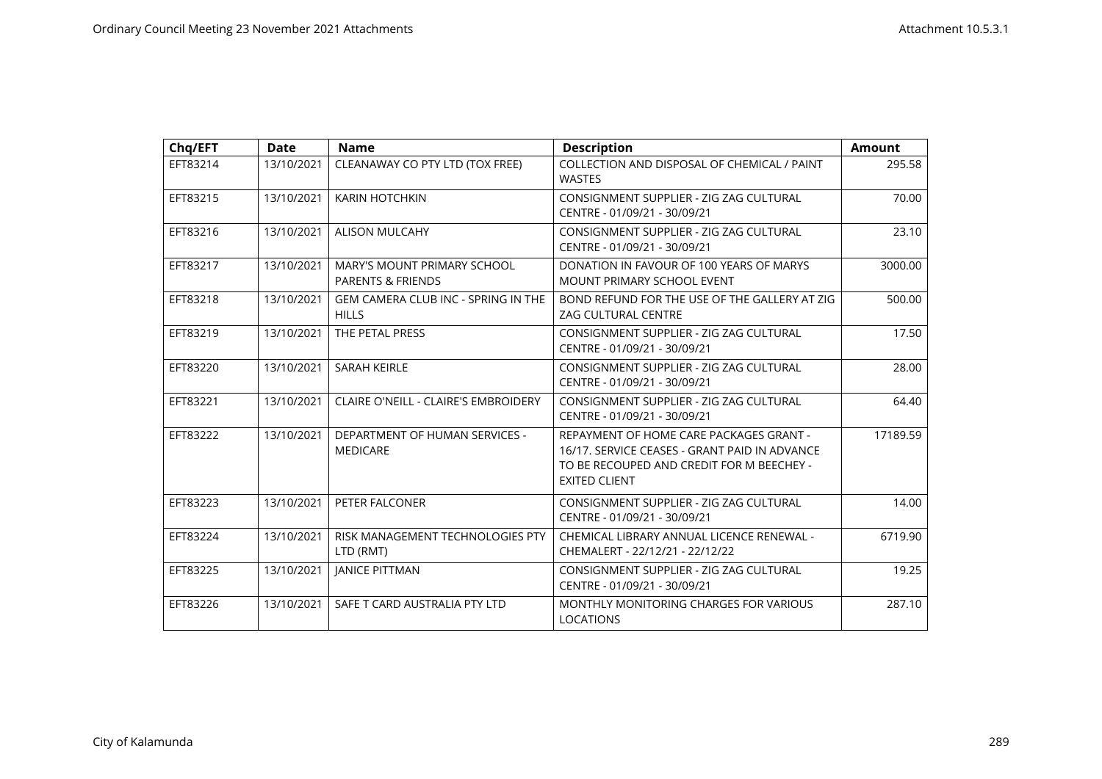| Chq/EFT  | <b>Date</b> | <b>Name</b>                                                 | <b>Description</b>                                                                                                                                            | <b>Amount</b> |
|----------|-------------|-------------------------------------------------------------|---------------------------------------------------------------------------------------------------------------------------------------------------------------|---------------|
| EFT83214 | 13/10/2021  | CLEANAWAY CO PTY LTD (TOX FREE)                             | COLLECTION AND DISPOSAL OF CHEMICAL / PAINT<br><b>WASTES</b>                                                                                                  | 295.58        |
| EFT83215 | 13/10/2021  | <b>KARIN HOTCHKIN</b>                                       | CONSIGNMENT SUPPLIER - ZIG ZAG CULTURAL<br>CENTRE - 01/09/21 - 30/09/21                                                                                       | 70.00         |
| EFT83216 | 13/10/2021  | <b>ALISON MULCAHY</b>                                       | CONSIGNMENT SUPPLIER - ZIG ZAG CULTURAL<br>CENTRE - 01/09/21 - 30/09/21                                                                                       | 23.10         |
| EFT83217 | 13/10/2021  | MARY'S MOUNT PRIMARY SCHOOL<br><b>PARENTS &amp; FRIENDS</b> | DONATION IN FAVOUR OF 100 YEARS OF MARYS<br>MOUNT PRIMARY SCHOOL EVENT                                                                                        | 3000.00       |
| EFT83218 | 13/10/2021  | <b>GEM CAMERA CLUB INC - SPRING IN THE</b><br><b>HILLS</b>  | BOND REFUND FOR THE USE OF THE GALLERY AT ZIG<br><b>ZAG CULTURAL CENTRE</b>                                                                                   | 500.00        |
| EFT83219 | 13/10/2021  | THE PETAL PRESS                                             | CONSIGNMENT SUPPLIER - ZIG ZAG CULTURAL<br>CENTRE - 01/09/21 - 30/09/21                                                                                       | 17.50         |
| EFT83220 | 13/10/2021  | <b>SARAH KEIRLE</b>                                         | CONSIGNMENT SUPPLIER - ZIG ZAG CULTURAL<br>CENTRE - 01/09/21 - 30/09/21                                                                                       | 28.00         |
| EFT83221 | 13/10/2021  | <b>CLAIRE O'NEILL - CLAIRE'S EMBROIDERY</b>                 | CONSIGNMENT SUPPLIER - ZIG ZAG CULTURAL<br>CENTRE - 01/09/21 - 30/09/21                                                                                       | 64.40         |
| EFT83222 | 13/10/2021  | <b>DEPARTMENT OF HUMAN SERVICES -</b><br><b>MEDICARE</b>    | REPAYMENT OF HOME CARE PACKAGES GRANT -<br>16/17. SERVICE CEASES - GRANT PAID IN ADVANCE<br>TO BE RECOUPED AND CREDIT FOR M BEECHEY -<br><b>EXITED CLIENT</b> | 17189.59      |
| EFT83223 | 13/10/2021  | PETER FALCONER                                              | CONSIGNMENT SUPPLIER - ZIG ZAG CULTURAL<br>CENTRE - 01/09/21 - 30/09/21                                                                                       | 14.00         |
| EFT83224 | 13/10/2021  | RISK MANAGEMENT TECHNOLOGIES PTY<br>LTD (RMT)               | CHEMICAL LIBRARY ANNUAL LICENCE RENEWAL -<br>CHEMALERT - 22/12/21 - 22/12/22                                                                                  | 6719.90       |
| EFT83225 | 13/10/2021  | <b>JANICE PITTMAN</b>                                       | CONSIGNMENT SUPPLIER - ZIG ZAG CULTURAL<br>CENTRE - 01/09/21 - 30/09/21                                                                                       | 19.25         |
| EFT83226 | 13/10/2021  | SAFE T CARD AUSTRALIA PTY LTD                               | MONTHLY MONITORING CHARGES FOR VARIOUS<br>LOCATIONS                                                                                                           | 287.10        |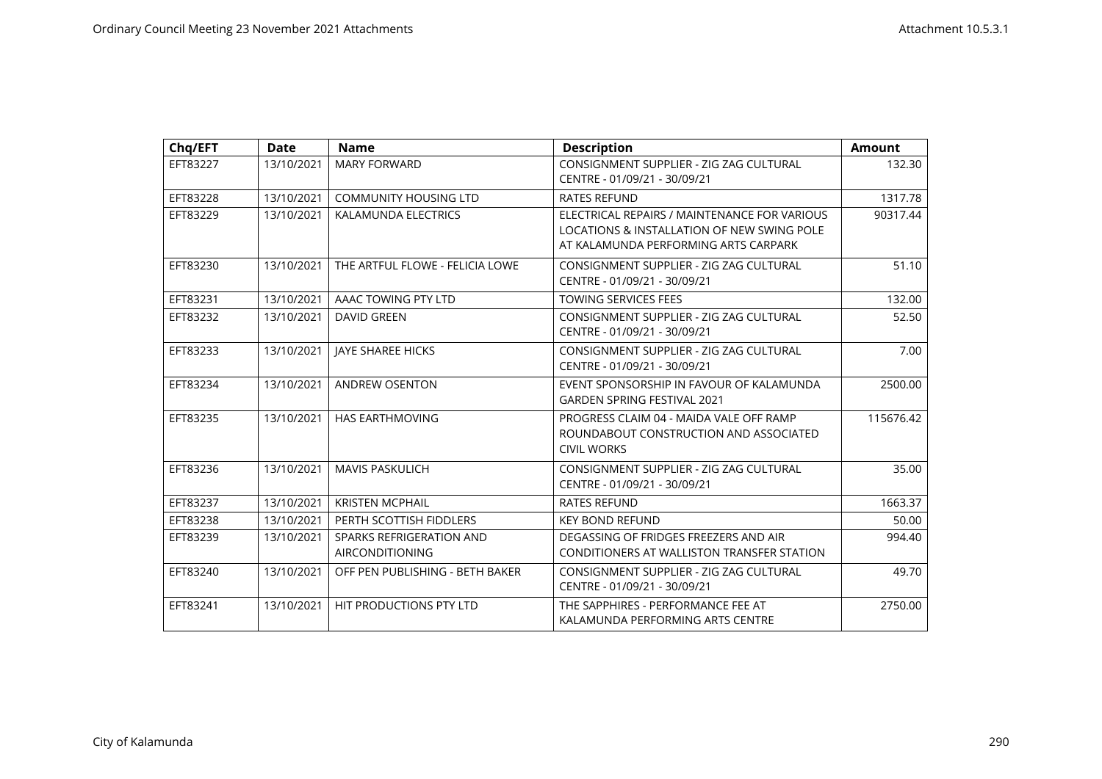| Chq/EFT  | <b>Date</b> | <b>Name</b>                                        | <b>Description</b>                                                                                                                 | <b>Amount</b> |
|----------|-------------|----------------------------------------------------|------------------------------------------------------------------------------------------------------------------------------------|---------------|
| EFT83227 | 13/10/2021  | <b>MARY FORWARD</b>                                | CONSIGNMENT SUPPLIER - ZIG ZAG CULTURAL<br>CENTRE - 01/09/21 - 30/09/21                                                            | 132.30        |
| EFT83228 | 13/10/2021  | COMMUNITY HOUSING LTD                              | <b>RATES REFUND</b>                                                                                                                | 1317.78       |
| EFT83229 | 13/10/2021  | KALAMUNDA ELECTRICS                                | ELECTRICAL REPAIRS / MAINTENANCE FOR VARIOUS<br>LOCATIONS & INSTALLATION OF NEW SWING POLE<br>AT KALAMUNDA PERFORMING ARTS CARPARK | 90317.44      |
| EFT83230 | 13/10/2021  | THE ARTFUL FLOWE - FELICIA LOWE                    | CONSIGNMENT SUPPLIER - ZIG ZAG CULTURAL<br>CENTRE - 01/09/21 - 30/09/21                                                            | 51.10         |
| EFT83231 | 13/10/2021  | AAAC TOWING PTY LTD                                | <b>TOWING SERVICES FEES</b>                                                                                                        | 132.00        |
| EFT83232 | 13/10/2021  | <b>DAVID GREEN</b>                                 | CONSIGNMENT SUPPLIER - ZIG ZAG CULTURAL<br>CENTRE - 01/09/21 - 30/09/21                                                            | 52.50         |
| EFT83233 | 13/10/2021  | <b>JAYE SHAREE HICKS</b>                           | CONSIGNMENT SUPPLIER - ZIG ZAG CULTURAL<br>CENTRE - 01/09/21 - 30/09/21                                                            | 7.00          |
| EFT83234 | 13/10/2021  | <b>ANDREW OSENTON</b>                              | EVENT SPONSORSHIP IN FAVOUR OF KALAMUNDA<br><b>GARDEN SPRING FESTIVAL 2021</b>                                                     | 2500.00       |
| EFT83235 | 13/10/2021  | HAS EARTHMOVING                                    | PROGRESS CLAIM 04 - MAIDA VALE OFF RAMP<br>ROUNDABOUT CONSTRUCTION AND ASSOCIATED<br><b>CIVIL WORKS</b>                            | 115676.42     |
| EFT83236 | 13/10/2021  | <b>MAVIS PASKULICH</b>                             | CONSIGNMENT SUPPLIER - ZIG ZAG CULTURAL<br>CENTRE - 01/09/21 - 30/09/21                                                            | 35.00         |
| EFT83237 | 13/10/2021  | <b>KRISTEN MCPHAIL</b>                             | <b>RATES REFUND</b>                                                                                                                | 1663.37       |
| EFT83238 | 13/10/2021  | PERTH SCOTTISH FIDDLERS                            | <b>KEY BOND REFUND</b>                                                                                                             | 50.00         |
| EFT83239 | 13/10/2021  | SPARKS REFRIGERATION AND<br><b>AIRCONDITIONING</b> | DEGASSING OF FRIDGES FREEZERS AND AIR<br>CONDITIONERS AT WALLISTON TRANSFER STATION                                                | 994.40        |
| EFT83240 | 13/10/2021  | OFF PEN PUBLISHING - BETH BAKER                    | CONSIGNMENT SUPPLIER - ZIG ZAG CULTURAL<br>CENTRE - 01/09/21 - 30/09/21                                                            | 49.70         |
| EFT83241 | 13/10/2021  | HIT PRODUCTIONS PTY LTD                            | THE SAPPHIRES - PERFORMANCE FEE AT<br>KALAMUNDA PERFORMING ARTS CENTRE                                                             | 2750.00       |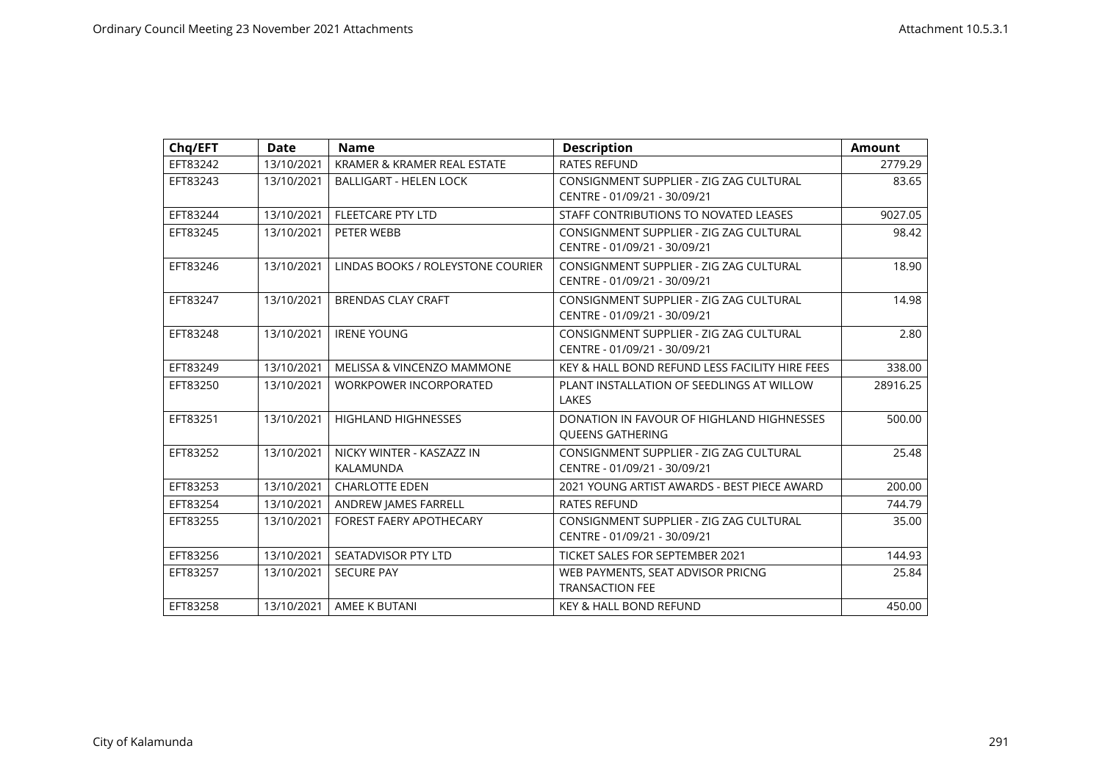| Chq/EFT  | <b>Date</b> | <b>Name</b>                            | <b>Description</b>                                                      | <b>Amount</b> |
|----------|-------------|----------------------------------------|-------------------------------------------------------------------------|---------------|
| EFT83242 | 13/10/2021  | KRAMER & KRAMER REAL ESTATE            | <b>RATES REFUND</b>                                                     | 2779.29       |
| EFT83243 | 13/10/2021  | <b>BALLIGART - HELEN LOCK</b>          | CONSIGNMENT SUPPLIER - ZIG ZAG CULTURAL<br>CENTRE - 01/09/21 - 30/09/21 | 83.65         |
| EFT83244 | 13/10/2021  | <b>FLEETCARE PTY LTD</b>               | STAFF CONTRIBUTIONS TO NOVATED LEASES                                   | 9027.05       |
| EFT83245 | 13/10/2021  | PETER WEBB                             | CONSIGNMENT SUPPLIER - ZIG ZAG CULTURAL<br>CENTRE - 01/09/21 - 30/09/21 | 98.42         |
| EFT83246 | 13/10/2021  | LINDAS BOOKS / ROLEYSTONE COURIER      | CONSIGNMENT SUPPLIER - ZIG ZAG CULTURAL<br>CENTRE - 01/09/21 - 30/09/21 | 18.90         |
| EFT83247 | 13/10/2021  | <b>BRENDAS CLAY CRAFT</b>              | CONSIGNMENT SUPPLIER - ZIG ZAG CULTURAL<br>CENTRE - 01/09/21 - 30/09/21 | 14.98         |
| EFT83248 | 13/10/2021  | <b>IRENE YOUNG</b>                     | CONSIGNMENT SUPPLIER - ZIG ZAG CULTURAL<br>CENTRE - 01/09/21 - 30/09/21 | 2.80          |
| EFT83249 | 13/10/2021  | <b>MELISSA &amp; VINCENZO MAMMONE</b>  | KEY & HALL BOND REFUND LESS FACILITY HIRE FEES                          | 338.00        |
| EFT83250 | 13/10/2021  | <b>WORKPOWER INCORPORATED</b>          | PLANT INSTALLATION OF SEEDLINGS AT WILLOW<br>LAKES                      | 28916.25      |
| EFT83251 | 13/10/2021  | <b>HIGHLAND HIGHNESSES</b>             | DONATION IN FAVOUR OF HIGHLAND HIGHNESSES<br><b>OUEENS GATHERING</b>    | 500.00        |
| EFT83252 | 13/10/2021  | NICKY WINTER - KASZAZZ IN<br>KALAMUNDA | CONSIGNMENT SUPPLIER - ZIG ZAG CULTURAL<br>CENTRE - 01/09/21 - 30/09/21 | 25.48         |
| EFT83253 | 13/10/2021  | <b>CHARLOTTE EDEN</b>                  | 2021 YOUNG ARTIST AWARDS - BEST PIECE AWARD                             | 200.00        |
| EFT83254 | 13/10/2021  | ANDREW JAMES FARRELL                   | <b>RATES REFUND</b>                                                     | 744.79        |
| EFT83255 | 13/10/2021  | <b>FOREST FAERY APOTHECARY</b>         | CONSIGNMENT SUPPLIER - ZIG ZAG CULTURAL<br>CENTRE - 01/09/21 - 30/09/21 | 35.00         |
| EFT83256 | 13/10/2021  | SEATADVISOR PTY LTD                    | <b>TICKET SALES FOR SEPTEMBER 2021</b>                                  | 144.93        |
| EFT83257 | 13/10/2021  | <b>SECURE PAY</b>                      | WEB PAYMENTS, SEAT ADVISOR PRICNG<br><b>TRANSACTION FEE</b>             | 25.84         |
| EFT83258 | 13/10/2021  | AMEE K BUTANI                          | <b>KEY &amp; HALL BOND REFUND</b>                                       | 450.00        |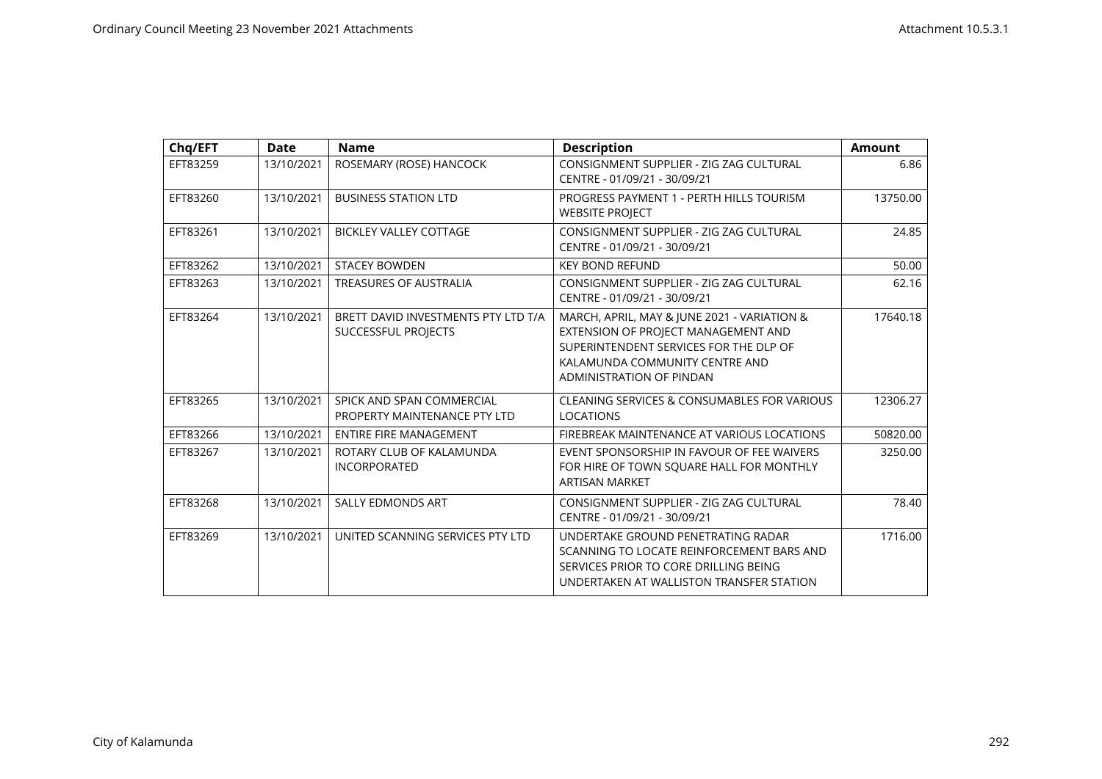| Chq/EFT  | <b>Date</b> | <b>Name</b>                                                | <b>Description</b>                                                                                                                                                                         | <b>Amount</b> |
|----------|-------------|------------------------------------------------------------|--------------------------------------------------------------------------------------------------------------------------------------------------------------------------------------------|---------------|
| EFT83259 | 13/10/2021  | ROSEMARY (ROSE) HANCOCK                                    | CONSIGNMENT SUPPLIER - ZIG ZAG CULTURAL<br>CENTRE - 01/09/21 - 30/09/21                                                                                                                    | 6.86          |
| EFT83260 | 13/10/2021  | <b>BUSINESS STATION LTD</b>                                | PROGRESS PAYMENT 1 - PERTH HILLS TOURISM<br><b>WEBSITE PROJECT</b>                                                                                                                         | 13750.00      |
| EFT83261 | 13/10/2021  | <b>BICKLEY VALLEY COTTAGE</b>                              | CONSIGNMENT SUPPLIER - ZIG ZAG CULTURAL<br>CENTRE - 01/09/21 - 30/09/21                                                                                                                    | 24.85         |
| EFT83262 | 13/10/2021  | <b>STACEY BOWDEN</b>                                       | <b>KEY BOND REFUND</b>                                                                                                                                                                     | 50.00         |
| EFT83263 | 13/10/2021  | TREASURES OF AUSTRALIA                                     | CONSIGNMENT SUPPLIER - ZIG ZAG CULTURAL<br>CENTRE - 01/09/21 - 30/09/21                                                                                                                    | 62.16         |
| EFT83264 | 13/10/2021  | BRETT DAVID INVESTMENTS PTY LTD T/A<br>SUCCESSFUL PROJECTS | MARCH, APRIL, MAY & JUNE 2021 - VARIATION &<br>EXTENSION OF PROJECT MANAGEMENT AND<br>SUPERINTENDENT SERVICES FOR THE DLP OF<br>KALAMUNDA COMMUNITY CENTRE AND<br>ADMINISTRATION OF PINDAN | 17640.18      |
| EFT83265 | 13/10/2021  | SPICK AND SPAN COMMERCIAL<br>PROPERTY MAINTENANCE PTY LTD  | <b>CLEANING SERVICES &amp; CONSUMABLES FOR VARIOUS</b><br><b>LOCATIONS</b>                                                                                                                 | 12306.27      |
| EFT83266 | 13/10/2021  | <b>ENTIRE FIRE MANAGEMENT</b>                              | FIREBREAK MAINTENANCE AT VARIOUS LOCATIONS                                                                                                                                                 | 50820.00      |
| EFT83267 | 13/10/2021  | ROTARY CLUB OF KALAMUNDA<br><b>INCORPORATED</b>            | EVENT SPONSORSHIP IN FAVOUR OF FEE WAIVERS<br>FOR HIRE OF TOWN SQUARE HALL FOR MONTHLY<br><b>ARTISAN MARKET</b>                                                                            | 3250.00       |
| EFT83268 | 13/10/2021  | <b>SALLY EDMONDS ART</b>                                   | CONSIGNMENT SUPPLIER - ZIG ZAG CULTURAL<br>CENTRE - 01/09/21 - 30/09/21                                                                                                                    | 78.40         |
| EFT83269 | 13/10/2021  | UNITED SCANNING SERVICES PTY LTD                           | UNDERTAKE GROUND PENETRATING RADAR<br>SCANNING TO LOCATE REINFORCEMENT BARS AND<br>SERVICES PRIOR TO CORE DRILLING BEING<br>UNDERTAKEN AT WALLISTON TRANSFER STATION                       | 1716.00       |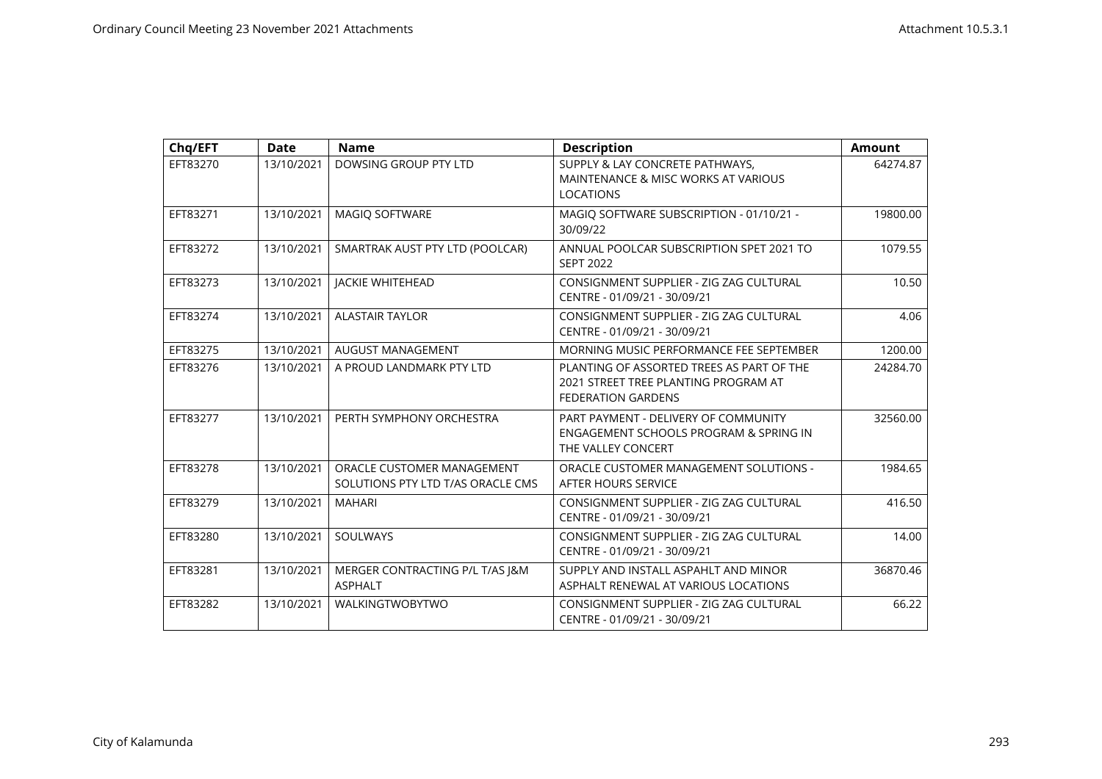| Chq/EFT  | <b>Date</b> | <b>Name</b>                                                     | <b>Description</b>                                                                                             | <b>Amount</b> |
|----------|-------------|-----------------------------------------------------------------|----------------------------------------------------------------------------------------------------------------|---------------|
| EFT83270 | 13/10/2021  | DOWSING GROUP PTY LTD                                           | SUPPLY & LAY CONCRETE PATHWAYS,<br>MAINTENANCE & MISC WORKS AT VARIOUS<br><b>LOCATIONS</b>                     | 64274.87      |
| EFT83271 | 13/10/2021  | MAGIQ SOFTWARE                                                  | MAGIQ SOFTWARE SUBSCRIPTION - 01/10/21 -<br>30/09/22                                                           | 19800.00      |
| EFT83272 | 13/10/2021  | SMARTRAK AUST PTY LTD (POOLCAR)                                 | ANNUAL POOLCAR SUBSCRIPTION SPET 2021 TO<br><b>SEPT 2022</b>                                                   | 1079.55       |
| EFT83273 | 13/10/2021  | <b>JACKIE WHITEHEAD</b>                                         | CONSIGNMENT SUPPLIER - ZIG ZAG CULTURAL<br>CENTRE - 01/09/21 - 30/09/21                                        | 10.50         |
| EFT83274 | 13/10/2021  | <b>ALASTAIR TAYLOR</b>                                          | CONSIGNMENT SUPPLIER - ZIG ZAG CULTURAL<br>CENTRE - 01/09/21 - 30/09/21                                        | 4.06          |
| EFT83275 | 13/10/2021  | <b>AUGUST MANAGEMENT</b>                                        | MORNING MUSIC PERFORMANCE FEE SEPTEMBER                                                                        | 1200.00       |
| EFT83276 | 13/10/2021  | A PROUD LANDMARK PTY LTD                                        | PLANTING OF ASSORTED TREES AS PART OF THE<br>2021 STREET TREE PLANTING PROGRAM AT<br><b>FEDERATION GARDENS</b> | 24284.70      |
| EFT83277 | 13/10/2021  | PERTH SYMPHONY ORCHESTRA                                        | PART PAYMENT - DELIVERY OF COMMUNITY<br>ENGAGEMENT SCHOOLS PROGRAM & SPRING IN<br>THE VALLEY CONCERT           | 32560.00      |
| EFT83278 | 13/10/2021  | ORACLE CUSTOMER MANAGEMENT<br>SOLUTIONS PTY LTD T/AS ORACLE CMS | ORACLE CUSTOMER MANAGEMENT SOLUTIONS -<br>AFTER HOURS SERVICE                                                  | 1984.65       |
| EFT83279 | 13/10/2021  | <b>MAHARI</b>                                                   | CONSIGNMENT SUPPLIER - ZIG ZAG CULTURAL<br>CENTRE - 01/09/21 - 30/09/21                                        | 416.50        |
| EFT83280 | 13/10/2021  | SOULWAYS                                                        | CONSIGNMENT SUPPLIER - ZIG ZAG CULTURAL<br>CENTRE - 01/09/21 - 30/09/21                                        | 14.00         |
| EFT83281 | 13/10/2021  | MERGER CONTRACTING P/L T/AS J&M<br><b>ASPHALT</b>               | SUPPLY AND INSTALL ASPAHLT AND MINOR<br>ASPHALT RENEWAL AT VARIOUS LOCATIONS                                   | 36870.46      |
| EFT83282 | 13/10/2021  | WALKINGTWOBYTWO                                                 | CONSIGNMENT SUPPLIER - ZIG ZAG CULTURAL<br>CENTRE - 01/09/21 - 30/09/21                                        | 66.22         |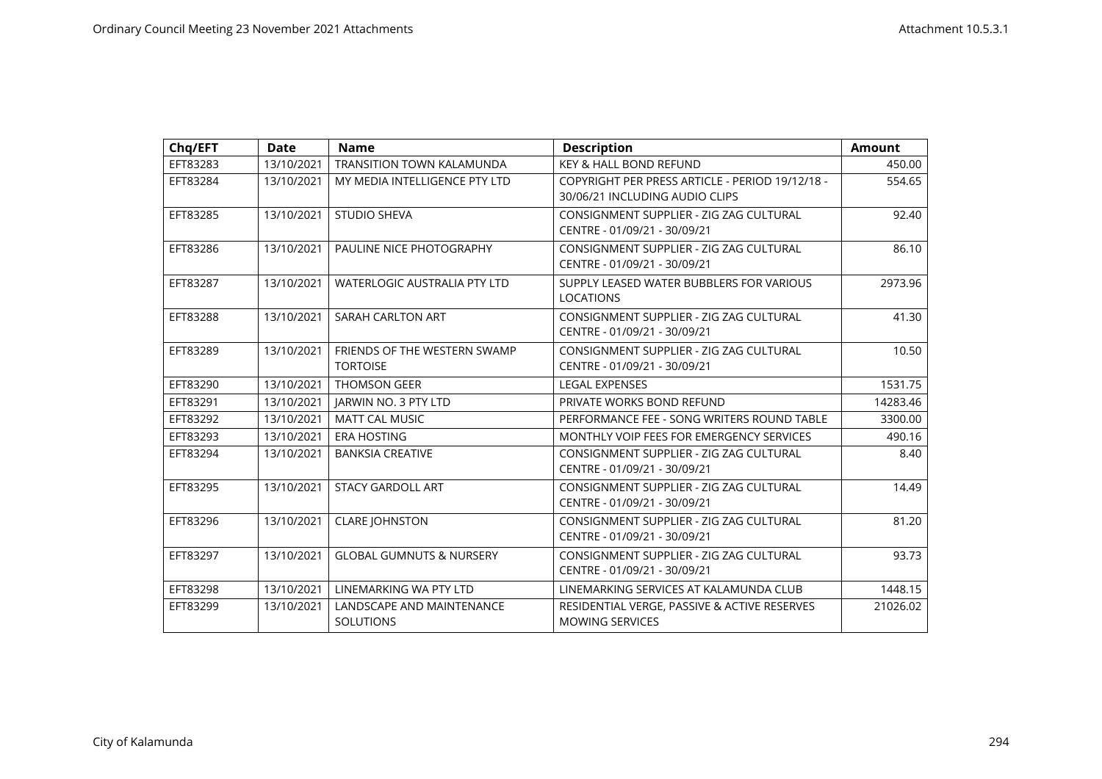| Chq/EFT  | <b>Date</b> | <b>Name</b>                                     | <b>Description</b>                                                                | <b>Amount</b> |
|----------|-------------|-------------------------------------------------|-----------------------------------------------------------------------------------|---------------|
| EFT83283 | 13/10/2021  | <b>TRANSITION TOWN KALAMUNDA</b>                | KEY & HALL BOND REFUND                                                            | 450.00        |
| EFT83284 | 13/10/2021  | MY MEDIA INTELLIGENCE PTY LTD                   | COPYRIGHT PER PRESS ARTICLE - PERIOD 19/12/18 -<br>30/06/21 INCLUDING AUDIO CLIPS | 554.65        |
| EFT83285 | 13/10/2021  | <b>STUDIO SHEVA</b>                             | CONSIGNMENT SUPPLIER - ZIG ZAG CULTURAL<br>CENTRE - 01/09/21 - 30/09/21           | 92.40         |
| EFT83286 | 13/10/2021  | PAULINE NICE PHOTOGRAPHY                        | CONSIGNMENT SUPPLIER - ZIG ZAG CULTURAL<br>CENTRE - 01/09/21 - 30/09/21           | 86.10         |
| EFT83287 | 13/10/2021  | <b>WATERLOGIC AUSTRALIA PTY LTD</b>             | SUPPLY LEASED WATER BUBBLERS FOR VARIOUS<br>LOCATIONS                             | 2973.96       |
| EFT83288 | 13/10/2021  | SARAH CARLTON ART                               | CONSIGNMENT SUPPLIER - ZIG ZAG CULTURAL<br>CENTRE - 01/09/21 - 30/09/21           | 41.30         |
| EFT83289 | 13/10/2021  | FRIENDS OF THE WESTERN SWAMP<br><b>TORTOISE</b> | CONSIGNMENT SUPPLIER - ZIG ZAG CULTURAL<br>CENTRE - 01/09/21 - 30/09/21           | 10.50         |
| EFT83290 | 13/10/2021  | <b>THOMSON GEER</b>                             | <b>LEGAL EXPENSES</b>                                                             | 1531.75       |
| EFT83291 | 13/10/2021  | JARWIN NO. 3 PTY LTD                            | PRIVATE WORKS BOND REFUND                                                         | 14283.46      |
| EFT83292 | 13/10/2021  | <b>MATT CAL MUSIC</b>                           | PERFORMANCE FEE - SONG WRITERS ROUND TABLE                                        | 3300.00       |
| EFT83293 | 13/10/2021  | <b>ERA HOSTING</b>                              | MONTHLY VOIP FEES FOR EMERGENCY SERVICES                                          | 490.16        |
| EFT83294 | 13/10/2021  | <b>BANKSIA CREATIVE</b>                         | CONSIGNMENT SUPPLIER - ZIG ZAG CULTURAL<br>CENTRE - 01/09/21 - 30/09/21           | 8.40          |
| EFT83295 | 13/10/2021  | <b>STACY GARDOLL ART</b>                        | CONSIGNMENT SUPPLIER - ZIG ZAG CULTURAL<br>CENTRE - 01/09/21 - 30/09/21           | 14.49         |
| EFT83296 | 13/10/2021  | <b>CLARE JOHNSTON</b>                           | CONSIGNMENT SUPPLIER - ZIG ZAG CULTURAL<br>CENTRE - 01/09/21 - 30/09/21           | 81.20         |
| EFT83297 | 13/10/2021  | <b>GLOBAL GUMNUTS &amp; NURSERY</b>             | CONSIGNMENT SUPPLIER - ZIG ZAG CULTURAL<br>CENTRE - 01/09/21 - 30/09/21           | 93.73         |
| EFT83298 | 13/10/2021  | LINEMARKING WA PTY LTD                          | LINEMARKING SERVICES AT KALAMUNDA CLUB                                            | 1448.15       |
| EFT83299 | 13/10/2021  | LANDSCAPE AND MAINTENANCE<br><b>SOLUTIONS</b>   | RESIDENTIAL VERGE, PASSIVE & ACTIVE RESERVES<br><b>MOWING SERVICES</b>            | 21026.02      |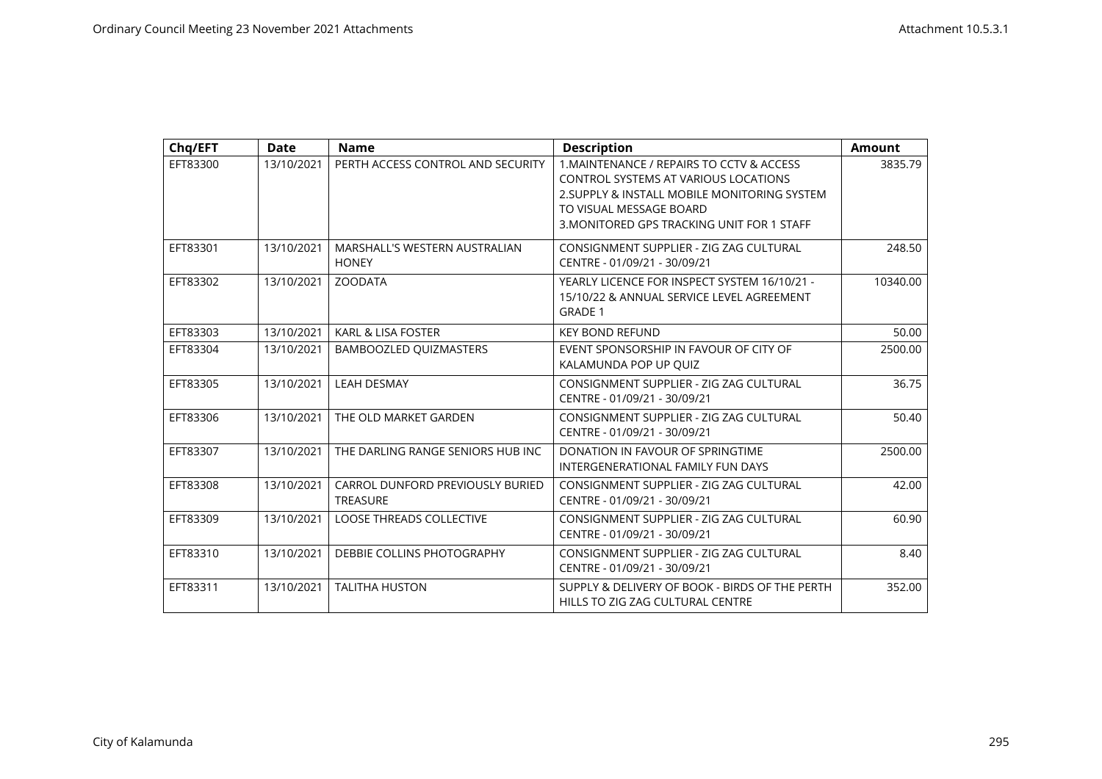| Chq/EFT  | <b>Date</b> | <b>Name</b>                                         | <b>Description</b>                                                                                                                                                                                                | <b>Amount</b> |
|----------|-------------|-----------------------------------------------------|-------------------------------------------------------------------------------------------------------------------------------------------------------------------------------------------------------------------|---------------|
| EFT83300 | 13/10/2021  | PERTH ACCESS CONTROL AND SECURITY                   | 1. MAINTENANCE / REPAIRS TO CCTV & ACCESS<br><b>CONTROL SYSTEMS AT VARIOUS LOCATIONS</b><br>2. SUPPLY & INSTALL MOBILE MONITORING SYSTEM<br>TO VISUAL MESSAGE BOARD<br>3. MONITORED GPS TRACKING UNIT FOR 1 STAFF | 3835.79       |
| EFT83301 | 13/10/2021  | MARSHALL'S WESTERN AUSTRALIAN<br><b>HONEY</b>       | CONSIGNMENT SUPPLIER - ZIG ZAG CULTURAL<br>CENTRE - 01/09/21 - 30/09/21                                                                                                                                           | 248.50        |
| EFT83302 | 13/10/2021  | <b>ZOODATA</b>                                      | YEARLY LICENCE FOR INSPECT SYSTEM 16/10/21 -<br>15/10/22 & ANNUAL SERVICE LEVEL AGREEMENT<br><b>GRADE 1</b>                                                                                                       | 10340.00      |
| EFT83303 | 13/10/2021  | <b>KARL &amp; LISA FOSTER</b>                       | <b>KEY BOND REFUND</b>                                                                                                                                                                                            | 50.00         |
| EFT83304 | 13/10/2021  | BAMBOOZLED QUIZMASTERS                              | EVENT SPONSORSHIP IN FAVOUR OF CITY OF<br>KALAMUNDA POP UP OUIZ                                                                                                                                                   | 2500.00       |
| EFT83305 | 13/10/2021  | <b>LEAH DESMAY</b>                                  | CONSIGNMENT SUPPLIER - ZIG ZAG CULTURAL<br>CENTRE - 01/09/21 - 30/09/21                                                                                                                                           | 36.75         |
| EFT83306 | 13/10/2021  | THE OLD MARKET GARDEN                               | CONSIGNMENT SUPPLIER - ZIG ZAG CULTURAL<br>CENTRE - 01/09/21 - 30/09/21                                                                                                                                           | 50.40         |
| EFT83307 | 13/10/2021  | THE DARLING RANGE SENIORS HUB INC                   | DONATION IN FAVOUR OF SPRINGTIME<br>INTERGENERATIONAL FAMILY FUN DAYS                                                                                                                                             | 2500.00       |
| EFT83308 | 13/10/2021  | CARROL DUNFORD PREVIOUSLY BURIED<br><b>TREASURE</b> | CONSIGNMENT SUPPLIER - ZIG ZAG CULTURAL<br>CENTRE - 01/09/21 - 30/09/21                                                                                                                                           | 42.00         |
| EFT83309 | 13/10/2021  | <b>LOOSE THREADS COLLECTIVE</b>                     | CONSIGNMENT SUPPLIER - ZIG ZAG CULTURAL<br>CENTRE - 01/09/21 - 30/09/21                                                                                                                                           | 60.90         |
| EFT83310 | 13/10/2021  | DEBBIE COLLINS PHOTOGRAPHY                          | CONSIGNMENT SUPPLIER - ZIG ZAG CULTURAL<br>CENTRE - 01/09/21 - 30/09/21                                                                                                                                           | 8.40          |
| EFT83311 | 13/10/2021  | <b>TALITHA HUSTON</b>                               | SUPPLY & DELIVERY OF BOOK - BIRDS OF THE PERTH<br>HILLS TO ZIG ZAG CULTURAL CENTRE                                                                                                                                | 352.00        |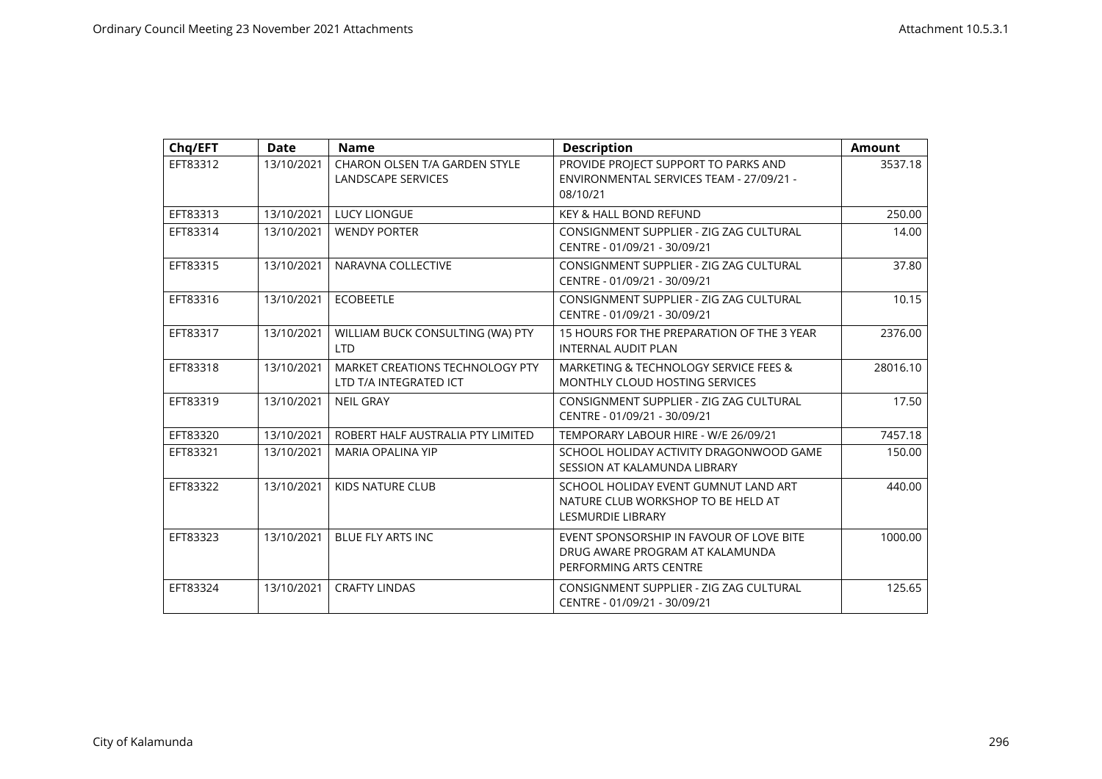| Chq/EFT  | <b>Date</b> | <b>Name</b>                                                | <b>Description</b>                                                                                     | <b>Amount</b> |
|----------|-------------|------------------------------------------------------------|--------------------------------------------------------------------------------------------------------|---------------|
| EFT83312 | 13/10/2021  | CHARON OLSEN T/A GARDEN STYLE<br><b>LANDSCAPE SERVICES</b> | PROVIDE PROJECT SUPPORT TO PARKS AND<br>ENVIRONMENTAL SERVICES TEAM - 27/09/21 -<br>08/10/21           | 3537.18       |
| EFT83313 | 13/10/2021  | <b>LUCY LIONGUE</b>                                        | <b>KEY &amp; HALL BOND REFUND</b>                                                                      | 250.00        |
| EFT83314 | 13/10/2021  | <b>WENDY PORTER</b>                                        | CONSIGNMENT SUPPLIER - ZIG ZAG CULTURAL<br>CENTRE - 01/09/21 - 30/09/21                                | 14.00         |
| EFT83315 | 13/10/2021  | NARAVNA COLLECTIVE                                         | CONSIGNMENT SUPPLIER - ZIG ZAG CULTURAL<br>CENTRE - 01/09/21 - 30/09/21                                | 37.80         |
| EFT83316 | 13/10/2021  | <b>ECOBEETLE</b>                                           | CONSIGNMENT SUPPLIER - ZIG ZAG CULTURAL<br>CENTRE - 01/09/21 - 30/09/21                                | 10.15         |
| EFT83317 | 13/10/2021  | WILLIAM BUCK CONSULTING (WA) PTY<br><b>LTD</b>             | 15 HOURS FOR THE PREPARATION OF THE 3 YEAR<br><b>INTERNAL AUDIT PLAN</b>                               | 2376.00       |
| EFT83318 | 13/10/2021  | MARKET CREATIONS TECHNOLOGY PTY<br>LTD T/A INTEGRATED ICT  | MARKETING & TECHNOLOGY SERVICE FEES &<br>MONTHLY CLOUD HOSTING SERVICES                                | 28016.10      |
| EFT83319 | 13/10/2021  | <b>NEIL GRAY</b>                                           | CONSIGNMENT SUPPLIER - ZIG ZAG CULTURAL<br>CENTRE - 01/09/21 - 30/09/21                                | 17.50         |
| EFT83320 | 13/10/2021  | ROBERT HALF AUSTRALIA PTY LIMITED                          | TEMPORARY LABOUR HIRE - W/E 26/09/21                                                                   | 7457.18       |
| EFT83321 | 13/10/2021  | <b>MARIA OPALINA YIP</b>                                   | SCHOOL HOLIDAY ACTIVITY DRAGONWOOD GAME<br>SESSION AT KALAMUNDA LIBRARY                                | 150.00        |
| EFT83322 | 13/10/2021  | <b>KIDS NATURE CLUB</b>                                    | SCHOOL HOLIDAY EVENT GUMNUT LAND ART<br>NATURE CLUB WORKSHOP TO BE HELD AT<br><b>LESMURDIE LIBRARY</b> | 440.00        |
| EFT83323 | 13/10/2021  | <b>BLUE FLY ARTS INC</b>                                   | EVENT SPONSORSHIP IN FAVOUR OF LOVE BITE<br>DRUG AWARE PROGRAM AT KALAMUNDA<br>PERFORMING ARTS CENTRE  | 1000.00       |
| EFT83324 | 13/10/2021  | <b>CRAFTY LINDAS</b>                                       | CONSIGNMENT SUPPLIER - ZIG ZAG CULTURAL<br>CENTRE - 01/09/21 - 30/09/21                                | 125.65        |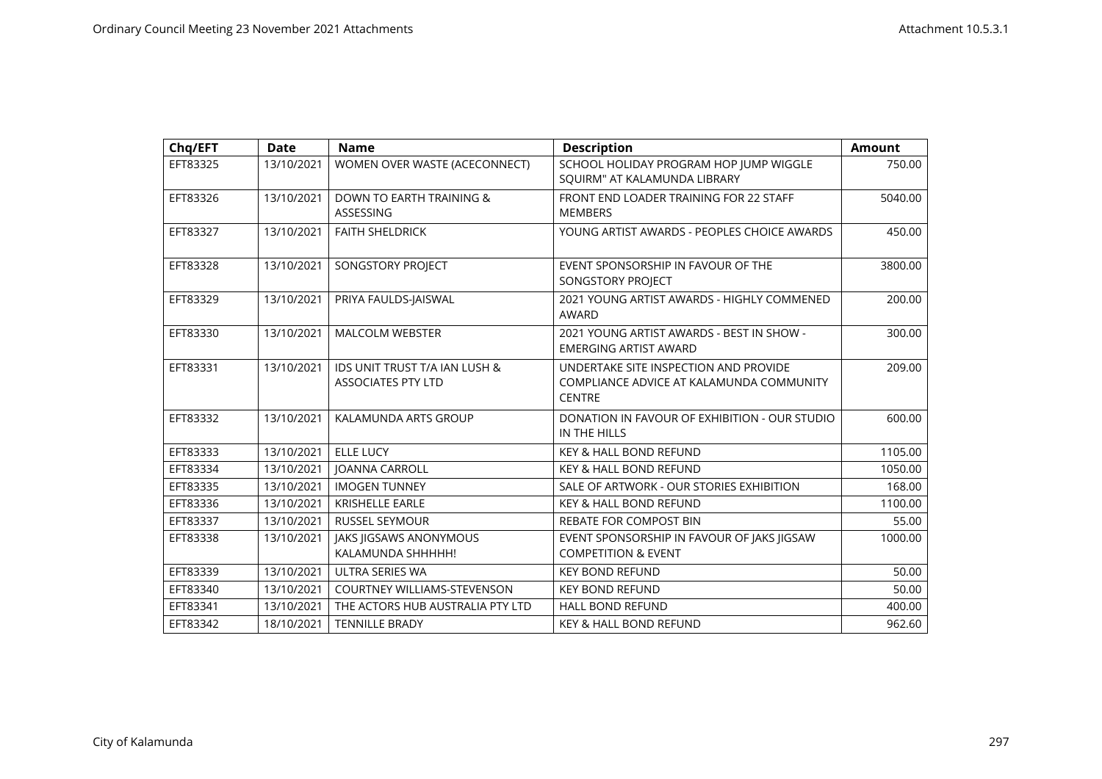| Chq/EFT  | <b>Date</b> | <b>Name</b>                                                           | <b>Description</b>                                                                                 | <b>Amount</b> |
|----------|-------------|-----------------------------------------------------------------------|----------------------------------------------------------------------------------------------------|---------------|
| EFT83325 | 13/10/2021  | WOMEN OVER WASTE (ACECONNECT)                                         | SCHOOL HOLIDAY PROGRAM HOP JUMP WIGGLE<br>SQUIRM" AT KALAMUNDA LIBRARY                             | 750.00        |
| EFT83326 | 13/10/2021  | <b>DOWN TO EARTH TRAINING &amp;</b><br><b>ASSESSING</b>               | FRONT END LOADER TRAINING FOR 22 STAFF<br><b>MEMBERS</b>                                           | 5040.00       |
| EFT83327 | 13/10/2021  | <b>FAITH SHELDRICK</b>                                                | YOUNG ARTIST AWARDS - PEOPLES CHOICE AWARDS                                                        | 450.00        |
| EFT83328 | 13/10/2021  | SONGSTORY PROJECT                                                     | EVENT SPONSORSHIP IN FAVOUR OF THE<br>SONGSTORY PROJECT                                            | 3800.00       |
| EFT83329 | 13/10/2021  | PRIYA FAULDS-JAISWAL                                                  | 2021 YOUNG ARTIST AWARDS - HIGHLY COMMENED<br>AWARD                                                | 200.00        |
| EFT83330 | 13/10/2021  | <b>MALCOLM WEBSTER</b>                                                | 2021 YOUNG ARTIST AWARDS - BEST IN SHOW -<br><b>EMERGING ARTIST AWARD</b>                          | 300.00        |
| EFT83331 | 13/10/2021  | <b>IDS UNIT TRUST T/A IAN LUSH &amp;</b><br><b>ASSOCIATES PTY LTD</b> | UNDERTAKE SITE INSPECTION AND PROVIDE<br>COMPLIANCE ADVICE AT KALAMUNDA COMMUNITY<br><b>CENTRE</b> | 209.00        |
| EFT83332 | 13/10/2021  | KALAMUNDA ARTS GROUP                                                  | DONATION IN FAVOUR OF EXHIBITION - OUR STUDIO<br>IN THE HILLS                                      | 600.00        |
| EFT83333 | 13/10/2021  | <b>ELLE LUCY</b>                                                      | <b>KEY &amp; HALL BOND REFUND</b>                                                                  | 1105.00       |
| EFT83334 | 13/10/2021  | <b>JOANNA CARROLL</b>                                                 | <b>KEY &amp; HALL BOND REFUND</b>                                                                  | 1050.00       |
| EFT83335 | 13/10/2021  | <b>IMOGEN TUNNEY</b>                                                  | SALE OF ARTWORK - OUR STORIES EXHIBITION                                                           | 168.00        |
| EFT83336 | 13/10/2021  | <b>KRISHELLE EARLE</b>                                                | <b>KEY &amp; HALL BOND REFUND</b>                                                                  | 1100.00       |
| EFT83337 | 13/10/2021  | <b>RUSSEL SEYMOUR</b>                                                 | <b>REBATE FOR COMPOST BIN</b>                                                                      | 55.00         |
| EFT83338 | 13/10/2021  | <b>JAKS JIGSAWS ANONYMOUS</b><br>KALAMUNDA SHHHHH!                    | EVENT SPONSORSHIP IN FAVOUR OF JAKS JIGSAW<br><b>COMPETITION &amp; EVENT</b>                       | 1000.00       |
| EFT83339 | 13/10/2021  | ULTRA SERIES WA                                                       | <b>KEY BOND REFUND</b>                                                                             | 50.00         |
| EFT83340 | 13/10/2021  | <b>COURTNEY WILLIAMS-STEVENSON</b>                                    | <b>KEY BOND REFUND</b>                                                                             | 50.00         |
| EFT83341 | 13/10/2021  | THE ACTORS HUB AUSTRALIA PTY LTD                                      | <b>HALL BOND REFUND</b>                                                                            | 400.00        |
| EFT83342 | 18/10/2021  | <b>TENNILLE BRADY</b>                                                 | <b>KEY &amp; HALL BOND REFUND</b>                                                                  | 962.60        |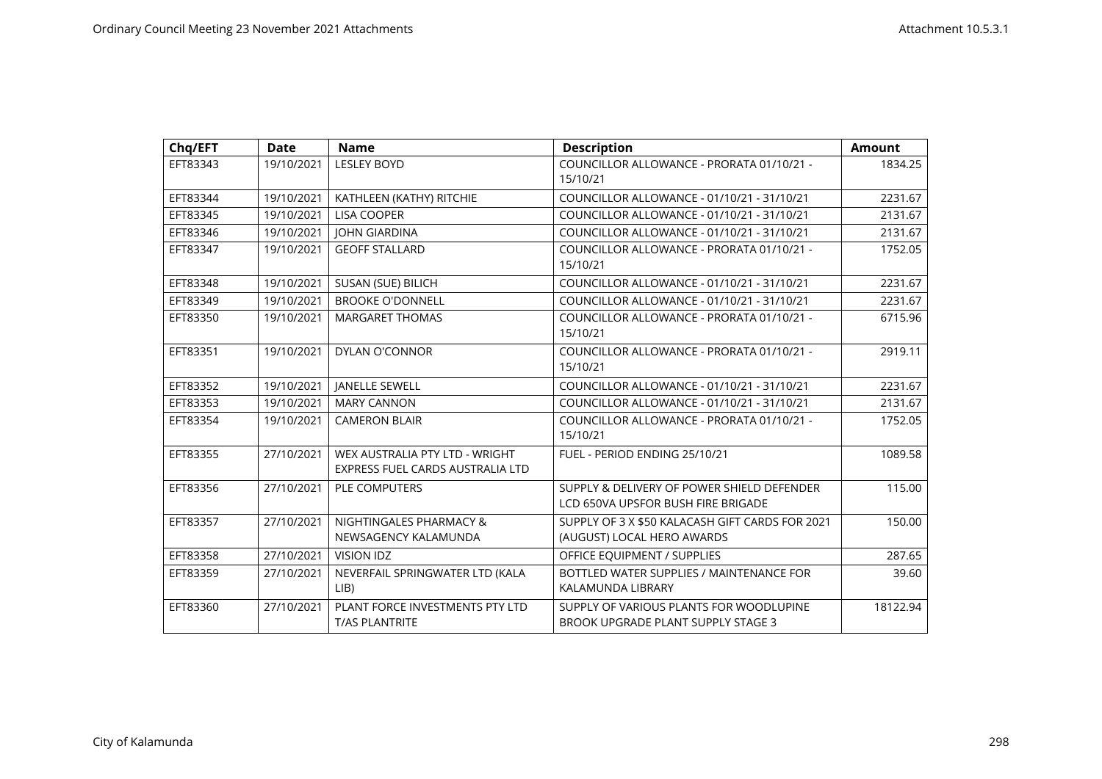| Chq/EFT  | <b>Date</b> | <b>Name</b>                                                        | <b>Description</b>                                                               | <b>Amount</b> |
|----------|-------------|--------------------------------------------------------------------|----------------------------------------------------------------------------------|---------------|
| EFT83343 | 19/10/2021  | <b>LESLEY BOYD</b>                                                 | COUNCILLOR ALLOWANCE - PRORATA 01/10/21 -<br>15/10/21                            | 1834.25       |
| EFT83344 | 19/10/2021  | KATHLEEN (KATHY) RITCHIE                                           | COUNCILLOR ALLOWANCE - 01/10/21 - 31/10/21                                       | 2231.67       |
| EFT83345 | 19/10/2021  | <b>LISA COOPER</b>                                                 | COUNCILLOR ALLOWANCE - 01/10/21 - 31/10/21                                       | 2131.67       |
| EFT83346 | 19/10/2021  | <b>JOHN GIARDINA</b>                                               | COUNCILLOR ALLOWANCE - 01/10/21 - 31/10/21                                       | 2131.67       |
| EFT83347 | 19/10/2021  | <b>GEOFF STALLARD</b>                                              | COUNCILLOR ALLOWANCE - PRORATA 01/10/21 -<br>15/10/21                            | 1752.05       |
| EFT83348 | 19/10/2021  | SUSAN (SUE) BILICH                                                 | COUNCILLOR ALLOWANCE - 01/10/21 - 31/10/21                                       | 2231.67       |
| EFT83349 | 19/10/2021  | <b>BROOKE O'DONNELL</b>                                            | COUNCILLOR ALLOWANCE - 01/10/21 - 31/10/21                                       | 2231.67       |
| EFT83350 | 19/10/2021  | <b>MARGARET THOMAS</b>                                             | COUNCILLOR ALLOWANCE - PRORATA 01/10/21 -<br>15/10/21                            | 6715.96       |
| EFT83351 | 19/10/2021  | <b>DYLAN O'CONNOR</b>                                              | COUNCILLOR ALLOWANCE - PRORATA 01/10/21 -<br>15/10/21                            | 2919.11       |
| EFT83352 | 19/10/2021  | <b>JANELLE SEWELL</b>                                              | COUNCILLOR ALLOWANCE - 01/10/21 - 31/10/21                                       | 2231.67       |
| EFT83353 | 19/10/2021  | <b>MARY CANNON</b>                                                 | COUNCILLOR ALLOWANCE - 01/10/21 - 31/10/21                                       | 2131.67       |
| EFT83354 | 19/10/2021  | <b>CAMERON BLAIR</b>                                               | COUNCILLOR ALLOWANCE - PRORATA 01/10/21 -<br>15/10/21                            | 1752.05       |
| EFT83355 | 27/10/2021  | WEX AUSTRALIA PTY LTD - WRIGHT<br>EXPRESS FUEL CARDS AUSTRALIA LTD | FUEL - PERIOD ENDING 25/10/21                                                    | 1089.58       |
| EFT83356 | 27/10/2021  | <b>PLE COMPUTERS</b>                                               | SUPPLY & DELIVERY OF POWER SHIELD DEFENDER<br>LCD 650VA UPSFOR BUSH FIRE BRIGADE | 115.00        |
| EFT83357 | 27/10/2021  | NIGHTINGALES PHARMACY &<br>NEWSAGENCY KALAMUNDA                    | SUPPLY OF 3 X \$50 KALACASH GIFT CARDS FOR 2021<br>(AUGUST) LOCAL HERO AWARDS    | 150.00        |
| EFT83358 | 27/10/2021  | <b>VISION IDZ</b>                                                  | OFFICE EQUIPMENT / SUPPLIES                                                      | 287.65        |
| EFT83359 | 27/10/2021  | NEVERFAIL SPRINGWATER LTD (KALA<br>LIB                             | BOTTLED WATER SUPPLIES / MAINTENANCE FOR<br>KALAMUNDA LIBRARY                    | 39.60         |
| EFT83360 | 27/10/2021  | PLANT FORCE INVESTMENTS PTY LTD<br><b>T/AS PLANTRITE</b>           | SUPPLY OF VARIOUS PLANTS FOR WOODLUPINE<br>BROOK UPGRADE PLANT SUPPLY STAGE 3    | 18122.94      |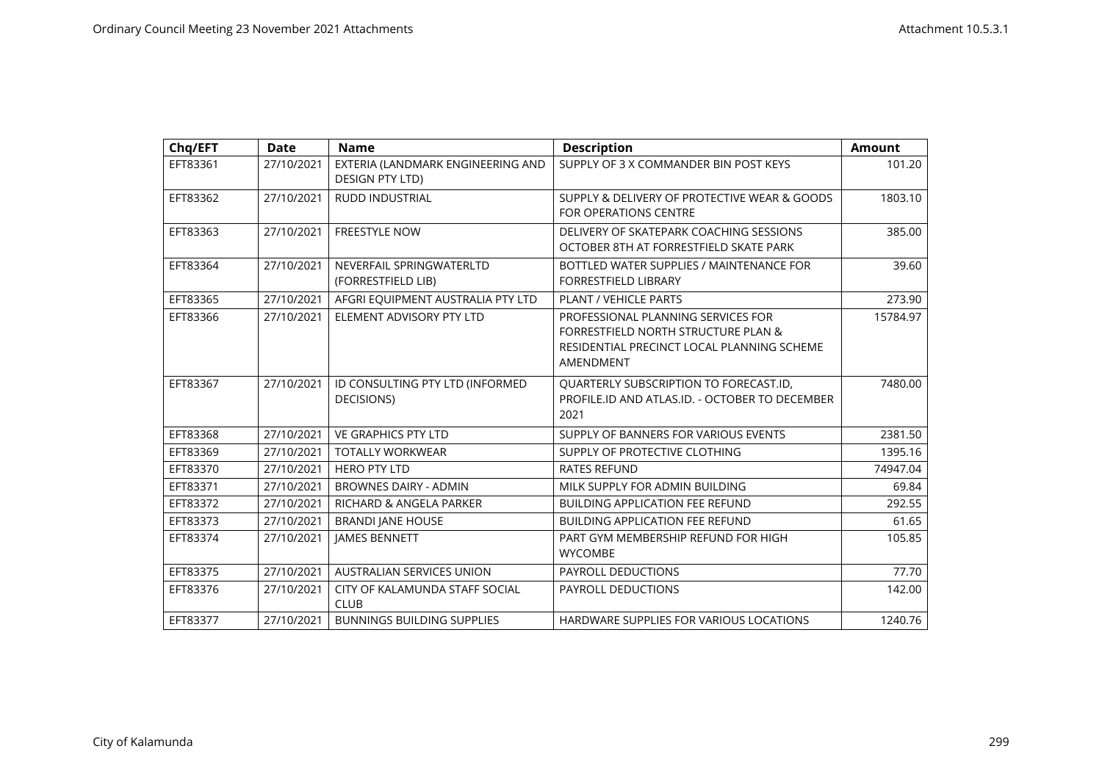| Chq/EFT  | <b>Date</b> | <b>Name</b>                                                 | <b>Description</b>                                                                                                                   | <b>Amount</b> |
|----------|-------------|-------------------------------------------------------------|--------------------------------------------------------------------------------------------------------------------------------------|---------------|
| EFT83361 | 27/10/2021  | EXTERIA (LANDMARK ENGINEERING AND<br><b>DESIGN PTY LTD)</b> | SUPPLY OF 3 X COMMANDER BIN POST KEYS                                                                                                | 101.20        |
| EFT83362 | 27/10/2021  | <b>RUDD INDUSTRIAL</b>                                      | SUPPLY & DELIVERY OF PROTECTIVE WEAR & GOODS<br><b>FOR OPERATIONS CENTRE</b>                                                         | 1803.10       |
| EFT83363 | 27/10/2021  | <b>FREESTYLE NOW</b>                                        | DELIVERY OF SKATEPARK COACHING SESSIONS<br>OCTOBER 8TH AT FORRESTFIELD SKATE PARK                                                    | 385.00        |
| EFT83364 | 27/10/2021  | NEVERFAIL SPRINGWATERLTD<br>(FORRESTFIELD LIB)              | BOTTLED WATER SUPPLIES / MAINTENANCE FOR<br><b>FORRESTFIELD LIBRARY</b>                                                              | 39.60         |
| EFT83365 | 27/10/2021  | AFGRI EQUIPMENT AUSTRALIA PTY LTD                           | PLANT / VEHICLE PARTS                                                                                                                | 273.90        |
| EFT83366 | 27/10/2021  | ELEMENT ADVISORY PTY LTD                                    | PROFESSIONAL PLANNING SERVICES FOR<br>FORRESTFIELD NORTH STRUCTURE PLAN &<br>RESIDENTIAL PRECINCT LOCAL PLANNING SCHEME<br>AMENDMENT | 15784.97      |
| EFT83367 | 27/10/2021  | ID CONSULTING PTY LTD (INFORMED<br>DECISIONS)               | QUARTERLY SUBSCRIPTION TO FORECAST.ID,<br>PROFILE.ID AND ATLAS.ID. - OCTOBER TO DECEMBER<br>2021                                     | 7480.00       |
| EFT83368 | 27/10/2021  | <b>VE GRAPHICS PTY LTD</b>                                  | SUPPLY OF BANNERS FOR VARIOUS EVENTS                                                                                                 | 2381.50       |
| EFT83369 | 27/10/2021  | <b>TOTALLY WORKWEAR</b>                                     | SUPPLY OF PROTECTIVE CLOTHING                                                                                                        | 1395.16       |
| EFT83370 | 27/10/2021  | <b>HERO PTY LTD</b>                                         | <b>RATES REFUND</b>                                                                                                                  | 74947.04      |
| EFT83371 | 27/10/2021  | <b>BROWNES DAIRY - ADMIN</b>                                | MILK SUPPLY FOR ADMIN BUILDING                                                                                                       | 69.84         |
| EFT83372 | 27/10/2021  | RICHARD & ANGELA PARKER                                     | <b>BUILDING APPLICATION FEE REFUND</b>                                                                                               | 292.55        |
| EFT83373 | 27/10/2021  | <b>BRANDI JANE HOUSE</b>                                    | <b>BUILDING APPLICATION FEE REFUND</b>                                                                                               | 61.65         |
| EFT83374 | 27/10/2021  | <b>JAMES BENNETT</b>                                        | PART GYM MEMBERSHIP REFUND FOR HIGH<br><b>WYCOMBE</b>                                                                                | 105.85        |
| EFT83375 | 27/10/2021  | <b>AUSTRALIAN SERVICES UNION</b>                            | <b>PAYROLL DEDUCTIONS</b>                                                                                                            | 77.70         |
| EFT83376 | 27/10/2021  | CITY OF KALAMUNDA STAFF SOCIAL<br><b>CLUB</b>               | PAYROLL DEDUCTIONS                                                                                                                   | 142.00        |
| EFT83377 | 27/10/2021  | <b>BUNNINGS BUILDING SUPPLIES</b>                           | HARDWARE SUPPLIES FOR VARIOUS LOCATIONS                                                                                              | 1240.76       |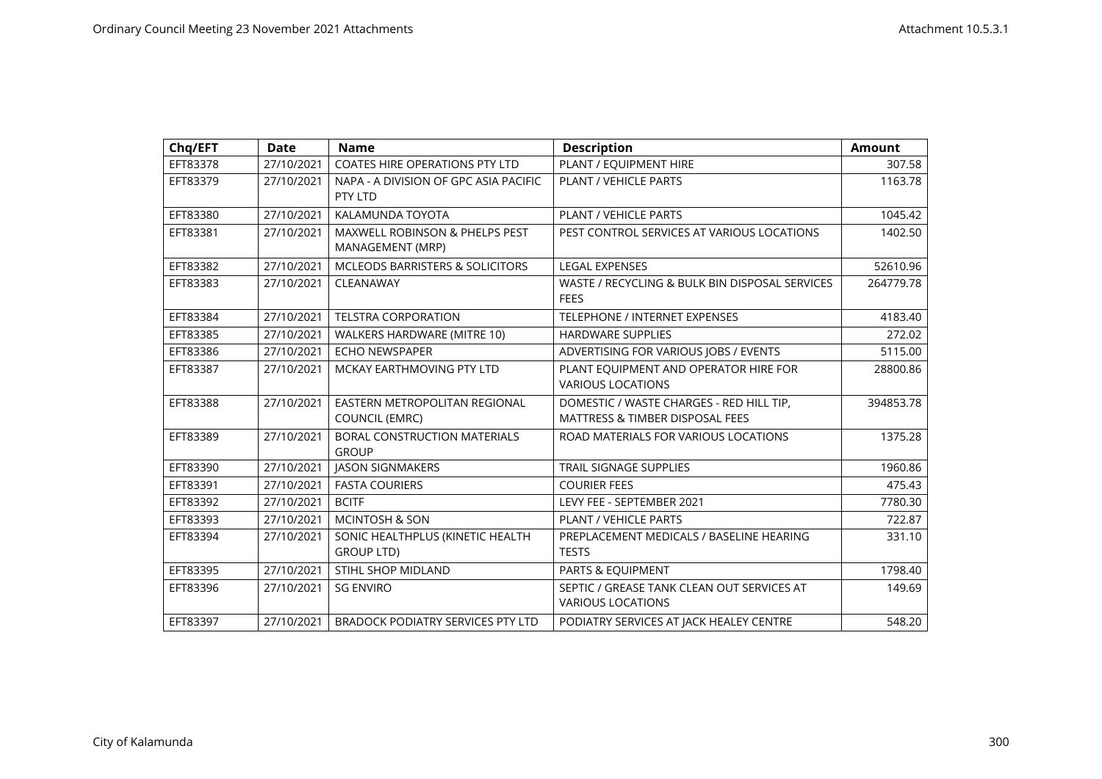| Chq/EFT  | <b>Date</b> | <b>Name</b>                                                   | <b>Description</b>                                                                     | <b>Amount</b> |
|----------|-------------|---------------------------------------------------------------|----------------------------------------------------------------------------------------|---------------|
| EFT83378 | 27/10/2021  | COATES HIRE OPERATIONS PTY LTD                                | PLANT / EQUIPMENT HIRE                                                                 | 307.58        |
| EFT83379 | 27/10/2021  | NAPA - A DIVISION OF GPC ASIA PACIFIC<br>PTY LTD              | PLANT / VEHICLE PARTS                                                                  | 1163.78       |
| EFT83380 | 27/10/2021  | KALAMUNDA TOYOTA                                              | PLANT / VEHICLE PARTS                                                                  | 1045.42       |
| EFT83381 | 27/10/2021  | <b>MAXWELL ROBINSON &amp; PHELPS PEST</b><br>MANAGEMENT (MRP) | PEST CONTROL SERVICES AT VARIOUS LOCATIONS                                             | 1402.50       |
| EFT83382 | 27/10/2021  | MCLEODS BARRISTERS & SOLICITORS                               | <b>LEGAL EXPENSES</b>                                                                  | 52610.96      |
| EFT83383 | 27/10/2021  | CLEANAWAY                                                     | WASTE / RECYCLING & BULK BIN DISPOSAL SERVICES<br><b>FEES</b>                          | 264779.78     |
| EFT83384 | 27/10/2021  | <b>TELSTRA CORPORATION</b>                                    | <b>TELEPHONE / INTERNET EXPENSES</b>                                                   | 4183.40       |
| EFT83385 | 27/10/2021  | WALKERS HARDWARE (MITRE 10)                                   | <b>HARDWARE SUPPLIES</b>                                                               | 272.02        |
| EFT83386 | 27/10/2021  | <b>ECHO NEWSPAPER</b>                                         | ADVERTISING FOR VARIOUS JOBS / EVENTS                                                  | 5115.00       |
| EFT83387 | 27/10/2021  | MCKAY EARTHMOVING PTY LTD                                     | PLANT EQUIPMENT AND OPERATOR HIRE FOR<br><b>VARIOUS LOCATIONS</b>                      | 28800.86      |
| EFT83388 | 27/10/2021  | EASTERN METROPOLITAN REGIONAL<br><b>COUNCIL (EMRC)</b>        | DOMESTIC / WASTE CHARGES - RED HILL TIP,<br><b>MATTRESS &amp; TIMBER DISPOSAL FEES</b> | 394853.78     |
| EFT83389 | 27/10/2021  | <b>BORAL CONSTRUCTION MATERIALS</b><br><b>GROUP</b>           | ROAD MATERIALS FOR VARIOUS LOCATIONS                                                   | 1375.28       |
| EFT83390 | 27/10/2021  | <b>JASON SIGNMAKERS</b>                                       | <b>TRAIL SIGNAGE SUPPLIES</b>                                                          | 1960.86       |
| EFT83391 | 27/10/2021  | <b>FASTA COURIERS</b>                                         | <b>COURIER FEES</b>                                                                    | 475.43        |
| EFT83392 | 27/10/2021  | <b>BCITF</b>                                                  | LEVY FEE - SEPTEMBER 2021                                                              | 7780.30       |
| EFT83393 | 27/10/2021  | <b>MCINTOSH &amp; SON</b>                                     | PLANT / VEHICLE PARTS                                                                  | 722.87        |
| EFT83394 | 27/10/2021  | SONIC HEALTHPLUS (KINETIC HEALTH<br>GROUP LTD)                | PREPLACEMENT MEDICALS / BASELINE HEARING<br><b>TESTS</b>                               | 331.10        |
| EFT83395 | 27/10/2021  | STIHL SHOP MIDLAND                                            | PARTS & EQUIPMENT                                                                      | 1798.40       |
| EFT83396 | 27/10/2021  | <b>SG ENVIRO</b>                                              | SEPTIC / GREASE TANK CLEAN OUT SERVICES AT<br><b>VARIOUS LOCATIONS</b>                 | 149.69        |
| EFT83397 | 27/10/2021  | <b>BRADOCK PODIATRY SERVICES PTY LTD</b>                      | PODIATRY SERVICES AT JACK HEALEY CENTRE                                                | 548.20        |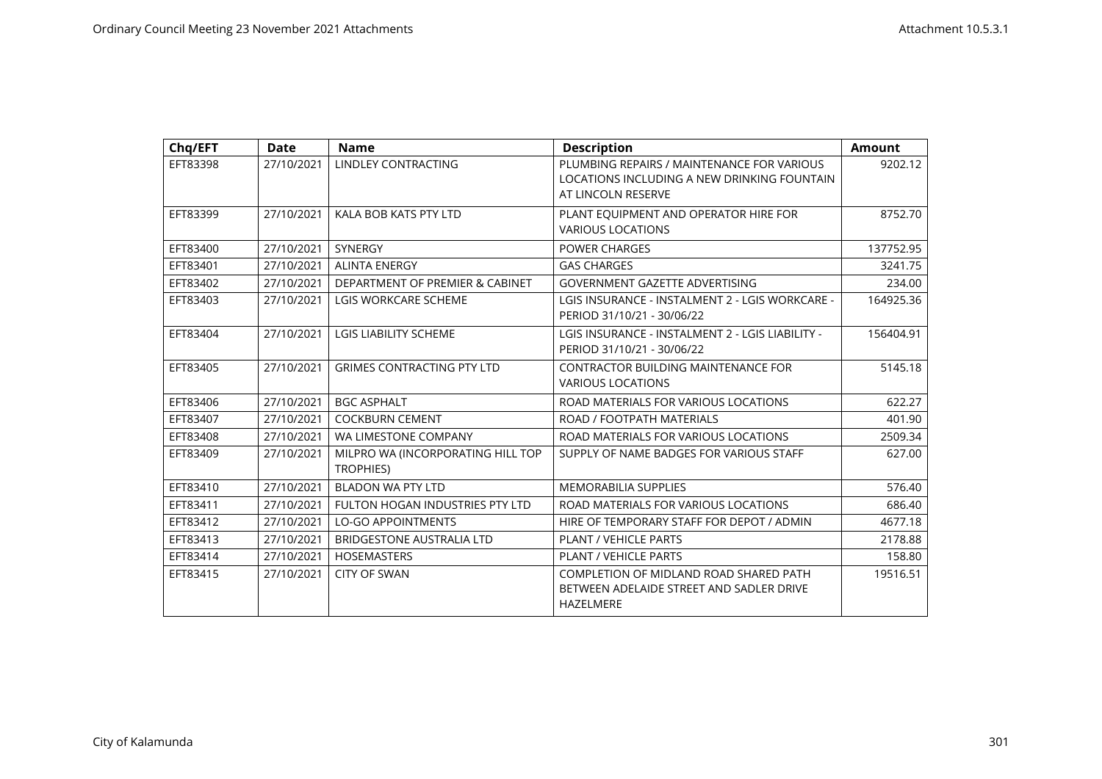| Chq/EFT  | <b>Date</b> | <b>Name</b>                                    | <b>Description</b>                                                                                              | <b>Amount</b> |
|----------|-------------|------------------------------------------------|-----------------------------------------------------------------------------------------------------------------|---------------|
| EFT83398 | 27/10/2021  | <b>LINDLEY CONTRACTING</b>                     | PLUMBING REPAIRS / MAINTENANCE FOR VARIOUS<br>LOCATIONS INCLUDING A NEW DRINKING FOUNTAIN<br>AT LINCOLN RESERVE | 9202.12       |
| EFT83399 | 27/10/2021  | KALA BOB KATS PTY LTD                          | PLANT EQUIPMENT AND OPERATOR HIRE FOR<br><b>VARIOUS LOCATIONS</b>                                               | 8752.70       |
| EFT83400 | 27/10/2021  | <b>SYNERGY</b>                                 | <b>POWER CHARGES</b>                                                                                            | 137752.95     |
| EFT83401 | 27/10/2021  | <b>ALINTA ENERGY</b>                           | <b>GAS CHARGES</b>                                                                                              | 3241.75       |
| EFT83402 | 27/10/2021  | DEPARTMENT OF PREMIER & CABINET                | <b>GOVERNMENT GAZETTE ADVERTISING</b>                                                                           | 234.00        |
| EFT83403 | 27/10/2021  | <b>LGIS WORKCARE SCHEME</b>                    | LGIS INSURANCE - INSTALMENT 2 - LGIS WORKCARE -<br>PERIOD 31/10/21 - 30/06/22                                   | 164925.36     |
| EFT83404 | 27/10/2021  | <b>LGIS LIABILITY SCHEME</b>                   | LGIS INSURANCE - INSTALMENT 2 - LGIS LIABILITY -<br>PERIOD 31/10/21 - 30/06/22                                  | 156404.91     |
| EFT83405 | 27/10/2021  | <b>GRIMES CONTRACTING PTY LTD</b>              | <b>CONTRACTOR BUILDING MAINTENANCE FOR</b><br><b>VARIOUS LOCATIONS</b>                                          | 5145.18       |
| EFT83406 | 27/10/2021  | <b>BGC ASPHALT</b>                             | ROAD MATERIALS FOR VARIOUS LOCATIONS                                                                            | 622.27        |
| EFT83407 | 27/10/2021  | <b>COCKBURN CEMENT</b>                         | ROAD / FOOTPATH MATERIALS                                                                                       | 401.90        |
| EFT83408 | 27/10/2021  | WA LIMESTONE COMPANY                           | ROAD MATERIALS FOR VARIOUS LOCATIONS                                                                            | 2509.34       |
| EFT83409 | 27/10/2021  | MILPRO WA (INCORPORATING HILL TOP<br>TROPHIES) | SUPPLY OF NAME BADGES FOR VARIOUS STAFF                                                                         | 627.00        |
| EFT83410 | 27/10/2021  | <b>BLADON WA PTY LTD</b>                       | <b>MEMORABILIA SUPPLIES</b>                                                                                     | 576.40        |
| EFT83411 | 27/10/2021  | <b>FULTON HOGAN INDUSTRIES PTY LTD</b>         | ROAD MATERIALS FOR VARIOUS LOCATIONS                                                                            | 686.40        |
| EFT83412 | 27/10/2021  | <b>LO-GO APPOINTMENTS</b>                      | HIRE OF TEMPORARY STAFF FOR DEPOT / ADMIN                                                                       | 4677.18       |
| EFT83413 | 27/10/2021  | <b>BRIDGESTONE AUSTRALIA LTD</b>               | PLANT / VEHICLE PARTS                                                                                           | 2178.88       |
| EFT83414 | 27/10/2021  | <b>HOSEMASTERS</b>                             | PLANT / VEHICLE PARTS                                                                                           | 158.80        |
| EFT83415 | 27/10/2021  | <b>CITY OF SWAN</b>                            | COMPLETION OF MIDLAND ROAD SHARED PATH<br>BETWEEN ADELAIDE STREET AND SADLER DRIVE<br><b>HAZELMERE</b>          | 19516.51      |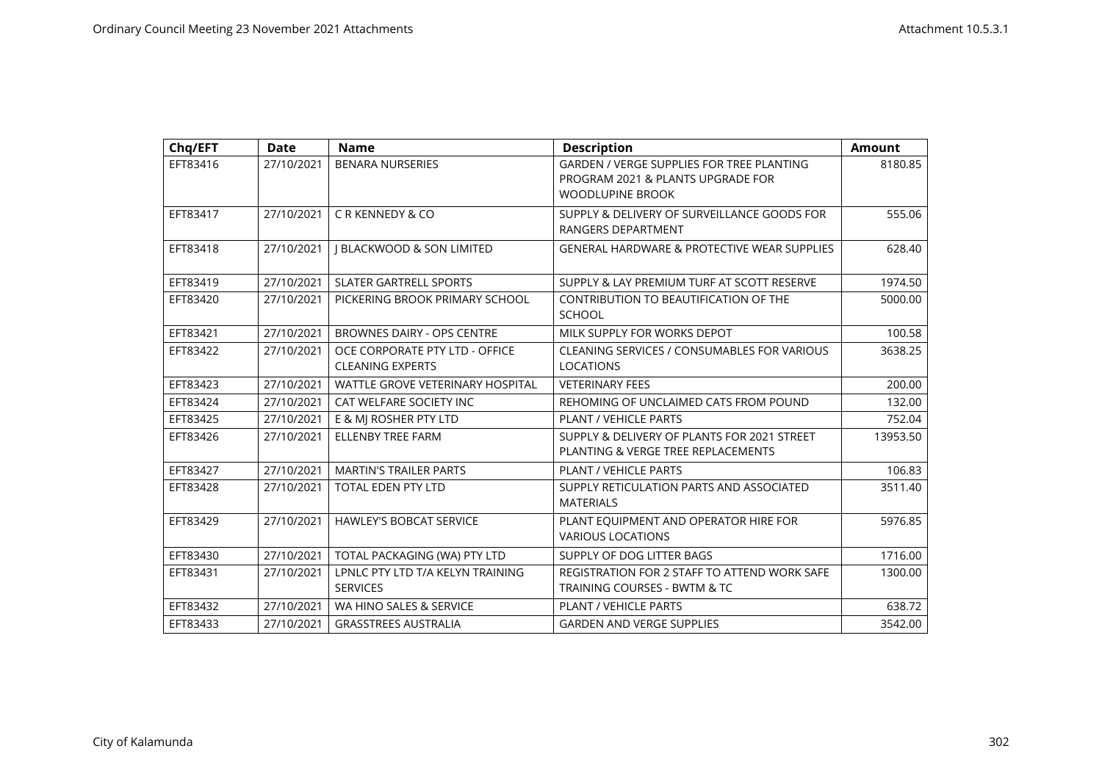| Chq/EFT  | <b>Date</b> | <b>Name</b>                                               | <b>Description</b>                                                                                        | <b>Amount</b> |
|----------|-------------|-----------------------------------------------------------|-----------------------------------------------------------------------------------------------------------|---------------|
| EFT83416 | 27/10/2021  | <b>BENARA NURSERIES</b>                                   | GARDEN / VERGE SUPPLIES FOR TREE PLANTING<br>PROGRAM 2021 & PLANTS UPGRADE FOR<br><b>WOODLUPINE BROOK</b> | 8180.85       |
| EFT83417 | 27/10/2021  | C R KENNEDY & CO                                          | SUPPLY & DELIVERY OF SURVEILLANCE GOODS FOR<br>RANGERS DEPARTMENT                                         | 555.06        |
| EFT83418 | 27/10/2021  | <b>I BLACKWOOD &amp; SON LIMITED</b>                      | <b>GENERAL HARDWARE &amp; PROTECTIVE WEAR SUPPLIES</b>                                                    | 628.40        |
| EFT83419 | 27/10/2021  | <b>SLATER GARTRELL SPORTS</b>                             | SUPPLY & LAY PREMIUM TURF AT SCOTT RESERVE                                                                | 1974.50       |
| EFT83420 | 27/10/2021  | PICKERING BROOK PRIMARY SCHOOL                            | CONTRIBUTION TO BEAUTIFICATION OF THE<br><b>SCHOOL</b>                                                    | 5000.00       |
| EFT83421 | 27/10/2021  | <b>BROWNES DAIRY - OPS CENTRE</b>                         | MILK SUPPLY FOR WORKS DEPOT                                                                               | 100.58        |
| EFT83422 | 27/10/2021  | OCE CORPORATE PTY LTD - OFFICE<br><b>CLEANING EXPERTS</b> | CLEANING SERVICES / CONSUMABLES FOR VARIOUS<br><b>LOCATIONS</b>                                           | 3638.25       |
| EFT83423 | 27/10/2021  | WATTLE GROVE VETERINARY HOSPITAL                          | <b>VETERINARY FEES</b>                                                                                    | 200.00        |
| EFT83424 | 27/10/2021  | CAT WELFARE SOCIETY INC                                   | REHOMING OF UNCLAIMED CATS FROM POUND                                                                     | 132.00        |
| EFT83425 | 27/10/2021  | E & MI ROSHER PTY LTD                                     | <b>PLANT / VEHICLE PARTS</b>                                                                              | 752.04        |
| EFT83426 | 27/10/2021  | <b>ELLENBY TREE FARM</b>                                  | SUPPLY & DELIVERY OF PLANTS FOR 2021 STREET<br>PLANTING & VERGE TREE REPLACEMENTS                         | 13953.50      |
| EFT83427 | 27/10/2021  | <b>MARTIN'S TRAILER PARTS</b>                             | <b>PLANT / VEHICLE PARTS</b>                                                                              | 106.83        |
| EFT83428 | 27/10/2021  | <b>TOTAL EDEN PTY LTD</b>                                 | SUPPLY RETICULATION PARTS AND ASSOCIATED<br><b>MATERIALS</b>                                              | 3511.40       |
| EFT83429 | 27/10/2021  | <b>HAWLEY'S BOBCAT SERVICE</b>                            | PLANT EQUIPMENT AND OPERATOR HIRE FOR<br><b>VARIOUS LOCATIONS</b>                                         | 5976.85       |
| EFT83430 | 27/10/2021  | TOTAL PACKAGING (WA) PTY LTD                              | SUPPLY OF DOG LITTER BAGS                                                                                 | 1716.00       |
| EFT83431 | 27/10/2021  | LPNLC PTY LTD T/A KELYN TRAINING<br><b>SERVICES</b>       | REGISTRATION FOR 2 STAFF TO ATTEND WORK SAFE<br>TRAINING COURSES - BWTM & TC                              | 1300.00       |
| EFT83432 | 27/10/2021  | WA HINO SALES & SERVICE                                   | PLANT / VEHICLE PARTS                                                                                     | 638.72        |
| EFT83433 | 27/10/2021  | <b>GRASSTREES AUSTRALIA</b>                               | <b>GARDEN AND VERGE SUPPLIES</b>                                                                          | 3542.00       |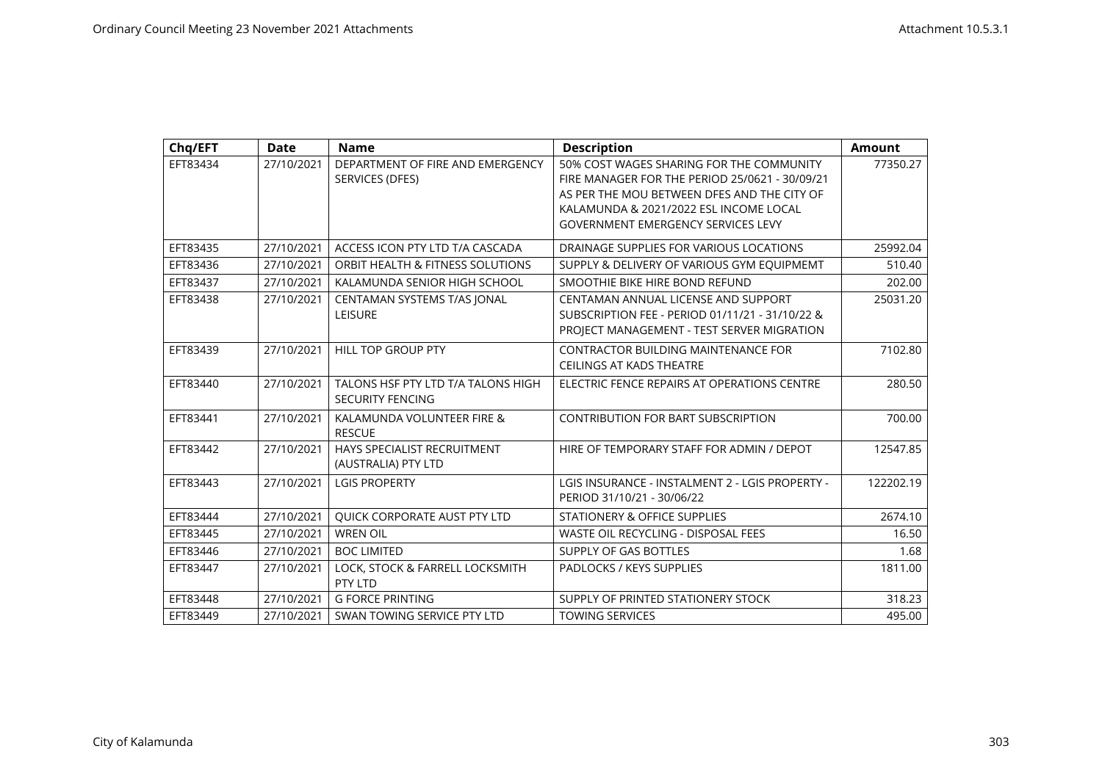| Chq/EFT  | <b>Date</b> | <b>Name</b>                        | <b>Description</b>                              | <b>Amount</b> |
|----------|-------------|------------------------------------|-------------------------------------------------|---------------|
| EFT83434 | 27/10/2021  | DEPARTMENT OF FIRE AND EMERGENCY   | 50% COST WAGES SHARING FOR THE COMMUNITY        | 77350.27      |
|          |             | SERVICES (DFES)                    | FIRE MANAGER FOR THE PERIOD 25/0621 - 30/09/21  |               |
|          |             |                                    | AS PER THE MOU BETWEEN DFES AND THE CITY OF     |               |
|          |             |                                    | KALAMUNDA & 2021/2022 ESL INCOME LOCAL          |               |
|          |             |                                    | <b>GOVERNMENT EMERGENCY SERVICES LEVY</b>       |               |
| EFT83435 | 27/10/2021  | ACCESS ICON PTY LTD T/A CASCADA    | DRAINAGE SUPPLIES FOR VARIOUS LOCATIONS         | 25992.04      |
| EFT83436 | 27/10/2021  | ORBIT HEALTH & FITNESS SOLUTIONS   | SUPPLY & DELIVERY OF VARIOUS GYM EQUIPMEMT      | 510.40        |
| EFT83437 | 27/10/2021  | KALAMUNDA SENIOR HIGH SCHOOL       | SMOOTHIE BIKE HIRE BOND REFUND                  | 202.00        |
| EFT83438 | 27/10/2021  | CENTAMAN SYSTEMS T/AS JONAL        | CENTAMAN ANNUAL LICENSE AND SUPPORT             | 25031.20      |
|          |             | <b>LEISURE</b>                     | SUBSCRIPTION FEE - PERIOD 01/11/21 - 31/10/22 & |               |
|          |             |                                    | PROJECT MANAGEMENT - TEST SERVER MIGRATION      |               |
| EFT83439 | 27/10/2021  | <b>HILL TOP GROUP PTY</b>          | CONTRACTOR BUILDING MAINTENANCE FOR             | 7102.80       |
|          |             |                                    | <b>CEILINGS AT KADS THEATRE</b>                 |               |
| EFT83440 | 27/10/2021  | TALONS HSF PTY LTD T/A TALONS HIGH | ELECTRIC FENCE REPAIRS AT OPERATIONS CENTRE     | 280.50        |
|          |             | <b>SECURITY FENCING</b>            |                                                 |               |
| EFT83441 | 27/10/2021  | KALAMUNDA VOLUNTEER FIRE &         | <b>CONTRIBUTION FOR BART SUBSCRIPTION</b>       | 700.00        |
|          |             | <b>RESCUE</b>                      |                                                 |               |
| EFT83442 | 27/10/2021  | HAYS SPECIALIST RECRUITMENT        | HIRE OF TEMPORARY STAFF FOR ADMIN / DEPOT       | 12547.85      |
|          |             | (AUSTRALIA) PTY LTD                |                                                 |               |
| EFT83443 | 27/10/2021  | <b>LGIS PROPERTY</b>               | LGIS INSURANCE - INSTALMENT 2 - LGIS PROPERTY - | 122202.19     |
|          |             |                                    | PERIOD 31/10/21 - 30/06/22                      |               |
| EFT83444 | 27/10/2021  | QUICK CORPORATE AUST PTY LTD       | STATIONERY & OFFICE SUPPLIES                    | 2674.10       |
| EFT83445 | 27/10/2021  | <b>WREN OIL</b>                    | WASTE OIL RECYCLING - DISPOSAL FEES             | 16.50         |
| EFT83446 | 27/10/2021  | <b>BOC LIMITED</b>                 | SUPPLY OF GAS BOTTLES                           | 1.68          |
| EFT83447 | 27/10/2021  | LOCK, STOCK & FARRELL LOCKSMITH    | PADLOCKS / KEYS SUPPLIES                        | 1811.00       |
|          |             | PTY LTD                            |                                                 |               |
| EFT83448 | 27/10/2021  | <b>G FORCE PRINTING</b>            | SUPPLY OF PRINTED STATIONERY STOCK              | 318.23        |
| EFT83449 | 27/10/2021  | SWAN TOWING SERVICE PTY LTD        | <b>TOWING SERVICES</b>                          | 495.00        |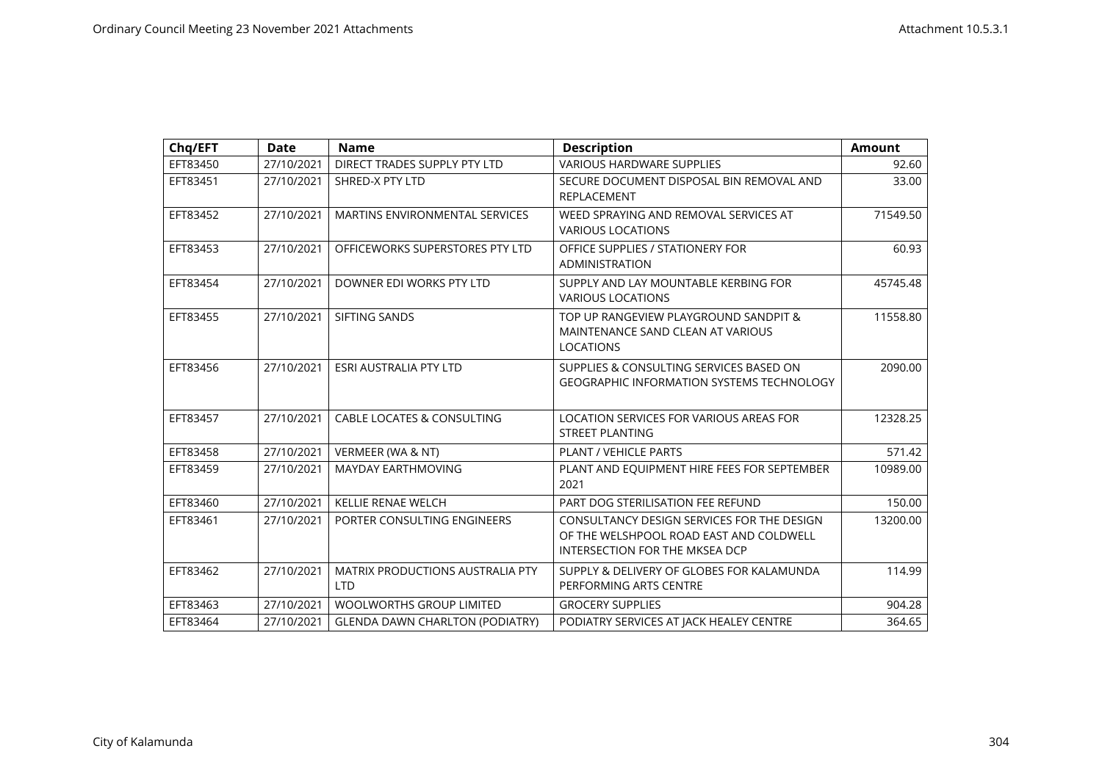| Chq/EFT  | <b>Date</b> | <b>Name</b>                                           | <b>Description</b>                                                                                                      | <b>Amount</b> |
|----------|-------------|-------------------------------------------------------|-------------------------------------------------------------------------------------------------------------------------|---------------|
| EFT83450 | 27/10/2021  | DIRECT TRADES SUPPLY PTY LTD                          | <b>VARIOUS HARDWARE SUPPLIES</b>                                                                                        | 92.60         |
| EFT83451 | 27/10/2021  | SHRED-X PTY LTD                                       | SECURE DOCUMENT DISPOSAL BIN REMOVAL AND<br>REPLACEMENT                                                                 | 33.00         |
| EFT83452 | 27/10/2021  | MARTINS ENVIRONMENTAL SERVICES                        | WEED SPRAYING AND REMOVAL SERVICES AT<br><b>VARIOUS LOCATIONS</b>                                                       | 71549.50      |
| EFT83453 | 27/10/2021  | OFFICEWORKS SUPERSTORES PTY LTD                       | OFFICE SUPPLIES / STATIONERY FOR<br>ADMINISTRATION                                                                      | 60.93         |
| EFT83454 | 27/10/2021  | DOWNER EDI WORKS PTY LTD                              | SUPPLY AND LAY MOUNTABLE KERBING FOR<br><b>VARIOUS LOCATIONS</b>                                                        | 45745.48      |
| EFT83455 | 27/10/2021  | SIFTING SANDS                                         | TOP UP RANGEVIEW PLAYGROUND SANDPIT &<br>MAINTENANCE SAND CLEAN AT VARIOUS<br>LOCATIONS                                 | 11558.80      |
| EFT83456 | 27/10/2021  | <b>ESRI AUSTRALIA PTY LTD</b>                         | SUPPLIES & CONSULTING SERVICES BASED ON<br><b>GEOGRAPHIC INFORMATION SYSTEMS TECHNOLOGY</b>                             | 2090.00       |
| EFT83457 | 27/10/2021  | <b>CABLE LOCATES &amp; CONSULTING</b>                 | LOCATION SERVICES FOR VARIOUS AREAS FOR<br><b>STREET PLANTING</b>                                                       | 12328.25      |
| EFT83458 | 27/10/2021  | VERMEER (WA & NT)                                     | PLANT / VEHICLE PARTS                                                                                                   | 571.42        |
| EFT83459 | 27/10/2021  | <b>MAYDAY EARTHMOVING</b>                             | PLANT AND EQUIPMENT HIRE FEES FOR SEPTEMBER<br>2021                                                                     | 10989.00      |
| EFT83460 | 27/10/2021  | KELLIE RENAE WELCH                                    | PART DOG STERILISATION FEE REFUND                                                                                       | 150.00        |
| EFT83461 | 27/10/2021  | PORTER CONSULTING ENGINEERS                           | CONSULTANCY DESIGN SERVICES FOR THE DESIGN<br>OF THE WELSHPOOL ROAD EAST AND COLDWELL<br>INTERSECTION FOR THE MKSEA DCP | 13200.00      |
| EFT83462 | 27/10/2021  | <b>MATRIX PRODUCTIONS AUSTRALIA PTY</b><br><b>LTD</b> | SUPPLY & DELIVERY OF GLOBES FOR KALAMUNDA<br>PERFORMING ARTS CENTRE                                                     | 114.99        |
| EFT83463 | 27/10/2021  | <b>WOOLWORTHS GROUP LIMITED</b>                       | <b>GROCERY SUPPLIES</b>                                                                                                 | 904.28        |
| EFT83464 | 27/10/2021  | <b>GLENDA DAWN CHARLTON (PODIATRY)</b>                | PODIATRY SERVICES AT JACK HEALEY CENTRE                                                                                 | 364.65        |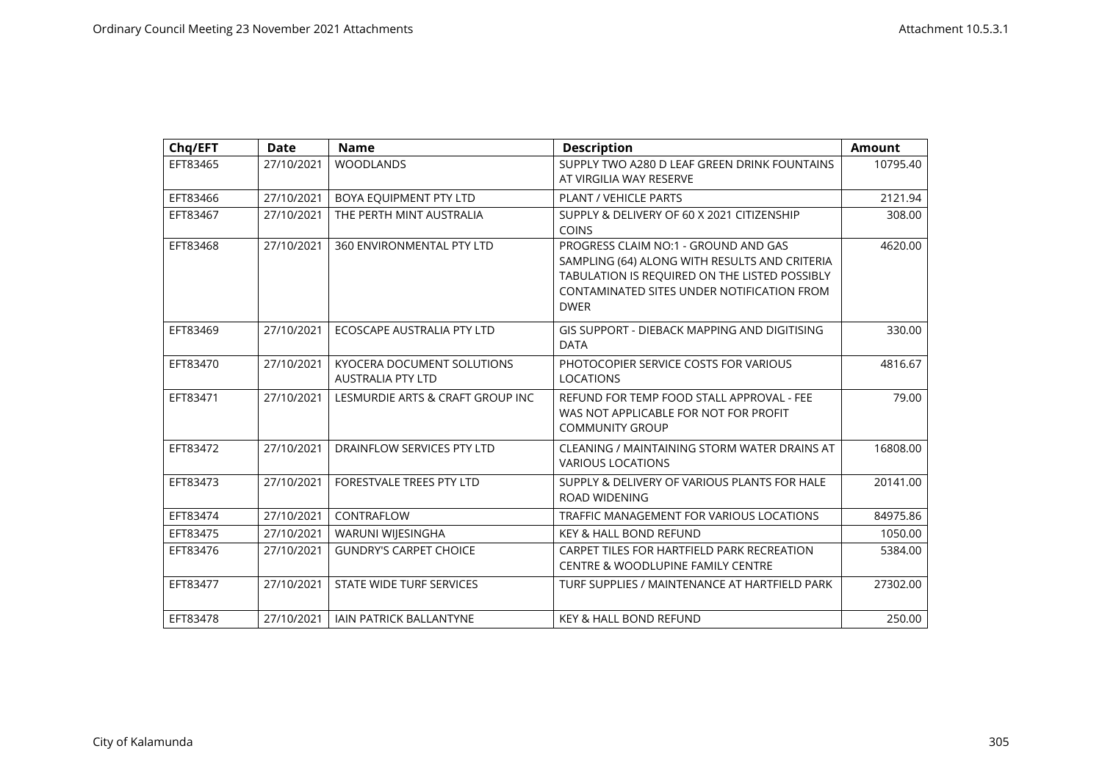| Chq/EFT  | <b>Date</b> | <b>Name</b>                                            | <b>Description</b>                                                                                                                                                                                  | <b>Amount</b> |
|----------|-------------|--------------------------------------------------------|-----------------------------------------------------------------------------------------------------------------------------------------------------------------------------------------------------|---------------|
| EFT83465 | 27/10/2021  | <b>WOODLANDS</b>                                       | SUPPLY TWO A280 D LEAF GREEN DRINK FOUNTAINS<br>AT VIRGILIA WAY RESERVE                                                                                                                             | 10795.40      |
| EFT83466 | 27/10/2021  | BOYA EQUIPMENT PTY LTD                                 | <b>PLANT / VEHICLE PARTS</b>                                                                                                                                                                        | 2121.94       |
| EFT83467 | 27/10/2021  | THE PERTH MINT AUSTRALIA                               | SUPPLY & DELIVERY OF 60 X 2021 CITIZENSHIP<br><b>COINS</b>                                                                                                                                          | 308.00        |
| EFT83468 | 27/10/2021  | 360 ENVIRONMENTAL PTY LTD                              | PROGRESS CLAIM NO:1 - GROUND AND GAS<br>SAMPLING (64) ALONG WITH RESULTS AND CRITERIA<br>TABULATION IS REQUIRED ON THE LISTED POSSIBLY<br>CONTAMINATED SITES UNDER NOTIFICATION FROM<br><b>DWER</b> | 4620.00       |
| EFT83469 | 27/10/2021  | ECOSCAPE AUSTRALIA PTY LTD                             | GIS SUPPORT - DIEBACK MAPPING AND DIGITISING<br><b>DATA</b>                                                                                                                                         | 330.00        |
| EFT83470 | 27/10/2021  | KYOCERA DOCUMENT SOLUTIONS<br><b>AUSTRALIA PTY LTD</b> | PHOTOCOPIER SERVICE COSTS FOR VARIOUS<br><b>LOCATIONS</b>                                                                                                                                           | 4816.67       |
| EFT83471 | 27/10/2021  | LESMURDIE ARTS & CRAFT GROUP INC                       | REFUND FOR TEMP FOOD STALL APPROVAL - FEE<br>WAS NOT APPLICABLE FOR NOT FOR PROFIT<br><b>COMMUNITY GROUP</b>                                                                                        | 79.00         |
| EFT83472 | 27/10/2021  | DRAINFLOW SERVICES PTY LTD                             | CLEANING / MAINTAINING STORM WATER DRAINS AT<br><b>VARIOUS LOCATIONS</b>                                                                                                                            | 16808.00      |
| EFT83473 | 27/10/2021  | FORESTVALE TREES PTY LTD                               | SUPPLY & DELIVERY OF VARIOUS PLANTS FOR HALE<br><b>ROAD WIDENING</b>                                                                                                                                | 20141.00      |
| EFT83474 | 27/10/2021  | CONTRAFLOW                                             | TRAFFIC MANAGEMENT FOR VARIOUS LOCATIONS                                                                                                                                                            | 84975.86      |
| EFT83475 | 27/10/2021  | WARUNI WIJESINGHA                                      | <b>KEY &amp; HALL BOND REFUND</b>                                                                                                                                                                   | 1050.00       |
| EFT83476 | 27/10/2021  | <b>GUNDRY'S CARPET CHOICE</b>                          | CARPET TILES FOR HARTFIELD PARK RECREATION<br><b>CENTRE &amp; WOODLUPINE FAMILY CENTRE</b>                                                                                                          | 5384.00       |
| EFT83477 | 27/10/2021  | STATE WIDE TURF SERVICES                               | TURF SUPPLIES / MAINTENANCE AT HARTFIELD PARK                                                                                                                                                       | 27302.00      |
| EFT83478 | 27/10/2021  | <b>JAIN PATRICK BALLANTYNE</b>                         | <b>KEY &amp; HALL BOND REFUND</b>                                                                                                                                                                   | 250.00        |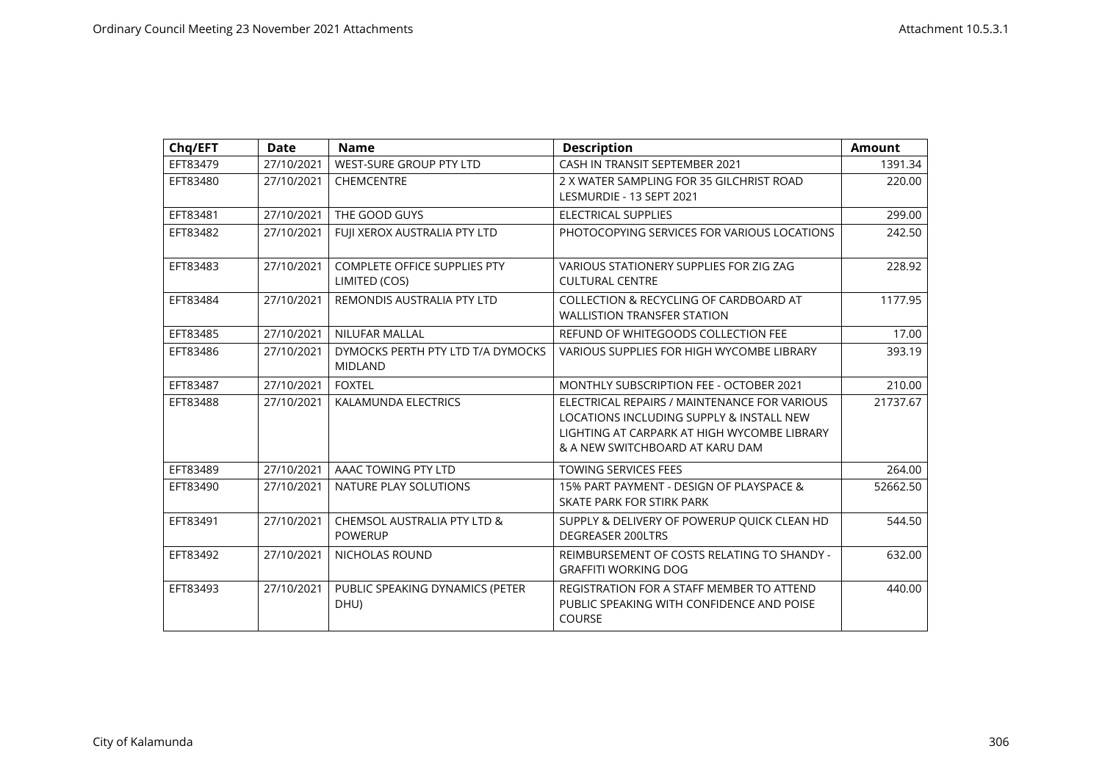| Chq/EFT  | <b>Date</b> | <b>Name</b>                                          | <b>Description</b>                                                                                                                                                         | <b>Amount</b> |
|----------|-------------|------------------------------------------------------|----------------------------------------------------------------------------------------------------------------------------------------------------------------------------|---------------|
| EFT83479 | 27/10/2021  | WEST-SURE GROUP PTY LTD                              | CASH IN TRANSIT SEPTEMBER 2021                                                                                                                                             | 1391.34       |
| EFT83480 | 27/10/2021  | <b>CHEMCENTRE</b>                                    | 2 X WATER SAMPLING FOR 35 GILCHRIST ROAD<br>LESMURDIE - 13 SEPT 2021                                                                                                       | 220.00        |
| EFT83481 | 27/10/2021  | THE GOOD GUYS                                        | <b>ELECTRICAL SUPPLIES</b>                                                                                                                                                 | 299.00        |
| EFT83482 | 27/10/2021  | FUJI XEROX AUSTRALIA PTY LTD                         | PHOTOCOPYING SERVICES FOR VARIOUS LOCATIONS                                                                                                                                | 242.50        |
| EFT83483 | 27/10/2021  | <b>COMPLETE OFFICE SUPPLIES PTY</b><br>LIMITED (COS) | VARIOUS STATIONERY SUPPLIES FOR ZIG ZAG<br><b>CULTURAL CENTRE</b>                                                                                                          | 228.92        |
| EFT83484 | 27/10/2021  | REMONDIS AUSTRALIA PTY LTD                           | COLLECTION & RECYCLING OF CARDBOARD AT<br><b>WALLISTION TRANSFER STATION</b>                                                                                               | 1177.95       |
| EFT83485 | 27/10/2021  | NILUFAR MALLAL                                       | REFUND OF WHITEGOODS COLLECTION FEE                                                                                                                                        | 17.00         |
| EFT83486 | 27/10/2021  | DYMOCKS PERTH PTY LTD T/A DYMOCKS<br><b>MIDLAND</b>  | VARIOUS SUPPLIES FOR HIGH WYCOMBE LIBRARY                                                                                                                                  | 393.19        |
| EFT83487 | 27/10/2021  | <b>FOXTEL</b>                                        | MONTHLY SUBSCRIPTION FEE - OCTOBER 2021                                                                                                                                    | 210.00        |
| EFT83488 | 27/10/2021  | KALAMUNDA ELECTRICS                                  | ELECTRICAL REPAIRS / MAINTENANCE FOR VARIOUS<br>LOCATIONS INCLUDING SUPPLY & INSTALL NEW<br>LIGHTING AT CARPARK AT HIGH WYCOMBE LIBRARY<br>& A NEW SWITCHBOARD AT KARU DAM | 21737.67      |
| EFT83489 | 27/10/2021  | AAAC TOWING PTY LTD                                  | <b>TOWING SERVICES FEES</b>                                                                                                                                                | 264.00        |
| EFT83490 | 27/10/2021  | NATURE PLAY SOLUTIONS                                | 15% PART PAYMENT - DESIGN OF PLAYSPACE &<br>SKATE PARK FOR STIRK PARK                                                                                                      | 52662.50      |
| EFT83491 | 27/10/2021  | CHEMSOL AUSTRALIA PTY LTD &<br><b>POWERUP</b>        | SUPPLY & DELIVERY OF POWERUP QUICK CLEAN HD<br><b>DEGREASER 200LTRS</b>                                                                                                    | 544.50        |
| EFT83492 | 27/10/2021  | NICHOLAS ROUND                                       | REIMBURSEMENT OF COSTS RELATING TO SHANDY -<br><b>GRAFFITI WORKING DOG</b>                                                                                                 | 632.00        |
| EFT83493 | 27/10/2021  | PUBLIC SPEAKING DYNAMICS (PETER<br>DHU)              | REGISTRATION FOR A STAFF MEMBER TO ATTEND<br>PUBLIC SPEAKING WITH CONFIDENCE AND POISE<br><b>COURSE</b>                                                                    | 440.00        |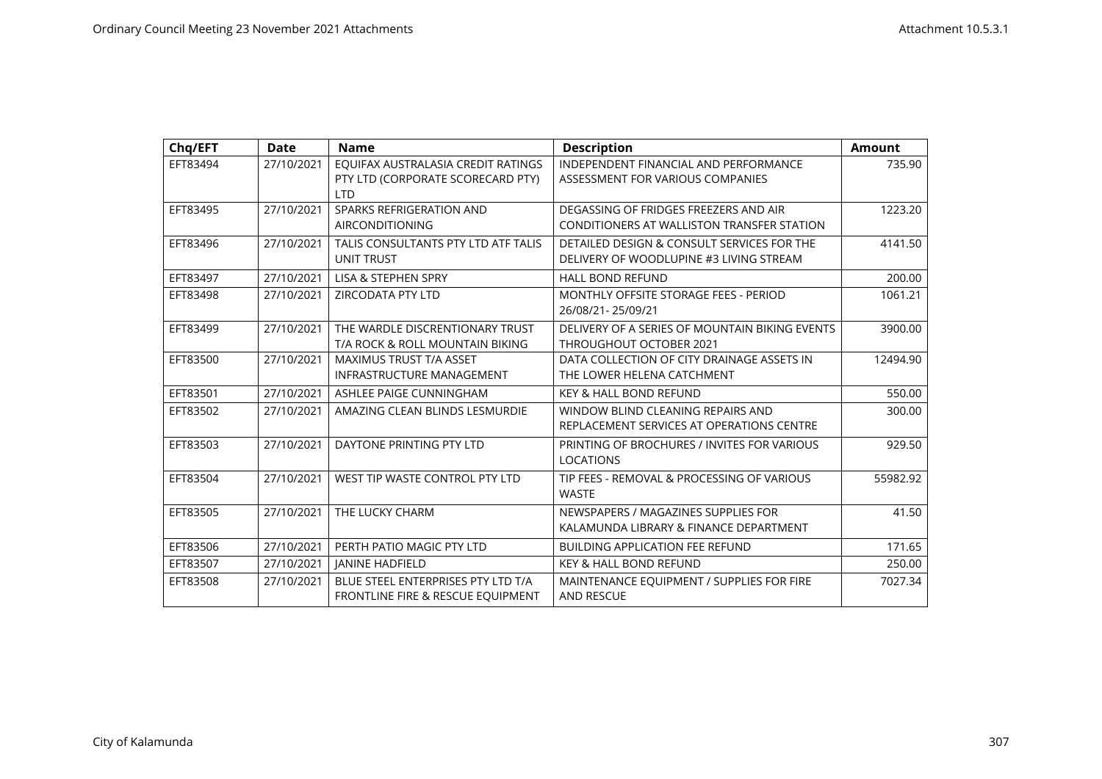| Chq/EFT  | <b>Date</b> | <b>Name</b>                         | <b>Description</b>                             | <b>Amount</b> |
|----------|-------------|-------------------------------------|------------------------------------------------|---------------|
| EFT83494 | 27/10/2021  | EQUIFAX AUSTRALASIA CREDIT RATINGS  | INDEPENDENT FINANCIAL AND PERFORMANCE          | 735.90        |
|          |             | PTY LTD (CORPORATE SCORECARD PTY)   | ASSESSMENT FOR VARIOUS COMPANIES               |               |
|          |             | <b>LTD</b>                          |                                                |               |
| EFT83495 | 27/10/2021  | SPARKS REFRIGERATION AND            | DEGASSING OF FRIDGES FREEZERS AND AIR          | 1223.20       |
|          |             | <b>AIRCONDITIONING</b>              | CONDITIONERS AT WALLISTON TRANSFER STATION     |               |
| EFT83496 | 27/10/2021  | TALIS CONSULTANTS PTY LTD ATF TALIS | DETAILED DESIGN & CONSULT SERVICES FOR THE     | 4141.50       |
|          |             | <b>UNIT TRUST</b>                   | DELIVERY OF WOODLUPINE #3 LIVING STREAM        |               |
| EFT83497 | 27/10/2021  | LISA & STEPHEN SPRY                 | <b>HALL BOND REFUND</b>                        | 200.00        |
| EFT83498 | 27/10/2021  | <b>ZIRCODATA PTY LTD</b>            | MONTHLY OFFSITE STORAGE FEES - PERIOD          | 1061.21       |
|          |             |                                     | 26/08/21-25/09/21                              |               |
| EFT83499 | 27/10/2021  | THE WARDLE DISCRENTIONARY TRUST     | DELIVERY OF A SERIES OF MOUNTAIN BIKING EVENTS | 3900.00       |
|          |             | T/A ROCK & ROLL MOUNTAIN BIKING     | THROUGHOUT OCTOBER 2021                        |               |
| EFT83500 | 27/10/2021  | MAXIMUS TRUST T/A ASSET             | DATA COLLECTION OF CITY DRAINAGE ASSETS IN     | 12494.90      |
|          |             | INFRASTRUCTURE MANAGEMENT           | THE LOWER HELENA CATCHMENT                     |               |
| EFT83501 | 27/10/2021  | ASHLEE PAIGE CUNNINGHAM             | <b>KEY &amp; HALL BOND REFUND</b>              | 550.00        |
| EFT83502 | 27/10/2021  | AMAZING CLEAN BLINDS LESMURDIE      | WINDOW BLIND CLEANING REPAIRS AND              | 300.00        |
|          |             |                                     | REPLACEMENT SERVICES AT OPERATIONS CENTRE      |               |
| EFT83503 | 27/10/2021  | DAYTONE PRINTING PTY LTD            | PRINTING OF BROCHURES / INVITES FOR VARIOUS    | 929.50        |
|          |             |                                     | <b>LOCATIONS</b>                               |               |
| EFT83504 | 27/10/2021  | WEST TIP WASTE CONTROL PTY LTD      | TIP FEES - REMOVAL & PROCESSING OF VARIOUS     | 55982.92      |
|          |             |                                     | <b>WASTE</b>                                   |               |
| EFT83505 | 27/10/2021  | THE LUCKY CHARM                     | NEWSPAPERS / MAGAZINES SUPPLIES FOR            | 41.50         |
|          |             |                                     | KALAMUNDA LIBRARY & FINANCE DEPARTMENT         |               |
| EFT83506 | 27/10/2021  | PERTH PATIO MAGIC PTY LTD           | <b>BUILDING APPLICATION FEE REFUND</b>         | 171.65        |
| EFT83507 | 27/10/2021  | <b>JANINE HADFIELD</b>              | <b>KEY &amp; HALL BOND REFUND</b>              | 250.00        |
| EFT83508 | 27/10/2021  | BLUE STEEL ENTERPRISES PTY LTD T/A  | MAINTENANCE EQUIPMENT / SUPPLIES FOR FIRE      | 7027.34       |
|          |             | FRONTLINE FIRE & RESCUE EQUIPMENT   | <b>AND RESCUE</b>                              |               |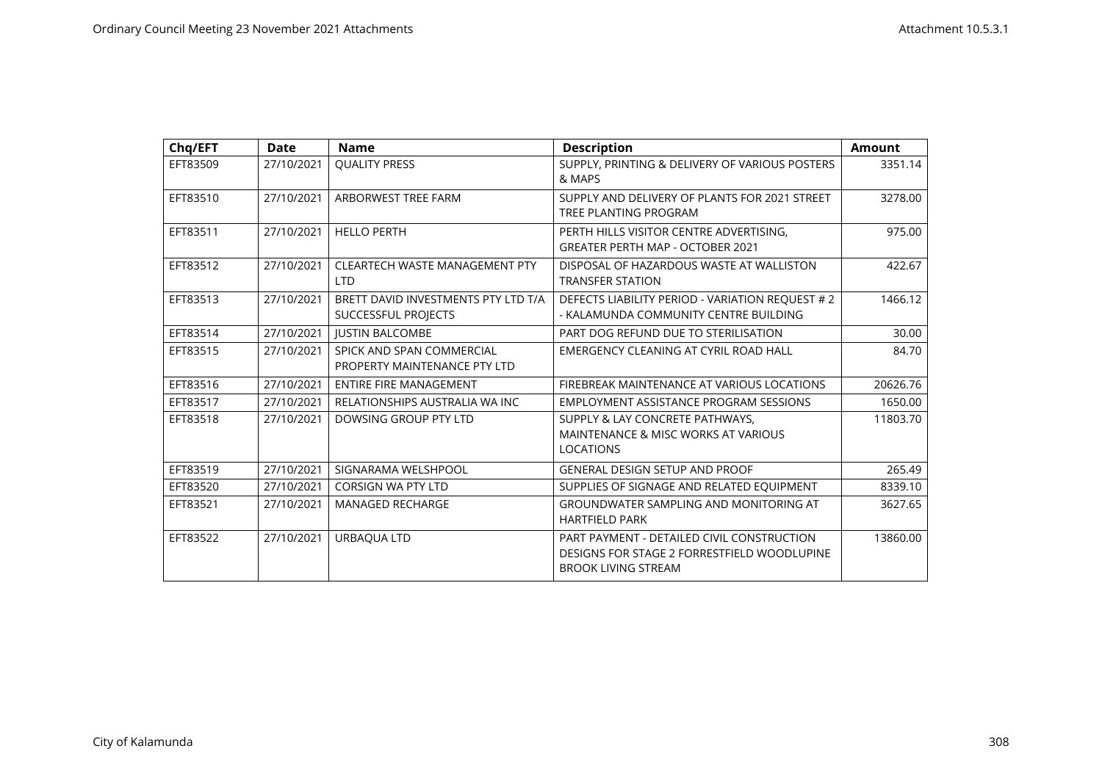| Chq/EFT  | <b>Date</b> | <b>Name</b>                                                | <b>Description</b>                                                                                                      | <b>Amount</b> |
|----------|-------------|------------------------------------------------------------|-------------------------------------------------------------------------------------------------------------------------|---------------|
| EFT83509 | 27/10/2021  | <b>QUALITY PRESS</b>                                       | SUPPLY, PRINTING & DELIVERY OF VARIOUS POSTERS<br>& MAPS                                                                | 3351.14       |
| EFT83510 | 27/10/2021  | ARBORWEST TREE FARM                                        | SUPPLY AND DELIVERY OF PLANTS FOR 2021 STREET<br>TREE PLANTING PROGRAM                                                  | 3278.00       |
| EFT83511 | 27/10/2021  | <b>HELLO PERTH</b>                                         | PERTH HILLS VISITOR CENTRE ADVERTISING,<br><b>GREATER PERTH MAP - OCTOBER 2021</b>                                      | 975.00        |
| EFT83512 | 27/10/2021  | <b>CLEARTECH WASTE MANAGEMENT PTY</b><br><b>LTD</b>        | DISPOSAL OF HAZARDOUS WASTE AT WALLISTON<br><b>TRANSFER STATION</b>                                                     | 422.67        |
| EFT83513 | 27/10/2021  | BRETT DAVID INVESTMENTS PTY LTD T/A<br>SUCCESSFUL PROJECTS | DEFECTS LIABILITY PERIOD - VARIATION REQUEST # 2<br>- KALAMUNDA COMMUNITY CENTRE BUILDING                               | 1466.12       |
| EFT83514 | 27/10/2021  | <b>IUSTIN BALCOMBE</b>                                     | PART DOG REFUND DUE TO STERILISATION                                                                                    | 30.00         |
| EFT83515 | 27/10/2021  | SPICK AND SPAN COMMERCIAL<br>PROPERTY MAINTENANCE PTY LTD  | EMERGENCY CLEANING AT CYRIL ROAD HALL                                                                                   | 84.70         |
| EFT83516 | 27/10/2021  | <b>ENTIRE FIRE MANAGEMENT</b>                              | FIREBREAK MAINTENANCE AT VARIOUS LOCATIONS                                                                              | 20626.76      |
| EFT83517 | 27/10/2021  | RELATIONSHIPS AUSTRALIA WA INC                             | EMPLOYMENT ASSISTANCE PROGRAM SESSIONS                                                                                  | 1650.00       |
| EFT83518 | 27/10/2021  | DOWSING GROUP PTY LTD                                      | SUPPLY & LAY CONCRETE PATHWAYS,<br>MAINTENANCE & MISC WORKS AT VARIOUS<br><b>LOCATIONS</b>                              | 11803.70      |
| EFT83519 | 27/10/2021  | SIGNARAMA WELSHPOOL                                        | <b>GENERAL DESIGN SETUP AND PROOF</b>                                                                                   | 265.49        |
| EFT83520 | 27/10/2021  | <b>CORSIGN WA PTY LTD</b>                                  | SUPPLIES OF SIGNAGE AND RELATED EQUIPMENT                                                                               | 8339.10       |
| EFT83521 | 27/10/2021  | <b>MANAGED RECHARGE</b>                                    | <b>GROUNDWATER SAMPLING AND MONITORING AT</b><br><b>HARTFIELD PARK</b>                                                  | 3627.65       |
| EFT83522 | 27/10/2021  | URBAQUA LTD                                                | PART PAYMENT - DETAILED CIVIL CONSTRUCTION<br>DESIGNS FOR STAGE 2 FORRESTFIELD WOODLUPINE<br><b>BROOK LIVING STREAM</b> | 13860.00      |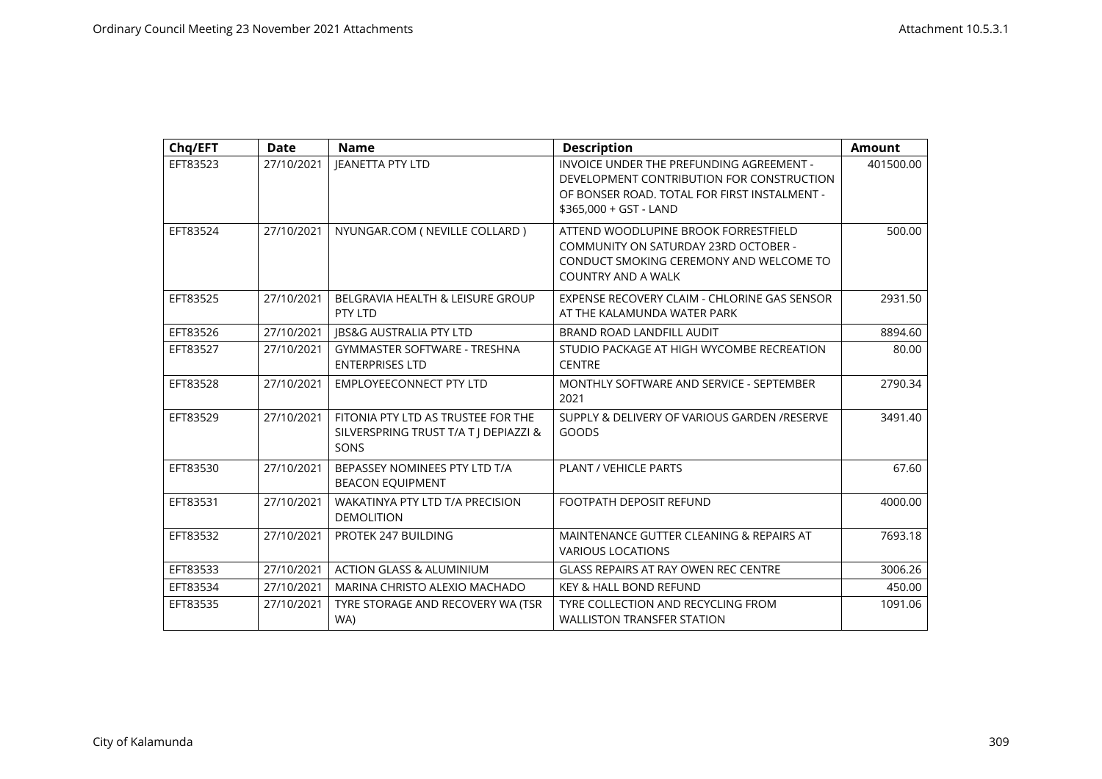| Chq/EFT  | <b>Date</b> | <b>Name</b>                                                                         | <b>Description</b>                                                                                                                                              | <b>Amount</b> |
|----------|-------------|-------------------------------------------------------------------------------------|-----------------------------------------------------------------------------------------------------------------------------------------------------------------|---------------|
| EFT83523 | 27/10/2021  | <b>JEANETTA PTY LTD</b>                                                             | INVOICE UNDER THE PREFUNDING AGREEMENT -<br>DEVELOPMENT CONTRIBUTION FOR CONSTRUCTION<br>OF BONSER ROAD. TOTAL FOR FIRST INSTALMENT -<br>\$365,000 + GST - LAND | 401500.00     |
| EFT83524 | 27/10/2021  | NYUNGAR.COM ( NEVILLE COLLARD )                                                     | ATTEND WOODLUPINE BROOK FORRESTFIELD<br>COMMUNITY ON SATURDAY 23RD OCTOBER -<br>CONDUCT SMOKING CEREMONY AND WELCOME TO<br><b>COUNTRY AND A WALK</b>            | 500.00        |
| EFT83525 | 27/10/2021  | BELGRAVIA HEALTH & LEISURE GROUP<br>PTY LTD                                         | EXPENSE RECOVERY CLAIM - CHLORINE GAS SENSOR<br>AT THE KALAMUNDA WATER PARK                                                                                     | 2931.50       |
| EFT83526 | 27/10/2021  | <b>IBS&amp;G AUSTRALIA PTY LTD</b>                                                  | BRAND ROAD LANDFILL AUDIT                                                                                                                                       | 8894.60       |
| EFT83527 | 27/10/2021  | <b>GYMMASTER SOFTWARE - TRESHNA</b><br><b>ENTERPRISES LTD</b>                       | STUDIO PACKAGE AT HIGH WYCOMBE RECREATION<br><b>CENTRE</b>                                                                                                      | 80.00         |
| EFT83528 | 27/10/2021  | <b>EMPLOYEECONNECT PTY LTD</b>                                                      | MONTHLY SOFTWARE AND SERVICE - SEPTEMBER<br>2021                                                                                                                | 2790.34       |
| EFT83529 | 27/10/2021  | FITONIA PTY LTD AS TRUSTEE FOR THE<br>SILVERSPRING TRUST T/A T   DEPIAZZI &<br>SONS | SUPPLY & DELIVERY OF VARIOUS GARDEN /RESERVE<br>GOODS                                                                                                           | 3491.40       |
| EFT83530 | 27/10/2021  | BEPASSEY NOMINEES PTY LTD T/A<br><b>BEACON EQUIPMENT</b>                            | PLANT / VEHICLE PARTS                                                                                                                                           | 67.60         |
| EFT83531 | 27/10/2021  | <b>WAKATINYA PTY LTD T/A PRECISION</b><br><b>DEMOLITION</b>                         | <b>FOOTPATH DEPOSIT REFUND</b>                                                                                                                                  | 4000.00       |
| EFT83532 | 27/10/2021  | PROTEK 247 BUILDING                                                                 | MAINTENANCE GUTTER CLEANING & REPAIRS AT<br><b>VARIOUS LOCATIONS</b>                                                                                            | 7693.18       |
| EFT83533 | 27/10/2021  | <b>ACTION GLASS &amp; ALUMINIUM</b>                                                 | <b>GLASS REPAIRS AT RAY OWEN REC CENTRE</b>                                                                                                                     | 3006.26       |
| EFT83534 | 27/10/2021  | MARINA CHRISTO ALEXIO MACHADO                                                       | <b>KEY &amp; HALL BOND REFUND</b>                                                                                                                               | 450.00        |
| EFT83535 | 27/10/2021  | TYRE STORAGE AND RECOVERY WA (TSR<br>WA)                                            | TYRE COLLECTION AND RECYCLING FROM<br><b>WALLISTON TRANSFER STATION</b>                                                                                         | 1091.06       |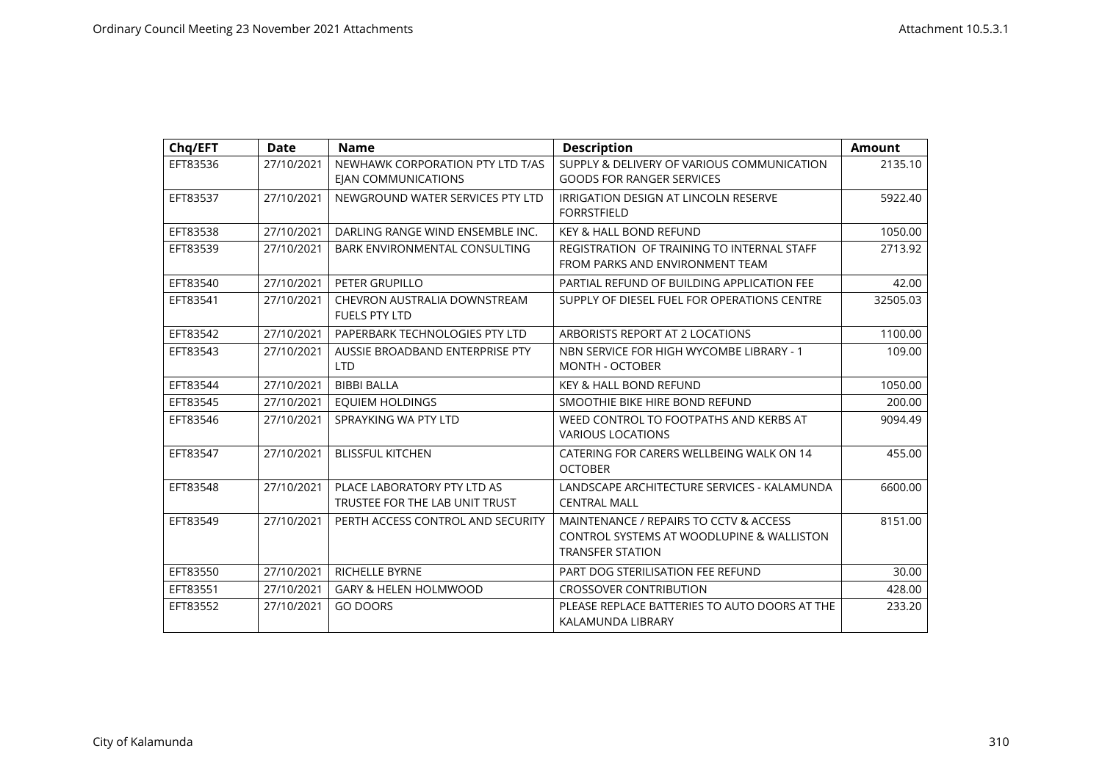| Chq/EFT  | <b>Date</b> | <b>Name</b>                                                    | <b>Description</b>                                                                                             | <b>Amount</b> |
|----------|-------------|----------------------------------------------------------------|----------------------------------------------------------------------------------------------------------------|---------------|
| EFT83536 | 27/10/2021  | NEWHAWK CORPORATION PTY LTD T/AS<br><b>EIAN COMMUNICATIONS</b> | SUPPLY & DELIVERY OF VARIOUS COMMUNICATION<br><b>GOODS FOR RANGER SERVICES</b>                                 | 2135.10       |
| EFT83537 | 27/10/2021  | NEWGROUND WATER SERVICES PTY LTD                               | <b>IRRIGATION DESIGN AT LINCOLN RESERVE</b><br><b>FORRSTFIELD</b>                                              | 5922.40       |
| EFT83538 | 27/10/2021  | DARLING RANGE WIND ENSEMBLE INC.                               | <b>KEY &amp; HALL BOND REFUND</b>                                                                              | 1050.00       |
| EFT83539 | 27/10/2021  | BARK ENVIRONMENTAL CONSULTING                                  | REGISTRATION OF TRAINING TO INTERNAL STAFF<br>FROM PARKS AND ENVIRONMENT TEAM                                  | 2713.92       |
| EFT83540 | 27/10/2021  | PETER GRUPILLO                                                 | PARTIAL REFUND OF BUILDING APPLICATION FEE                                                                     | 42.00         |
| EFT83541 | 27/10/2021  | CHEVRON AUSTRALIA DOWNSTREAM<br><b>FUELS PTY LTD</b>           | SUPPLY OF DIESEL FUEL FOR OPERATIONS CENTRE                                                                    | 32505.03      |
| EFT83542 | 27/10/2021  | PAPERBARK TECHNOLOGIES PTY LTD                                 | ARBORISTS REPORT AT 2 LOCATIONS                                                                                | 1100.00       |
| EFT83543 | 27/10/2021  | AUSSIE BROADBAND ENTERPRISE PTY<br><b>LTD</b>                  | NBN SERVICE FOR HIGH WYCOMBE LIBRARY - 1<br><b>MONTH - OCTOBER</b>                                             | 109.00        |
| EFT83544 | 27/10/2021  | <b>BIBBI BALLA</b>                                             | <b>KEY &amp; HALL BOND REFUND</b>                                                                              | 1050.00       |
| EFT83545 | 27/10/2021  | <b>EQUIEM HOLDINGS</b>                                         | SMOOTHIE BIKE HIRE BOND REFUND                                                                                 | 200.00        |
| EFT83546 | 27/10/2021  | SPRAYKING WA PTY LTD                                           | WEED CONTROL TO FOOTPATHS AND KERBS AT<br><b>VARIOUS LOCATIONS</b>                                             | 9094.49       |
| EFT83547 | 27/10/2021  | <b>BLISSFUL KITCHEN</b>                                        | CATERING FOR CARERS WELLBEING WALK ON 14<br><b>OCTOBER</b>                                                     | 455.00        |
| EFT83548 | 27/10/2021  | PLACE LABORATORY PTY LTD AS<br>TRUSTEE FOR THE LAB UNIT TRUST  | LANDSCAPE ARCHITECTURE SERVICES - KALAMUNDA<br><b>CENTRAL MALL</b>                                             | 6600.00       |
| EFT83549 | 27/10/2021  | PERTH ACCESS CONTROL AND SECURITY                              | MAINTENANCE / REPAIRS TO CCTV & ACCESS<br>CONTROL SYSTEMS AT WOODLUPINE & WALLISTON<br><b>TRANSFER STATION</b> | 8151.00       |
| EFT83550 | 27/10/2021  | RICHELLE BYRNE                                                 | PART DOG STERILISATION FEE REFUND                                                                              | 30.00         |
| EFT83551 | 27/10/2021  | <b>GARY &amp; HELEN HOLMWOOD</b>                               | <b>CROSSOVER CONTRIBUTION</b>                                                                                  | 428.00        |
| EFT83552 | 27/10/2021  | <b>GO DOORS</b>                                                | PLEASE REPLACE BATTERIES TO AUTO DOORS AT THE<br>KALAMUNDA LIBRARY                                             | 233.20        |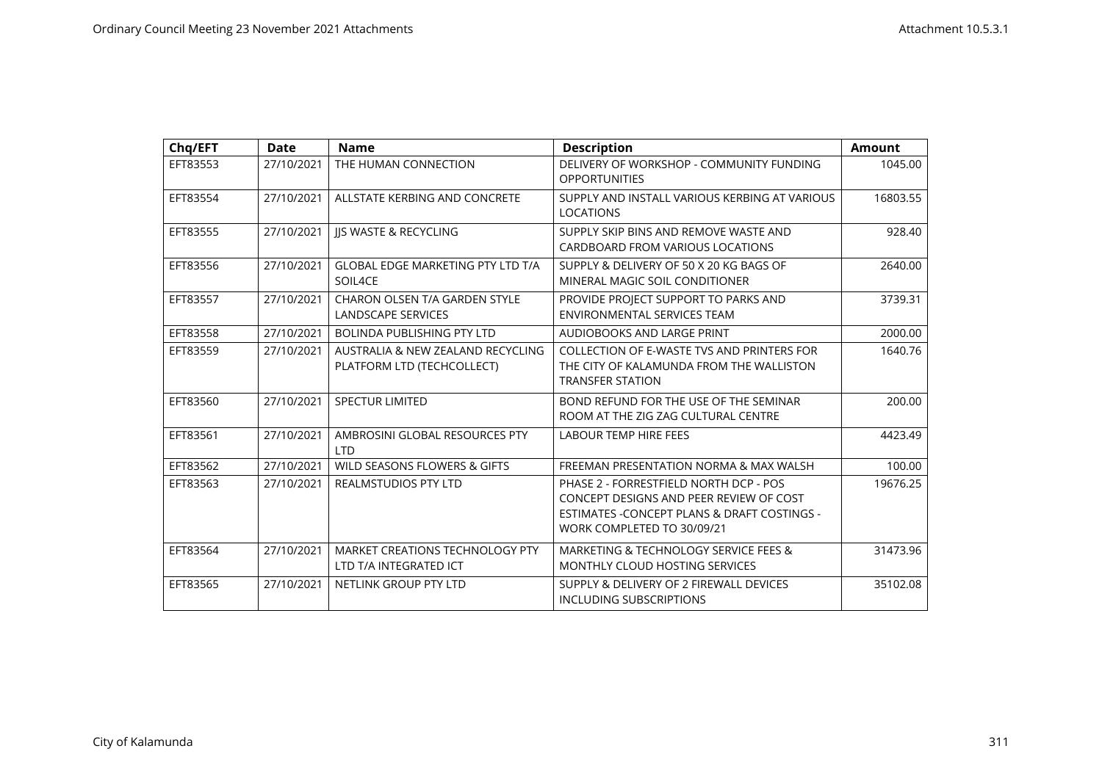| Chq/EFT  | Date       | <b>Name</b>                                                      | <b>Description</b>                                                                                                                                              | <b>Amount</b> |
|----------|------------|------------------------------------------------------------------|-----------------------------------------------------------------------------------------------------------------------------------------------------------------|---------------|
| EFT83553 | 27/10/2021 | THE HUMAN CONNECTION                                             | DELIVERY OF WORKSHOP - COMMUNITY FUNDING<br><b>OPPORTUNITIES</b>                                                                                                | 1045.00       |
| EFT83554 | 27/10/2021 | ALLSTATE KERBING AND CONCRETE                                    | SUPPLY AND INSTALL VARIOUS KERBING AT VARIOUS<br><b>LOCATIONS</b>                                                                                               | 16803.55      |
| EFT83555 | 27/10/2021 | <b>JIS WASTE &amp; RECYCLING</b>                                 | SUPPLY SKIP BINS AND REMOVE WASTE AND<br>CARDBOARD FROM VARIOUS LOCATIONS                                                                                       | 928.40        |
| EFT83556 | 27/10/2021 | <b>GLOBAL EDGE MARKETING PTY LTD T/A</b><br>SOIL4CE              | SUPPLY & DELIVERY OF 50 X 20 KG BAGS OF<br>MINERAL MAGIC SOIL CONDITIONER                                                                                       | 2640.00       |
| EFT83557 | 27/10/2021 | CHARON OLSEN T/A GARDEN STYLE<br><b>LANDSCAPE SERVICES</b>       | PROVIDE PROJECT SUPPORT TO PARKS AND<br>ENVIRONMENTAL SERVICES TEAM                                                                                             | 3739.31       |
| EFT83558 | 27/10/2021 | <b>BOLINDA PUBLISHING PTY LTD</b>                                | AUDIOBOOKS AND LARGE PRINT                                                                                                                                      | 2000.00       |
| EFT83559 | 27/10/2021 | AUSTRALIA & NEW ZEALAND RECYCLING<br>PLATFORM LTD (TECHCOLLECT)  | COLLECTION OF E-WASTE TVS AND PRINTERS FOR<br>THE CITY OF KALAMUNDA FROM THE WALLISTON<br><b>TRANSFER STATION</b>                                               | 1640.76       |
| EFT83560 | 27/10/2021 | <b>SPECTUR LIMITED</b>                                           | BOND REFUND FOR THE USE OF THE SEMINAR<br>ROOM AT THE ZIG ZAG CULTURAL CENTRE                                                                                   | 200.00        |
| EFT83561 | 27/10/2021 | AMBROSINI GLOBAL RESOURCES PTY<br><b>LTD</b>                     | <b>LABOUR TEMP HIRE FEES</b>                                                                                                                                    | 4423.49       |
| EFT83562 | 27/10/2021 | WILD SEASONS FLOWERS & GIFTS                                     | FREEMAN PRESENTATION NORMA & MAX WALSH                                                                                                                          | 100.00        |
| EFT83563 | 27/10/2021 | <b>REALMSTUDIOS PTY LTD</b>                                      | PHASE 2 - FORRESTFIELD NORTH DCP - POS<br>CONCEPT DESIGNS AND PEER REVIEW OF COST<br>ESTIMATES - CONCEPT PLANS & DRAFT COSTINGS -<br>WORK COMPLETED TO 30/09/21 | 19676.25      |
| EFT83564 | 27/10/2021 | <b>MARKET CREATIONS TECHNOLOGY PTY</b><br>LTD T/A INTEGRATED ICT | MARKETING & TECHNOLOGY SERVICE FEES &<br>MONTHLY CLOUD HOSTING SERVICES                                                                                         | 31473.96      |
| EFT83565 | 27/10/2021 | NETLINK GROUP PTY LTD                                            | SUPPLY & DELIVERY OF 2 FIREWALL DEVICES<br><b>INCLUDING SUBSCRIPTIONS</b>                                                                                       | 35102.08      |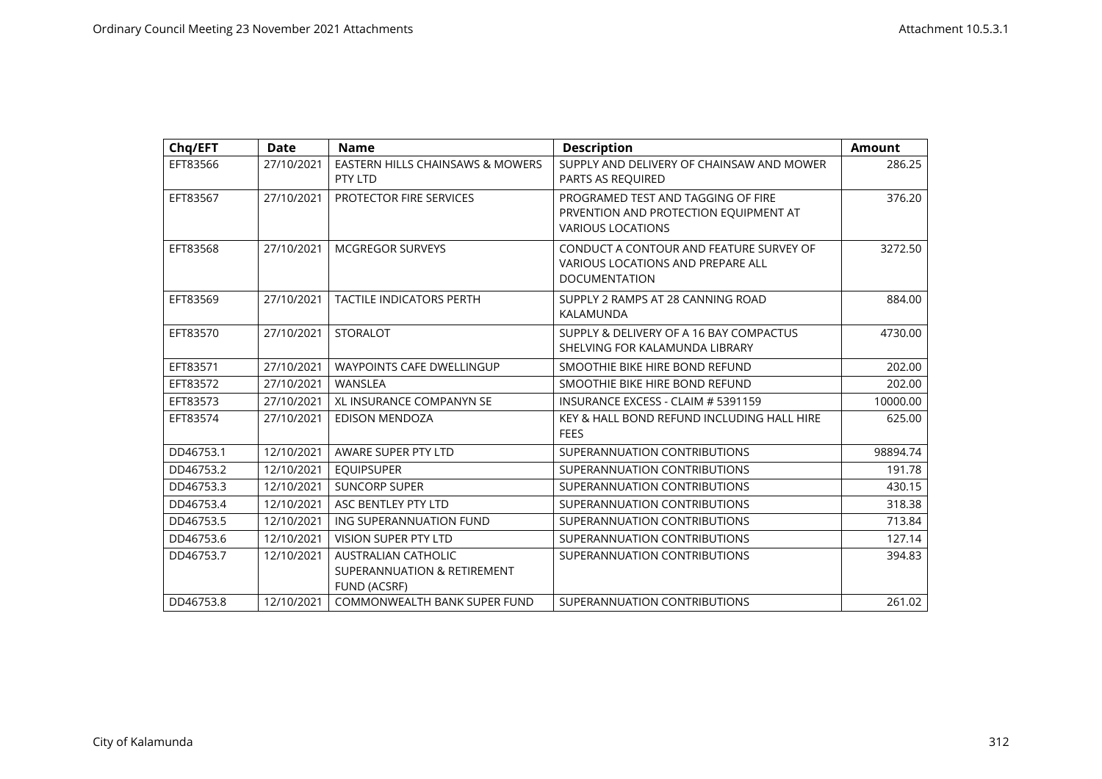| Chq/EFT   | <b>Date</b> | <b>Name</b>                                                                      | <b>Description</b>                                                                                          | <b>Amount</b> |
|-----------|-------------|----------------------------------------------------------------------------------|-------------------------------------------------------------------------------------------------------------|---------------|
| EFT83566  | 27/10/2021  | EASTERN HILLS CHAINSAWS & MOWERS<br>PTY LTD                                      | SUPPLY AND DELIVERY OF CHAINSAW AND MOWER<br>PARTS AS REQUIRED                                              | 286.25        |
| EFT83567  | 27/10/2021  | PROTECTOR FIRE SERVICES                                                          | PROGRAMED TEST AND TAGGING OF FIRE<br>PRVENTION AND PROTECTION EQUIPMENT AT<br><b>VARIOUS LOCATIONS</b>     | 376.20        |
| EFT83568  | 27/10/2021  | <b>MCGREGOR SURVEYS</b>                                                          | CONDUCT A CONTOUR AND FEATURE SURVEY OF<br><b>VARIOUS LOCATIONS AND PREPARE ALL</b><br><b>DOCUMENTATION</b> | 3272.50       |
| EFT83569  | 27/10/2021  | <b>TACTILE INDICATORS PERTH</b>                                                  | SUPPLY 2 RAMPS AT 28 CANNING ROAD<br>KALAMUNDA                                                              | 884.00        |
| EFT83570  | 27/10/2021  | <b>STORALOT</b>                                                                  | SUPPLY & DELIVERY OF A 16 BAY COMPACTUS<br>SHELVING FOR KALAMUNDA LIBRARY                                   | 4730.00       |
| EFT83571  | 27/10/2021  | <b>WAYPOINTS CAFE DWELLINGUP</b>                                                 | SMOOTHIE BIKE HIRE BOND REFUND                                                                              | 202.00        |
| EFT83572  | 27/10/2021  | <b>WANSLEA</b>                                                                   | SMOOTHIE BIKE HIRE BOND REFUND                                                                              | 202.00        |
| EFT83573  | 27/10/2021  | <b>XL INSURANCE COMPANYN SE</b>                                                  | INSURANCE EXCESS - CLAIM # 5391159                                                                          | 10000.00      |
| EFT83574  | 27/10/2021  | <b>EDISON MENDOZA</b>                                                            | KEY & HALL BOND REFUND INCLUDING HALL HIRE<br><b>FEES</b>                                                   | 625.00        |
| DD46753.1 | 12/10/2021  | AWARE SUPER PTY LTD                                                              | SUPERANNUATION CONTRIBUTIONS                                                                                | 98894.74      |
| DD46753.2 | 12/10/2021  | <b>EQUIPSUPER</b>                                                                | SUPERANNUATION CONTRIBUTIONS                                                                                | 191.78        |
| DD46753.3 | 12/10/2021  | <b>SUNCORP SUPER</b>                                                             | SUPERANNUATION CONTRIBUTIONS                                                                                | 430.15        |
| DD46753.4 | 12/10/2021  | ASC BENTLEY PTY LTD                                                              | SUPERANNUATION CONTRIBUTIONS                                                                                | 318.38        |
| DD46753.5 | 12/10/2021  | ING SUPERANNUATION FUND                                                          | SUPERANNUATION CONTRIBUTIONS                                                                                | 713.84        |
| DD46753.6 | 12/10/2021  | <b>VISION SUPER PTY LTD</b>                                                      | SUPERANNUATION CONTRIBUTIONS                                                                                | 127.14        |
| DD46753.7 | 12/10/2021  | <b>AUSTRALIAN CATHOLIC</b><br>SUPERANNUATION & RETIREMENT<br><b>FUND (ACSRF)</b> | SUPERANNUATION CONTRIBUTIONS                                                                                | 394.83        |
| DD46753.8 | 12/10/2021  | COMMONWEALTH BANK SUPER FUND                                                     | SUPERANNUATION CONTRIBUTIONS                                                                                | 261.02        |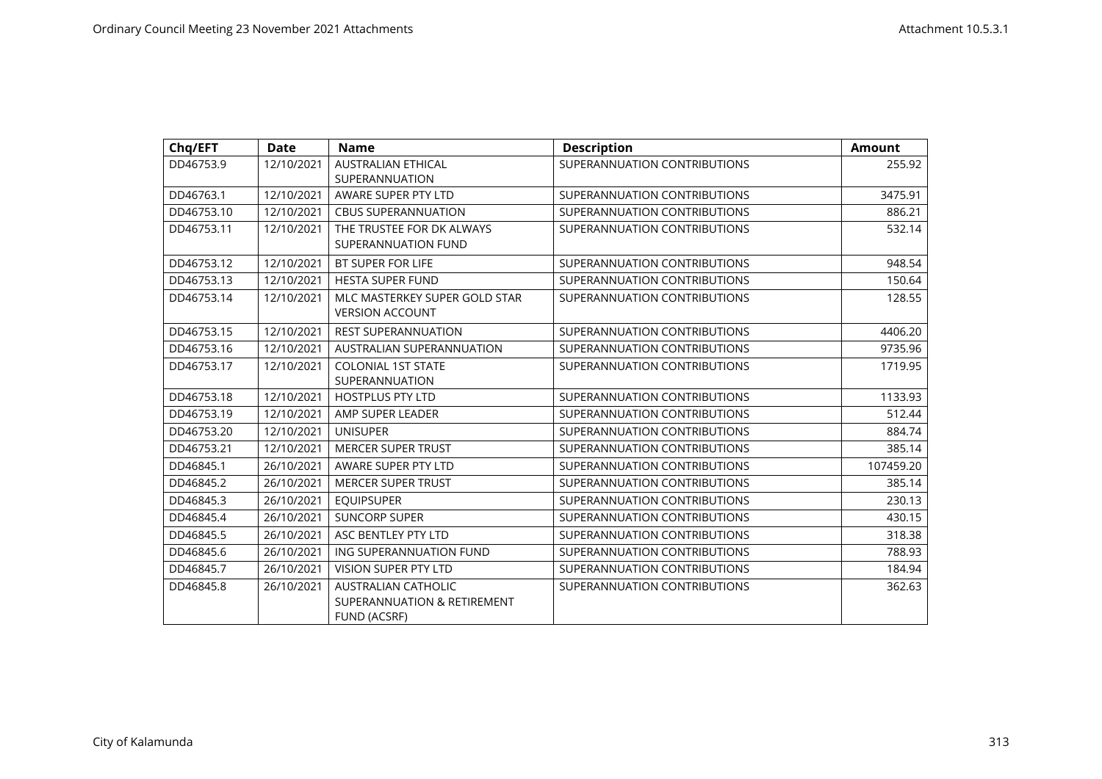| Chq/EFT    | <b>Date</b> | <b>Name</b>                                                               | <b>Description</b>           | <b>Amount</b> |
|------------|-------------|---------------------------------------------------------------------------|------------------------------|---------------|
| DD46753.9  | 12/10/2021  | <b>AUSTRALIAN ETHICAL</b><br>SUPERANNUATION                               | SUPERANNUATION CONTRIBUTIONS | 255.92        |
| DD46763.1  | 12/10/2021  | AWARE SUPER PTY LTD                                                       | SUPERANNUATION CONTRIBUTIONS | 3475.91       |
| DD46753.10 | 12/10/2021  | <b>CBUS SUPERANNUATION</b>                                                | SUPERANNUATION CONTRIBUTIONS | 886.21        |
| DD46753.11 | 12/10/2021  | THE TRUSTEE FOR DK ALWAYS<br>SUPERANNUATION FUND                          | SUPERANNUATION CONTRIBUTIONS | 532.14        |
| DD46753.12 | 12/10/2021  | <b>BT SUPER FOR LIFE</b>                                                  | SUPERANNUATION CONTRIBUTIONS | 948.54        |
| DD46753.13 | 12/10/2021  | <b>HESTA SUPER FUND</b>                                                   | SUPERANNUATION CONTRIBUTIONS | 150.64        |
| DD46753.14 | 12/10/2021  | MLC MASTERKEY SUPER GOLD STAR<br><b>VERSION ACCOUNT</b>                   | SUPERANNUATION CONTRIBUTIONS | 128.55        |
| DD46753.15 | 12/10/2021  | <b>REST SUPERANNUATION</b>                                                | SUPERANNUATION CONTRIBUTIONS | 4406.20       |
| DD46753.16 | 12/10/2021  | <b>AUSTRALIAN SUPERANNUATION</b>                                          | SUPERANNUATION CONTRIBUTIONS | 9735.96       |
| DD46753.17 | 12/10/2021  | <b>COLONIAL 1ST STATE</b><br>SUPERANNUATION                               | SUPERANNUATION CONTRIBUTIONS | 1719.95       |
| DD46753.18 | 12/10/2021  | <b>HOSTPLUS PTY LTD</b>                                                   | SUPERANNUATION CONTRIBUTIONS | 1133.93       |
| DD46753.19 | 12/10/2021  | AMP SUPER LEADER                                                          | SUPERANNUATION CONTRIBUTIONS | 512.44        |
| DD46753.20 | 12/10/2021  | <b>UNISUPER</b>                                                           | SUPERANNUATION CONTRIBUTIONS | 884.74        |
| DD46753.21 | 12/10/2021  | <b>MERCER SUPER TRUST</b>                                                 | SUPERANNUATION CONTRIBUTIONS | 385.14        |
| DD46845.1  | 26/10/2021  | AWARE SUPER PTY LTD                                                       | SUPERANNUATION CONTRIBUTIONS | 107459.20     |
| DD46845.2  | 26/10/2021  | <b>MERCER SUPER TRUST</b>                                                 | SUPERANNUATION CONTRIBUTIONS | 385.14        |
| DD46845.3  | 26/10/2021  | <b>EQUIPSUPER</b>                                                         | SUPERANNUATION CONTRIBUTIONS | 230.13        |
| DD46845.4  | 26/10/2021  | <b>SUNCORP SUPER</b>                                                      | SUPERANNUATION CONTRIBUTIONS | 430.15        |
| DD46845.5  | 26/10/2021  | ASC BENTLEY PTY LTD                                                       | SUPERANNUATION CONTRIBUTIONS | 318.38        |
| DD46845.6  | 26/10/2021  | ING SUPERANNUATION FUND                                                   | SUPERANNUATION CONTRIBUTIONS | 788.93        |
| DD46845.7  | 26/10/2021  | <b>VISION SUPER PTY LTD</b>                                               | SUPERANNUATION CONTRIBUTIONS | 184.94        |
| DD46845.8  | 26/10/2021  | AUSTRALIAN CATHOLIC<br>SUPERANNUATION & RETIREMENT<br><b>FUND (ACSRF)</b> | SUPERANNUATION CONTRIBUTIONS | 362.63        |